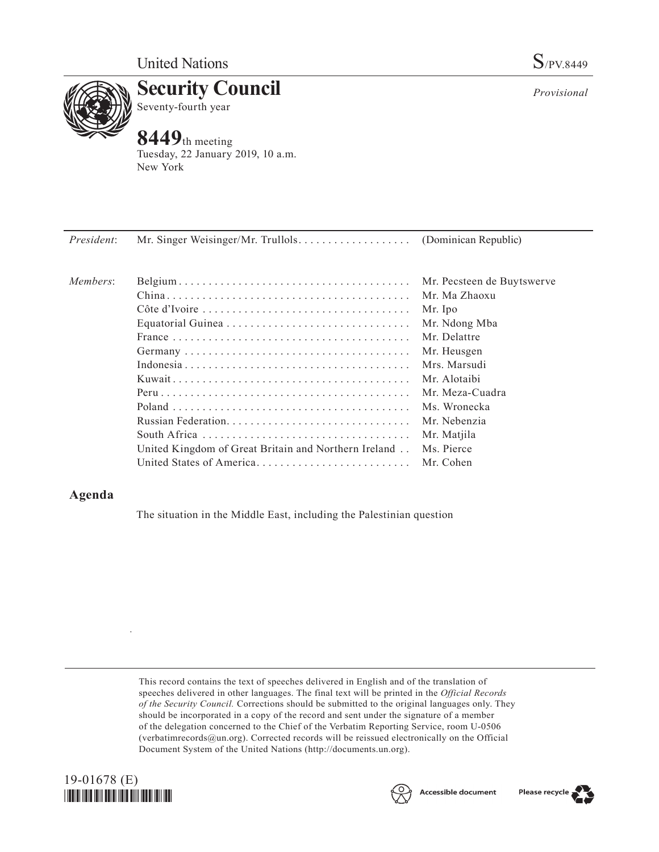

**Security Council** Seventy-fourth year

# **8449**th meeting

Tuesday, 22 January 2019, 10 a.m. New York

| President: |                                                      |                            |
|------------|------------------------------------------------------|----------------------------|
| Members:   |                                                      | Mr. Pecsteen de Buytswerve |
|            |                                                      | Mr. Ma Zhaoxu              |
|            |                                                      | Mr. Ipo                    |
|            |                                                      | Mr. Ndong Mba              |
|            |                                                      | Mr. Delattre               |
|            |                                                      | Mr. Heusgen                |
|            |                                                      | Mrs. Marsudi               |
|            |                                                      | Mr. Alotaibi               |
|            |                                                      | Mr. Meza-Cuadra            |
|            |                                                      | Ms. Wronecka               |
|            |                                                      | Mr. Nebenzia               |
|            |                                                      | Mr. Matjila                |
|            | United Kingdom of Great Britain and Northern Ireland | Ms. Pierce                 |
|            |                                                      | Mr. Cohen                  |

## **Agenda**

The situation in the Middle East, including the Palestinian question

This record contains the text of speeches delivered in English and of the translation of speeches delivered in other languages. The final text will be printed in the *Official Records of the Security Council.* Corrections should be submitted to the original languages only. They should be incorporated in a copy of the record and sent under the signature of a member of the delegation concerned to the Chief of the Verbatim Reporting Service, room U-0506 (verbatimrecords $@un.org$ ). Corrected records will be reissued electronically on the Official Document System of the United Nations [\(http://documents.un.org\)](http://documents.un.org).



.





*Provisional*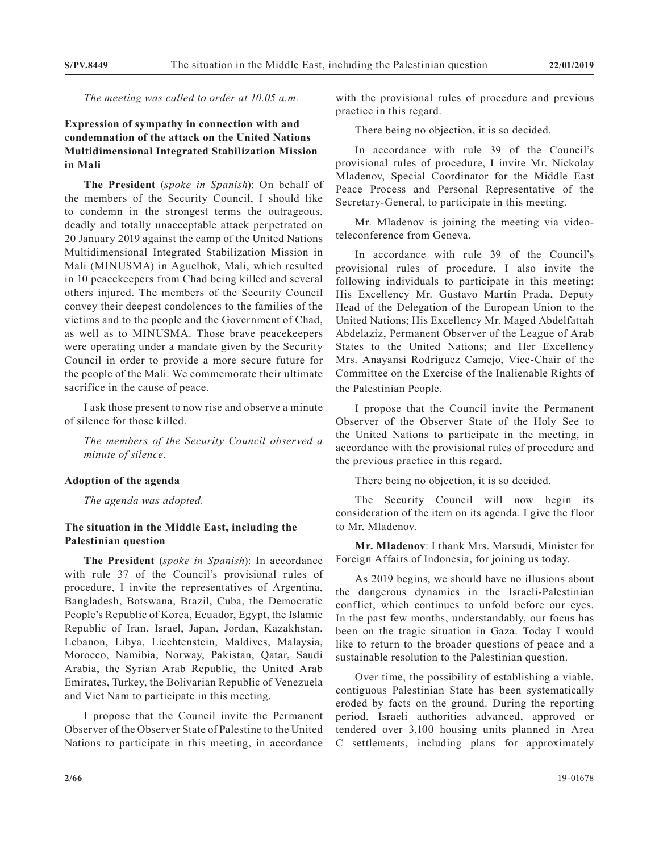*The meeting was called to order at 10.05 a.m.*

### **Expression of sympathy in connection with and condemnation of the attack on the United Nations Multidimensional Integrated Stabilization Mission in Mali**

**The President** (*spoke in Spanish*): On behalf of the members of the Security Council, I should like to condemn in the strongest terms the outrageous, deadly and totally unacceptable attack perpetrated on 20 January 2019 against the camp of the United Nations Multidimensional Integrated Stabilization Mission in Mali (MINUSMA) in Aguelhok, Mali, which resulted in 10 peacekeepers from Chad being killed and several others injured. The members of the Security Council convey their deepest condolences to the families of the victims and to the people and the Government of Chad, as well as to MINUSMA. Those brave peacekeepers were operating under a mandate given by the Security Council in order to provide a more secure future for the people of the Mali. We commemorate their ultimate sacrifice in the cause of peace.

I ask those present to now rise and observe a minute of silence for those killed.

*The members of the Security Council observed a minute of silence.*

#### **Adoption of the agenda**

*The agenda was adopted.*

#### **The situation in the Middle East, including the Palestinian question**

**The President** (*spoke in Spanish*): In accordance with rule 37 of the Council's provisional rules of procedure, I invite the representatives of Argentina, Bangladesh, Botswana, Brazil, Cuba, the Democratic People's Republic of Korea, Ecuador, Egypt, the Islamic Republic of Iran, Israel, Japan, Jordan, Kazakhstan, Lebanon, Libya, Liechtenstein, Maldives, Malaysia, Morocco, Namibia, Norway, Pakistan, Qatar, Saudi Arabia, the Syrian Arab Republic, the United Arab Emirates, Turkey, the Bolivarian Republic of Venezuela and Viet Nam to participate in this meeting.

I propose that the Council invite the Permanent Observer of the Observer State of Palestine to the United Nations to participate in this meeting, in accordance

with the provisional rules of procedure and previous practice in this regard.

There being no objection, it is so decided.

In accordance with rule 39 of the Council's provisional rules of procedure, I invite Mr. Nickolay Mladenov, Special Coordinator for the Middle East Peace Process and Personal Representative of the Secretary-General, to participate in this meeting.

Mr. Mladenov is joining the meeting via videoteleconference from Geneva.

In accordance with rule 39 of the Council's provisional rules of procedure, I also invite the following individuals to participate in this meeting: His Excellency Mr. Gustavo Martín Prada, Deputy Head of the Delegation of the European Union to the United Nations; His Excellency Mr. Maged Abdelfattah Abdelaziz, Permanent Observer of the League of Arab States to the United Nations; and Her Excellency Mrs. Anayansi Rodríguez Camejo, Vice-Chair of the Committee on the Exercise of the Inalienable Rights of the Palestinian People.

I propose that the Council invite the Permanent Observer of the Observer State of the Holy See to the United Nations to participate in the meeting, in accordance with the provisional rules of procedure and the previous practice in this regard.

There being no objection, it is so decided.

The Security Council will now begin its consideration of the item on its agenda. I give the floor to Mr. Mladenov.

**Mr. Mladenov**: I thank Mrs. Marsudi, Minister for Foreign Affairs of Indonesia, for joining us today.

As 2019 begins, we should have no illusions about the dangerous dynamics in the Israeli-Palestinian conflict, which continues to unfold before our eyes. In the past few months, understandably, our focus has been on the tragic situation in Gaza. Today I would like to return to the broader questions of peace and a sustainable resolution to the Palestinian question.

Over time, the possibility of establishing a viable, contiguous Palestinian State has been systematically eroded by facts on the ground. During the reporting period, Israeli authorities advanced, approved or tendered over 3,100 housing units planned in Area C settlements, including plans for approximately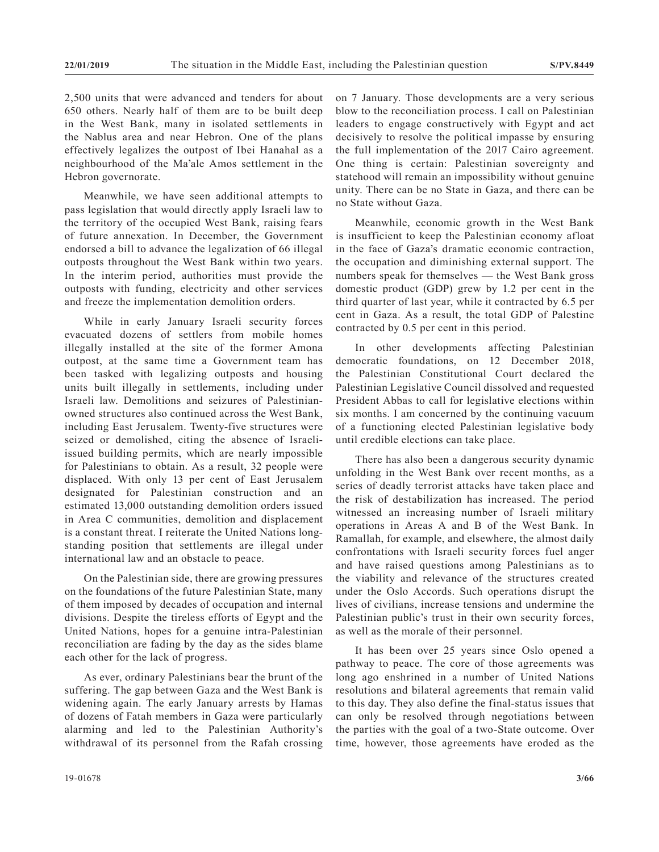2,500 units that were advanced and tenders for about 650 others. Nearly half of them are to be built deep in the West Bank, many in isolated settlements in the Nablus area and near Hebron. One of the plans effectively legalizes the outpost of Ibei Hanahal as a neighbourhood of the Ma'ale Amos settlement in the Hebron governorate.

Meanwhile, we have seen additional attempts to pass legislation that would directly apply Israeli law to the territory of the occupied West Bank, raising fears of future annexation. In December, the Government endorsed a bill to advance the legalization of 66 illegal outposts throughout the West Bank within two years. In the interim period, authorities must provide the outposts with funding, electricity and other services and freeze the implementation demolition orders.

While in early January Israeli security forces evacuated dozens of settlers from mobile homes illegally installed at the site of the former Amona outpost, at the same time a Government team has been tasked with legalizing outposts and housing units built illegally in settlements, including under Israeli law. Demolitions and seizures of Palestinianowned structures also continued across the West Bank, including East Jerusalem. Twenty-five structures were seized or demolished, citing the absence of Israeliissued building permits, which are nearly impossible for Palestinians to obtain. As a result, 32 people were displaced. With only 13 per cent of East Jerusalem designated for Palestinian construction and an estimated 13,000 outstanding demolition orders issued in Area C communities, demolition and displacement is a constant threat. I reiterate the United Nations longstanding position that settlements are illegal under international law and an obstacle to peace.

On the Palestinian side, there are growing pressures on the foundations of the future Palestinian State, many of them imposed by decades of occupation and internal divisions. Despite the tireless efforts of Egypt and the United Nations, hopes for a genuine intra-Palestinian reconciliation are fading by the day as the sides blame each other for the lack of progress.

As ever, ordinary Palestinians bear the brunt of the suffering. The gap between Gaza and the West Bank is widening again. The early January arrests by Hamas of dozens of Fatah members in Gaza were particularly alarming and led to the Palestinian Authority's withdrawal of its personnel from the Rafah crossing on 7 January. Those developments are a very serious blow to the reconciliation process. I call on Palestinian leaders to engage constructively with Egypt and act decisively to resolve the political impasse by ensuring the full implementation of the 2017 Cairo agreement. One thing is certain: Palestinian sovereignty and statehood will remain an impossibility without genuine unity. There can be no State in Gaza, and there can be no State without Gaza.

Meanwhile, economic growth in the West Bank is insufficient to keep the Palestinian economy afloat in the face of Gaza's dramatic economic contraction, the occupation and diminishing external support. The numbers speak for themselves — the West Bank gross domestic product (GDP) grew by 1.2 per cent in the third quarter of last year, while it contracted by 6.5 per cent in Gaza. As a result, the total GDP of Palestine contracted by 0.5 per cent in this period.

In other developments affecting Palestinian democratic foundations, on 12 December 2018, the Palestinian Constitutional Court declared the Palestinian Legislative Council dissolved and requested President Abbas to call for legislative elections within six months. I am concerned by the continuing vacuum of a functioning elected Palestinian legislative body until credible elections can take place.

There has also been a dangerous security dynamic unfolding in the West Bank over recent months, as a series of deadly terrorist attacks have taken place and the risk of destabilization has increased. The period witnessed an increasing number of Israeli military operations in Areas A and B of the West Bank. In Ramallah, for example, and elsewhere, the almost daily confrontations with Israeli security forces fuel anger and have raised questions among Palestinians as to the viability and relevance of the structures created under the Oslo Accords. Such operations disrupt the lives of civilians, increase tensions and undermine the Palestinian public's trust in their own security forces, as well as the morale of their personnel.

It has been over 25 years since Oslo opened a pathway to peace. The core of those agreements was long ago enshrined in a number of United Nations resolutions and bilateral agreements that remain valid to this day. They also define the final-status issues that can only be resolved through negotiations between the parties with the goal of a two-State outcome. Over time, however, those agreements have eroded as the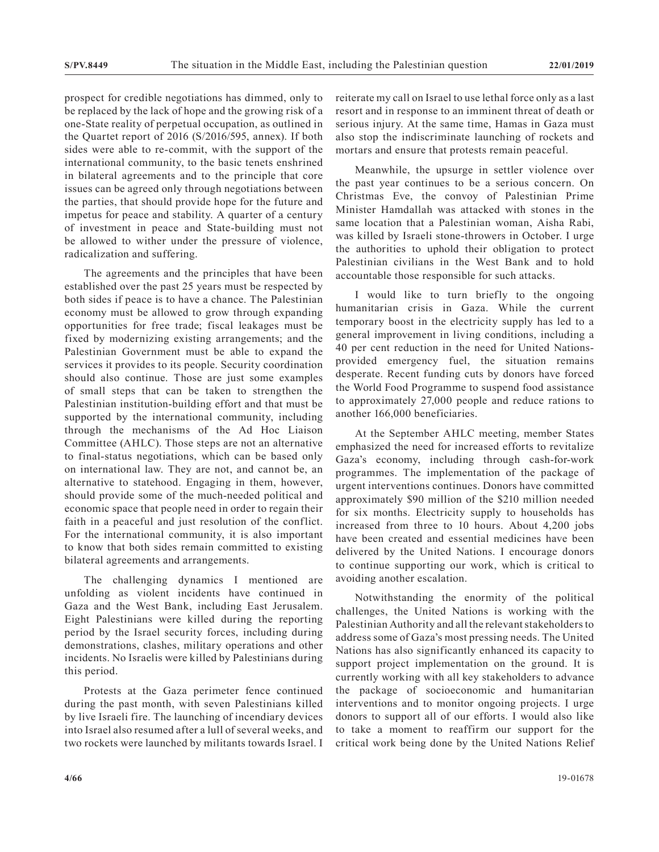prospect for credible negotiations has dimmed, only to be replaced by the lack of hope and the growing risk of a one-State reality of perpetual occupation, as outlined in the Quartet report of 2016 (S/2016/595, annex). If both sides were able to re-commit, with the support of the international community, to the basic tenets enshrined in bilateral agreements and to the principle that core issues can be agreed only through negotiations between the parties, that should provide hope for the future and impetus for peace and stability. A quarter of a century of investment in peace and State-building must not be allowed to wither under the pressure of violence, radicalization and suffering.

The agreements and the principles that have been established over the past 25 years must be respected by both sides if peace is to have a chance. The Palestinian economy must be allowed to grow through expanding opportunities for free trade; fiscal leakages must be fixed by modernizing existing arrangements; and the Palestinian Government must be able to expand the services it provides to its people. Security coordination should also continue. Those are just some examples of small steps that can be taken to strengthen the Palestinian institution-building effort and that must be supported by the international community, including through the mechanisms of the Ad Hoc Liaison Committee (AHLC). Those steps are not an alternative to final-status negotiations, which can be based only on international law. They are not, and cannot be, an alternative to statehood. Engaging in them, however, should provide some of the much-needed political and economic space that people need in order to regain their faith in a peaceful and just resolution of the conflict. For the international community, it is also important to know that both sides remain committed to existing bilateral agreements and arrangements.

The challenging dynamics I mentioned are unfolding as violent incidents have continued in Gaza and the West Bank, including East Jerusalem. Eight Palestinians were killed during the reporting period by the Israel security forces, including during demonstrations, clashes, military operations and other incidents. No Israelis were killed by Palestinians during this period.

Protests at the Gaza perimeter fence continued during the past month, with seven Palestinians killed by live Israeli fire. The launching of incendiary devices into Israel also resumed after a lull of several weeks, and two rockets were launched by militants towards Israel. I reiterate my call on Israel to use lethal force only as a last resort and in response to an imminent threat of death or serious injury. At the same time, Hamas in Gaza must also stop the indiscriminate launching of rockets and mortars and ensure that protests remain peaceful.

Meanwhile, the upsurge in settler violence over the past year continues to be a serious concern. On Christmas Eve, the convoy of Palestinian Prime Minister Hamdallah was attacked with stones in the same location that a Palestinian woman, Aisha Rabi, was killed by Israeli stone-throwers in October. I urge the authorities to uphold their obligation to protect Palestinian civilians in the West Bank and to hold accountable those responsible for such attacks.

I would like to turn briefly to the ongoing humanitarian crisis in Gaza. While the current temporary boost in the electricity supply has led to a general improvement in living conditions, including a 40 per cent reduction in the need for United Nationsprovided emergency fuel, the situation remains desperate. Recent funding cuts by donors have forced the World Food Programme to suspend food assistance to approximately 27,000 people and reduce rations to another 166,000 beneficiaries.

At the September AHLC meeting, member States emphasized the need for increased efforts to revitalize Gaza's economy, including through cash-for-work programmes. The implementation of the package of urgent interventions continues. Donors have committed approximately \$90 million of the \$210 million needed for six months. Electricity supply to households has increased from three to 10 hours. About 4,200 jobs have been created and essential medicines have been delivered by the United Nations. I encourage donors to continue supporting our work, which is critical to avoiding another escalation.

Notwithstanding the enormity of the political challenges, the United Nations is working with the Palestinian Authority and all the relevant stakeholders to address some of Gaza's most pressing needs. The United Nations has also significantly enhanced its capacity to support project implementation on the ground. It is currently working with all key stakeholders to advance the package of socioeconomic and humanitarian interventions and to monitor ongoing projects. I urge donors to support all of our efforts. I would also like to take a moment to reaffirm our support for the critical work being done by the United Nations Relief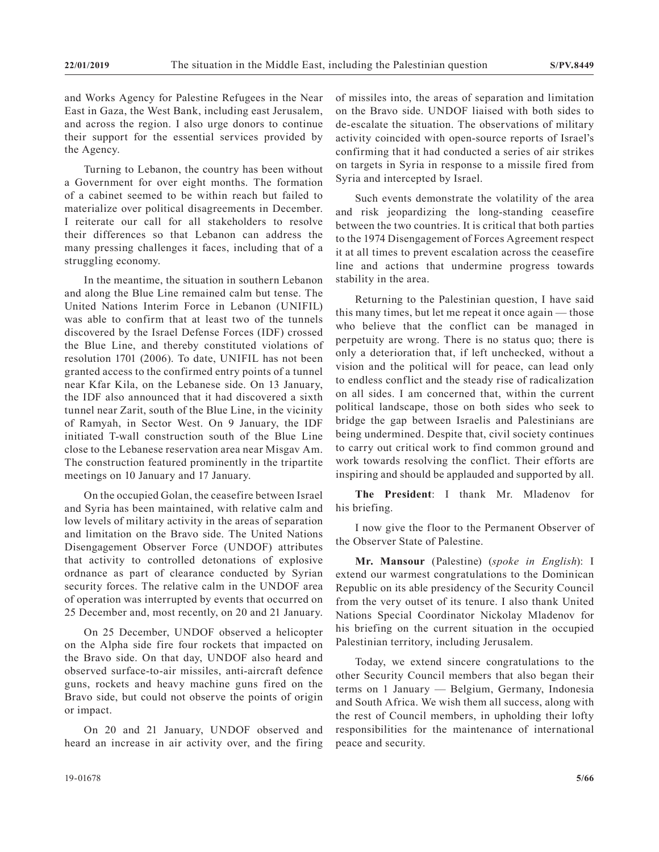and Works Agency for Palestine Refugees in the Near East in Gaza, the West Bank, including east Jerusalem, and across the region. I also urge donors to continue their support for the essential services provided by the Agency.

Turning to Lebanon, the country has been without a Government for over eight months. The formation of a cabinet seemed to be within reach but failed to materialize over political disagreements in December. I reiterate our call for all stakeholders to resolve their differences so that Lebanon can address the many pressing challenges it faces, including that of a struggling economy.

In the meantime, the situation in southern Lebanon and along the Blue Line remained calm but tense. The United Nations Interim Force in Lebanon (UNIFIL) was able to confirm that at least two of the tunnels discovered by the Israel Defense Forces (IDF) crossed the Blue Line, and thereby constituted violations of resolution 1701 (2006). To date, UNIFIL has not been granted access to the confirmed entry points of a tunnel near Kfar Kila, on the Lebanese side. On 13 January, the IDF also announced that it had discovered a sixth tunnel near Zarit, south of the Blue Line, in the vicinity of Ramyah, in Sector West. On 9 January, the IDF initiated T-wall construction south of the Blue Line close to the Lebanese reservation area near Misgav Am. The construction featured prominently in the tripartite meetings on 10 January and 17 January.

On the occupied Golan, the ceasefire between Israel and Syria has been maintained, with relative calm and low levels of military activity in the areas of separation and limitation on the Bravo side. The United Nations Disengagement Observer Force (UNDOF) attributes that activity to controlled detonations of explosive ordnance as part of clearance conducted by Syrian security forces. The relative calm in the UNDOF area of operation was interrupted by events that occurred on 25 December and, most recently, on 20 and 21 January.

On 25 December, UNDOF observed a helicopter on the Alpha side fire four rockets that impacted on the Bravo side. On that day, UNDOF also heard and observed surface-to-air missiles, anti-aircraft defence guns, rockets and heavy machine guns fired on the Bravo side, but could not observe the points of origin or impact.

On 20 and 21 January, UNDOF observed and heard an increase in air activity over, and the firing of missiles into, the areas of separation and limitation on the Bravo side. UNDOF liaised with both sides to de-escalate the situation. The observations of military activity coincided with open-source reports of Israel's confirming that it had conducted a series of air strikes on targets in Syria in response to a missile fired from Syria and intercepted by Israel.

Such events demonstrate the volatility of the area and risk jeopardizing the long-standing ceasefire between the two countries. It is critical that both parties to the 1974 Disengagement of Forces Agreement respect it at all times to prevent escalation across the ceasefire line and actions that undermine progress towards stability in the area.

Returning to the Palestinian question, I have said this many times, but let me repeat it once again — those who believe that the conflict can be managed in perpetuity are wrong. There is no status quo; there is only a deterioration that, if left unchecked, without a vision and the political will for peace, can lead only to endless conflict and the steady rise of radicalization on all sides. I am concerned that, within the current political landscape, those on both sides who seek to bridge the gap between Israelis and Palestinians are being undermined. Despite that, civil society continues to carry out critical work to find common ground and work towards resolving the conflict. Their efforts are inspiring and should be applauded and supported by all.

**The President**: I thank Mr. Mladenov for his briefing.

I now give the floor to the Permanent Observer of the Observer State of Palestine.

**Mr. Mansour** (Palestine) (*spoke in English*): I extend our warmest congratulations to the Dominican Republic on its able presidency of the Security Council from the very outset of its tenure. I also thank United Nations Special Coordinator Nickolay Mladenov for his briefing on the current situation in the occupied Palestinian territory, including Jerusalem.

Today, we extend sincere congratulations to the other Security Council members that also began their terms on 1 January — Belgium, Germany, Indonesia and South Africa. We wish them all success, along with the rest of Council members, in upholding their lofty responsibilities for the maintenance of international peace and security.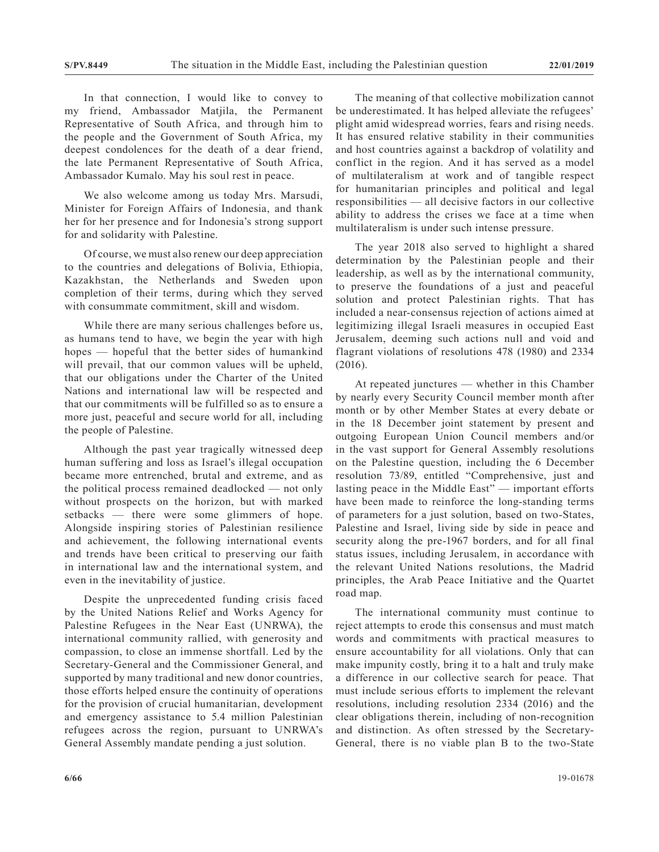In that connection, I would like to convey to my friend, Ambassador Matjila, the Permanent Representative of South Africa, and through him to the people and the Government of South Africa, my deepest condolences for the death of a dear friend, the late Permanent Representative of South Africa, Ambassador Kumalo. May his soul rest in peace.

We also welcome among us today Mrs. Marsudi, Minister for Foreign Affairs of Indonesia, and thank her for her presence and for Indonesia's strong support for and solidarity with Palestine.

Of course, we must also renew our deep appreciation to the countries and delegations of Bolivia, Ethiopia, Kazakhstan, the Netherlands and Sweden upon completion of their terms, during which they served with consummate commitment, skill and wisdom.

While there are many serious challenges before us, as humans tend to have, we begin the year with high hopes — hopeful that the better sides of humankind will prevail, that our common values will be upheld, that our obligations under the Charter of the United Nations and international law will be respected and that our commitments will be fulfilled so as to ensure a more just, peaceful and secure world for all, including the people of Palestine.

Although the past year tragically witnessed deep human suffering and loss as Israel's illegal occupation became more entrenched, brutal and extreme, and as the political process remained deadlocked — not only without prospects on the horizon, but with marked setbacks — there were some glimmers of hope. Alongside inspiring stories of Palestinian resilience and achievement, the following international events and trends have been critical to preserving our faith in international law and the international system, and even in the inevitability of justice.

Despite the unprecedented funding crisis faced by the United Nations Relief and Works Agency for Palestine Refugees in the Near East (UNRWA), the international community rallied, with generosity and compassion, to close an immense shortfall. Led by the Secretary-General and the Commissioner General, and supported by many traditional and new donor countries, those efforts helped ensure the continuity of operations for the provision of crucial humanitarian, development and emergency assistance to 5.4 million Palestinian refugees across the region, pursuant to UNRWA's General Assembly mandate pending a just solution.

The meaning of that collective mobilization cannot be underestimated. It has helped alleviate the refugees' plight amid widespread worries, fears and rising needs. It has ensured relative stability in their communities and host countries against a backdrop of volatility and conflict in the region. And it has served as a model of multilateralism at work and of tangible respect for humanitarian principles and political and legal responsibilities — all decisive factors in our collective ability to address the crises we face at a time when multilateralism is under such intense pressure.

The year 2018 also served to highlight a shared determination by the Palestinian people and their leadership, as well as by the international community, to preserve the foundations of a just and peaceful solution and protect Palestinian rights. That has included a near-consensus rejection of actions aimed at legitimizing illegal Israeli measures in occupied East Jerusalem, deeming such actions null and void and flagrant violations of resolutions 478 (1980) and 2334 (2016).

At repeated junctures — whether in this Chamber by nearly every Security Council member month after month or by other Member States at every debate or in the 18 December joint statement by present and outgoing European Union Council members and/or in the vast support for General Assembly resolutions on the Palestine question, including the 6 December resolution 73/89, entitled "Comprehensive, just and lasting peace in the Middle East" — important efforts have been made to reinforce the long-standing terms of parameters for a just solution, based on two-States, Palestine and Israel, living side by side in peace and security along the pre-1967 borders, and for all final status issues, including Jerusalem, in accordance with the relevant United Nations resolutions, the Madrid principles, the Arab Peace Initiative and the Quartet road map.

The international community must continue to reject attempts to erode this consensus and must match words and commitments with practical measures to ensure accountability for all violations. Only that can make impunity costly, bring it to a halt and truly make a difference in our collective search for peace. That must include serious efforts to implement the relevant resolutions, including resolution 2334 (2016) and the clear obligations therein, including of non-recognition and distinction. As often stressed by the Secretary-General, there is no viable plan B to the two-State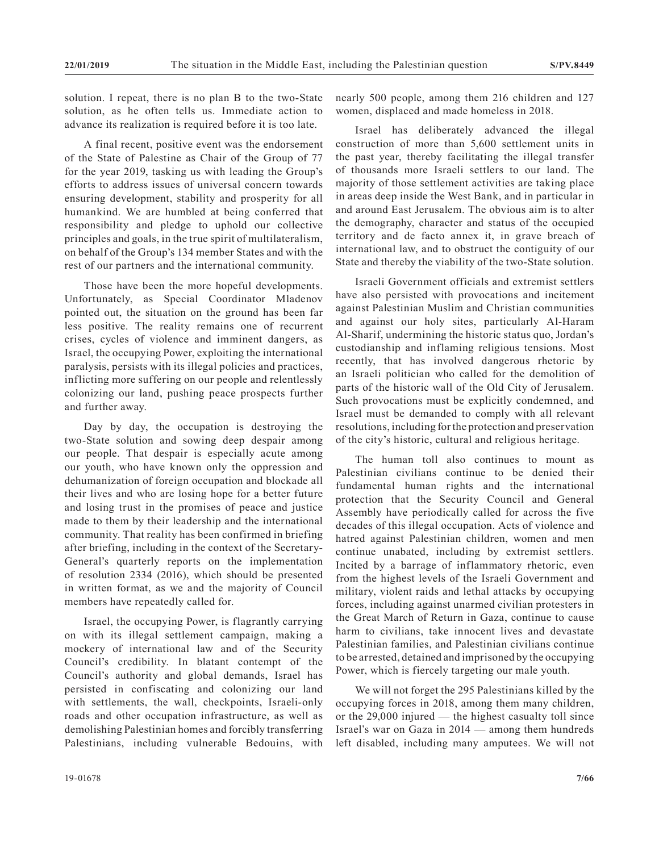solution. I repeat, there is no plan B to the two-State solution, as he often tells us. Immediate action to advance its realization is required before it is too late.

A final recent, positive event was the endorsement of the State of Palestine as Chair of the Group of 77 for the year 2019, tasking us with leading the Group's efforts to address issues of universal concern towards ensuring development, stability and prosperity for all humankind. We are humbled at being conferred that responsibility and pledge to uphold our collective principles and goals, in the true spirit of multilateralism, on behalf of the Group's 134 member States and with the rest of our partners and the international community.

Those have been the more hopeful developments. Unfortunately, as Special Coordinator Mladenov pointed out, the situation on the ground has been far less positive. The reality remains one of recurrent crises, cycles of violence and imminent dangers, as Israel, the occupying Power, exploiting the international paralysis, persists with its illegal policies and practices, inflicting more suffering on our people and relentlessly colonizing our land, pushing peace prospects further and further away.

Day by day, the occupation is destroying the two-State solution and sowing deep despair among our people. That despair is especially acute among our youth, who have known only the oppression and dehumanization of foreign occupation and blockade all their lives and who are losing hope for a better future and losing trust in the promises of peace and justice made to them by their leadership and the international community. That reality has been confirmed in briefing after briefing, including in the context of the Secretary-General's quarterly reports on the implementation of resolution 2334 (2016), which should be presented in written format, as we and the majority of Council members have repeatedly called for.

Israel, the occupying Power, is flagrantly carrying on with its illegal settlement campaign, making a mockery of international law and of the Security Council's credibility. In blatant contempt of the Council's authority and global demands, Israel has persisted in confiscating and colonizing our land with settlements, the wall, checkpoints, Israeli-only roads and other occupation infrastructure, as well as demolishing Palestinian homes and forcibly transferring Palestinians, including vulnerable Bedouins, with nearly 500 people, among them 216 children and 127 women, displaced and made homeless in 2018.

Israel has deliberately advanced the illegal construction of more than 5,600 settlement units in the past year, thereby facilitating the illegal transfer of thousands more Israeli settlers to our land. The majority of those settlement activities are taking place in areas deep inside the West Bank, and in particular in and around East Jerusalem. The obvious aim is to alter the demography, character and status of the occupied territory and de facto annex it, in grave breach of international law, and to obstruct the contiguity of our State and thereby the viability of the two-State solution.

Israeli Government officials and extremist settlers have also persisted with provocations and incitement against Palestinian Muslim and Christian communities and against our holy sites, particularly Al-Haram Al-Sharif, undermining the historic status quo, Jordan's custodianship and inflaming religious tensions. Most recently, that has involved dangerous rhetoric by an Israeli politician who called for the demolition of parts of the historic wall of the Old City of Jerusalem. Such provocations must be explicitly condemned, and Israel must be demanded to comply with all relevant resolutions, including for the protection and preservation of the city's historic, cultural and religious heritage.

The human toll also continues to mount as Palestinian civilians continue to be denied their fundamental human rights and the international protection that the Security Council and General Assembly have periodically called for across the five decades of this illegal occupation. Acts of violence and hatred against Palestinian children, women and men continue unabated, including by extremist settlers. Incited by a barrage of inflammatory rhetoric, even from the highest levels of the Israeli Government and military, violent raids and lethal attacks by occupying forces, including against unarmed civilian protesters in the Great March of Return in Gaza, continue to cause harm to civilians, take innocent lives and devastate Palestinian families, and Palestinian civilians continue to be arrested, detained and imprisoned by the occupying Power, which is fiercely targeting our male youth.

We will not forget the 295 Palestinians killed by the occupying forces in 2018, among them many children, or the 29,000 injured — the highest casualty toll since Israel's war on Gaza in 2014 — among them hundreds left disabled, including many amputees. We will not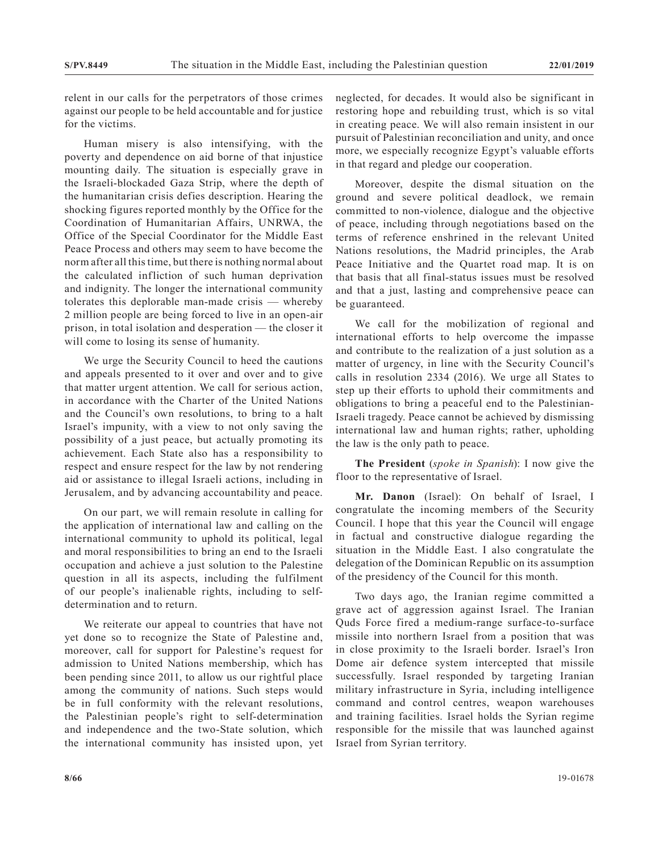relent in our calls for the perpetrators of those crimes against our people to be held accountable and for justice for the victims.

Human misery is also intensifying, with the poverty and dependence on aid borne of that injustice mounting daily. The situation is especially grave in the Israeli-blockaded Gaza Strip, where the depth of the humanitarian crisis defies description. Hearing the shocking figures reported monthly by the Office for the Coordination of Humanitarian Affairs, UNRWA, the Office of the Special Coordinator for the Middle East Peace Process and others may seem to have become the norm after all this time, but there is nothing normal about the calculated infliction of such human deprivation and indignity. The longer the international community tolerates this deplorable man-made crisis — whereby 2 million people are being forced to live in an open-air prison, in total isolation and desperation — the closer it will come to losing its sense of humanity.

We urge the Security Council to heed the cautions and appeals presented to it over and over and to give that matter urgent attention. We call for serious action, in accordance with the Charter of the United Nations and the Council's own resolutions, to bring to a halt Israel's impunity, with a view to not only saving the possibility of a just peace, but actually promoting its achievement. Each State also has a responsibility to respect and ensure respect for the law by not rendering aid or assistance to illegal Israeli actions, including in Jerusalem, and by advancing accountability and peace.

On our part, we will remain resolute in calling for the application of international law and calling on the international community to uphold its political, legal and moral responsibilities to bring an end to the Israeli occupation and achieve a just solution to the Palestine question in all its aspects, including the fulfilment of our people's inalienable rights, including to selfdetermination and to return.

We reiterate our appeal to countries that have not yet done so to recognize the State of Palestine and, moreover, call for support for Palestine's request for admission to United Nations membership, which has been pending since 2011, to allow us our rightful place among the community of nations. Such steps would be in full conformity with the relevant resolutions, the Palestinian people's right to self-determination and independence and the two-State solution, which the international community has insisted upon, yet neglected, for decades. It would also be significant in restoring hope and rebuilding trust, which is so vital in creating peace. We will also remain insistent in our pursuit of Palestinian reconciliation and unity, and once more, we especially recognize Egypt's valuable efforts in that regard and pledge our cooperation.

Moreover, despite the dismal situation on the ground and severe political deadlock, we remain committed to non-violence, dialogue and the objective of peace, including through negotiations based on the terms of reference enshrined in the relevant United Nations resolutions, the Madrid principles, the Arab Peace Initiative and the Quartet road map. It is on that basis that all final-status issues must be resolved and that a just, lasting and comprehensive peace can be guaranteed.

We call for the mobilization of regional and international efforts to help overcome the impasse and contribute to the realization of a just solution as a matter of urgency, in line with the Security Council's calls in resolution 2334 (2016). We urge all States to step up their efforts to uphold their commitments and obligations to bring a peaceful end to the Palestinian-Israeli tragedy. Peace cannot be achieved by dismissing international law and human rights; rather, upholding the law is the only path to peace.

**The President** (*spoke in Spanish*): I now give the floor to the representative of Israel.

**Mr. Danon** (Israel): On behalf of Israel, I congratulate the incoming members of the Security Council. I hope that this year the Council will engage in factual and constructive dialogue regarding the situation in the Middle East. I also congratulate the delegation of the Dominican Republic on its assumption of the presidency of the Council for this month.

Two days ago, the Iranian regime committed a grave act of aggression against Israel. The Iranian Quds Force fired a medium-range surface-to-surface missile into northern Israel from a position that was in close proximity to the Israeli border. Israel's Iron Dome air defence system intercepted that missile successfully. Israel responded by targeting Iranian military infrastructure in Syria, including intelligence command and control centres, weapon warehouses and training facilities. Israel holds the Syrian regime responsible for the missile that was launched against Israel from Syrian territory.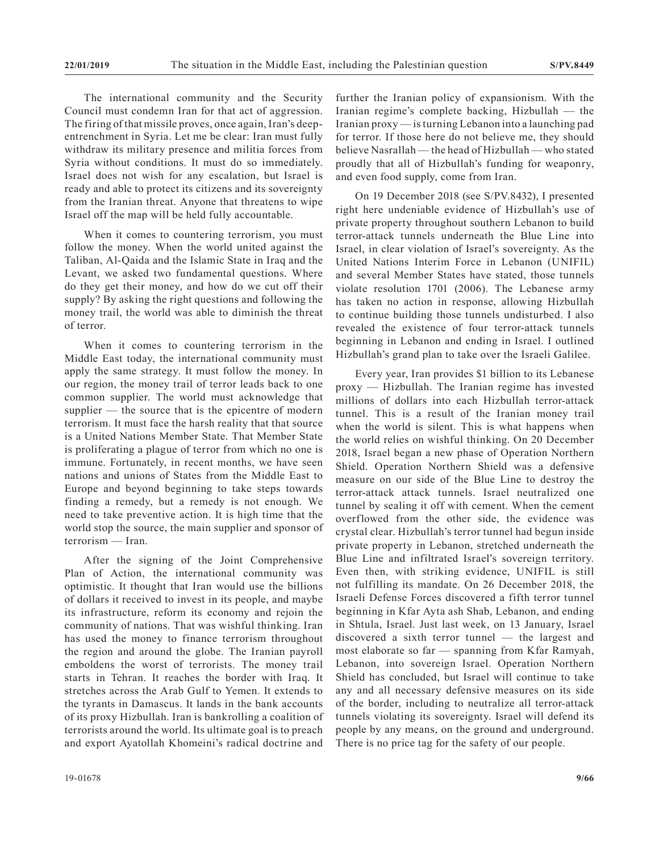The international community and the Security Council must condemn Iran for that act of aggression. The firing of that missile proves, once again, Iran's deepentrenchment in Syria. Let me be clear: Iran must fully withdraw its military presence and militia forces from Syria without conditions. It must do so immediately. Israel does not wish for any escalation, but Israel is ready and able to protect its citizens and its sovereignty from the Iranian threat. Anyone that threatens to wipe Israel off the map will be held fully accountable.

When it comes to countering terrorism, you must follow the money. When the world united against the Taliban, Al-Qaida and the Islamic State in Iraq and the Levant, we asked two fundamental questions. Where do they get their money, and how do we cut off their supply? By asking the right questions and following the money trail, the world was able to diminish the threat of terror.

When it comes to countering terrorism in the Middle East today, the international community must apply the same strategy. It must follow the money. In our region, the money trail of terror leads back to one common supplier. The world must acknowledge that supplier — the source that is the epicentre of modern terrorism. It must face the harsh reality that that source is a United Nations Member State. That Member State is proliferating a plague of terror from which no one is immune. Fortunately, in recent months, we have seen nations and unions of States from the Middle East to Europe and beyond beginning to take steps towards finding a remedy, but a remedy is not enough. We need to take preventive action. It is high time that the world stop the source, the main supplier and sponsor of terrorism — Iran.

After the signing of the Joint Comprehensive Plan of Action, the international community was optimistic. It thought that Iran would use the billions of dollars it received to invest in its people, and maybe its infrastructure, reform its economy and rejoin the community of nations. That was wishful thinking. Iran has used the money to finance terrorism throughout the region and around the globe. The Iranian payroll emboldens the worst of terrorists. The money trail starts in Tehran. It reaches the border with Iraq. It stretches across the Arab Gulf to Yemen. It extends to the tyrants in Damascus. It lands in the bank accounts of its proxy Hizbullah. Iran is bankrolling a coalition of terrorists around the world. Its ultimate goal is to preach and export Ayatollah Khomeini's radical doctrine and

further the Iranian policy of expansionism. With the Iranian regime's complete backing, Hizbullah — the Iranian proxy — is turning Lebanon into a launching pad for terror. If those here do not believe me, they should believe Nasrallah — the head of Hizbullah — who stated proudly that all of Hizbullah's funding for weaponry, and even food supply, come from Iran.

On 19 December 2018 (see S/PV.8432), I presented right here undeniable evidence of Hizbullah's use of private property throughout southern Lebanon to build terror-attack tunnels underneath the Blue Line into Israel, in clear violation of Israel's sovereignty. As the United Nations Interim Force in Lebanon (UNIFIL) and several Member States have stated, those tunnels violate resolution 1701 (2006). The Lebanese army has taken no action in response, allowing Hizbullah to continue building those tunnels undisturbed. I also revealed the existence of four terror-attack tunnels beginning in Lebanon and ending in Israel. I outlined Hizbullah's grand plan to take over the Israeli Galilee.

Every year, Iran provides \$1 billion to its Lebanese proxy — Hizbullah. The Iranian regime has invested millions of dollars into each Hizbullah terror-attack tunnel. This is a result of the Iranian money trail when the world is silent. This is what happens when the world relies on wishful thinking. On 20 December 2018, Israel began a new phase of Operation Northern Shield. Operation Northern Shield was a defensive measure on our side of the Blue Line to destroy the terror-attack attack tunnels. Israel neutralized one tunnel by sealing it off with cement. When the cement overflowed from the other side, the evidence was crystal clear. Hizbullah's terror tunnel had begun inside private property in Lebanon, stretched underneath the Blue Line and infiltrated Israel's sovereign territory. Even then, with striking evidence, UNIFIL is still not fulfilling its mandate. On 26 December 2018, the Israeli Defense Forces discovered a fifth terror tunnel beginning in Kfar Ayta ash Shab, Lebanon, and ending in Shtula, Israel. Just last week, on 13 January, Israel discovered a sixth terror tunnel — the largest and most elaborate so far — spanning from Kfar Ramyah, Lebanon, into sovereign Israel. Operation Northern Shield has concluded, but Israel will continue to take any and all necessary defensive measures on its side of the border, including to neutralize all terror-attack tunnels violating its sovereignty. Israel will defend its people by any means, on the ground and underground. There is no price tag for the safety of our people.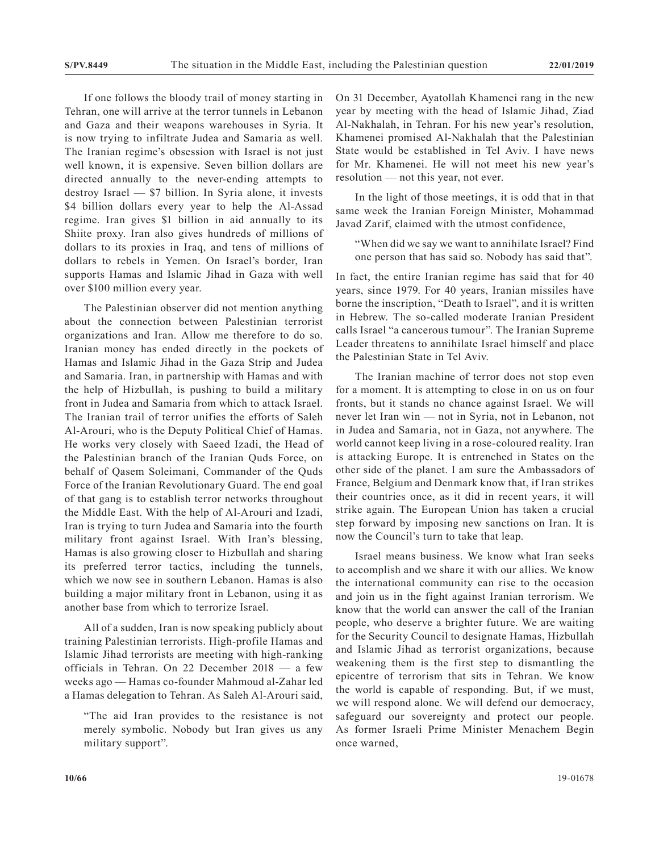If one follows the bloody trail of money starting in Tehran, one will arrive at the terror tunnels in Lebanon and Gaza and their weapons warehouses in Syria. It is now trying to infiltrate Judea and Samaria as well. The Iranian regime's obsession with Israel is not just well known, it is expensive. Seven billion dollars are directed annually to the never-ending attempts to destroy Israel — \$7 billion. In Syria alone, it invests \$4 billion dollars every year to help the Al-Assad regime. Iran gives \$1 billion in aid annually to its Shiite proxy. Iran also gives hundreds of millions of dollars to its proxies in Iraq, and tens of millions of dollars to rebels in Yemen. On Israel's border, Iran supports Hamas and Islamic Jihad in Gaza with well over \$100 million every year.

The Palestinian observer did not mention anything about the connection between Palestinian terrorist organizations and Iran. Allow me therefore to do so. Iranian money has ended directly in the pockets of Hamas and Islamic Jihad in the Gaza Strip and Judea and Samaria. Iran, in partnership with Hamas and with the help of Hizbullah, is pushing to build a military front in Judea and Samaria from which to attack Israel. The Iranian trail of terror unifies the efforts of Saleh Al-Arouri, who is the Deputy Political Chief of Hamas. He works very closely with Saeed Izadi, the Head of the Palestinian branch of the Iranian Quds Force, on behalf of Qasem Soleimani, Commander of the Quds Force of the Iranian Revolutionary Guard. The end goal of that gang is to establish terror networks throughout the Middle East. With the help of Al-Arouri and Izadi, Iran is trying to turn Judea and Samaria into the fourth military front against Israel. With Iran's blessing, Hamas is also growing closer to Hizbullah and sharing its preferred terror tactics, including the tunnels, which we now see in southern Lebanon. Hamas is also building a major military front in Lebanon, using it as another base from which to terrorize Israel.

All of a sudden, Iran is now speaking publicly about training Palestinian terrorists. High-profile Hamas and Islamic Jihad terrorists are meeting with high-ranking officials in Tehran. On 22 December 2018 — a few weeks ago — Hamas co-founder Mahmoud al-Zahar led a Hamas delegation to Tehran. As Saleh Al-Arouri said,

"The aid Iran provides to the resistance is not merely symbolic. Nobody but Iran gives us any military support".

On 31 December, Ayatollah Khamenei rang in the new year by meeting with the head of Islamic Jihad, Ziad Al-Nakhalah, in Tehran. For his new year's resolution, Khamenei promised Al-Nakhalah that the Palestinian State would be established in Tel Aviv. I have news for Mr. Khamenei. He will not meet his new year's resolution — not this year, not ever.

In the light of those meetings, it is odd that in that same week the Iranian Foreign Minister, Mohammad Javad Zarif, claimed with the utmost confidence,

"When did we say we want to annihilate Israel? Find one person that has said so. Nobody has said that".

In fact, the entire Iranian regime has said that for 40 years, since 1979. For 40 years, Iranian missiles have borne the inscription, "Death to Israel", and it is written in Hebrew. The so-called moderate Iranian President calls Israel "a cancerous tumour". The Iranian Supreme Leader threatens to annihilate Israel himself and place the Palestinian State in Tel Aviv.

The Iranian machine of terror does not stop even for a moment. It is attempting to close in on us on four fronts, but it stands no chance against Israel. We will never let Iran win — not in Syria, not in Lebanon, not in Judea and Samaria, not in Gaza, not anywhere. The world cannot keep living in a rose-coloured reality. Iran is attacking Europe. It is entrenched in States on the other side of the planet. I am sure the Ambassadors of France, Belgium and Denmark know that, if Iran strikes their countries once, as it did in recent years, it will strike again. The European Union has taken a crucial step forward by imposing new sanctions on Iran. It is now the Council's turn to take that leap.

Israel means business. We know what Iran seeks to accomplish and we share it with our allies. We know the international community can rise to the occasion and join us in the fight against Iranian terrorism. We know that the world can answer the call of the Iranian people, who deserve a brighter future. We are waiting for the Security Council to designate Hamas, Hizbullah and Islamic Jihad as terrorist organizations, because weakening them is the first step to dismantling the epicentre of terrorism that sits in Tehran. We know the world is capable of responding. But, if we must, we will respond alone. We will defend our democracy, safeguard our sovereignty and protect our people. As former Israeli Prime Minister Menachem Begin once warned,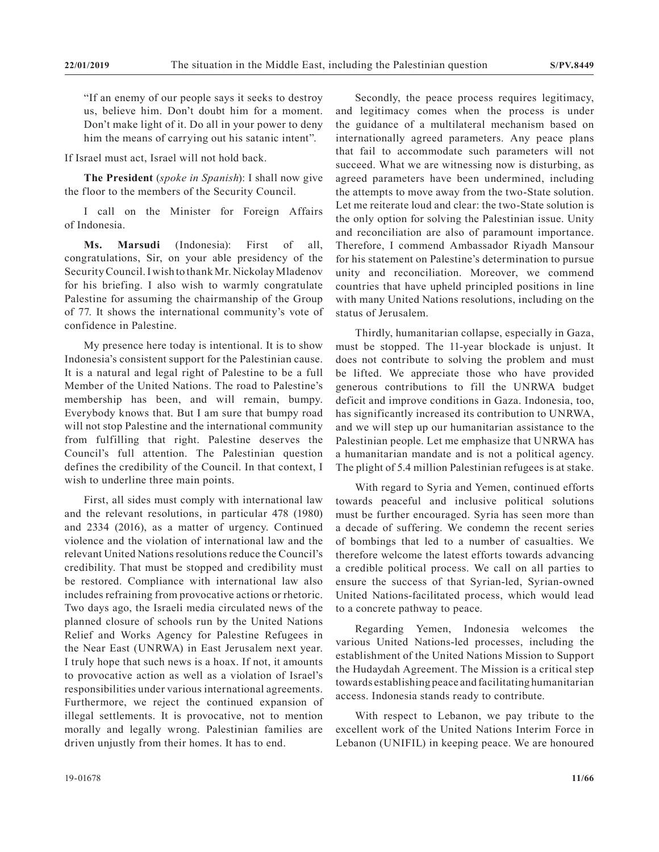"If an enemy of our people says it seeks to destroy us, believe him. Don't doubt him for a moment. Don't make light of it. Do all in your power to deny him the means of carrying out his satanic intent".

If Israel must act, Israel will not hold back.

**The President** (*spoke in Spanish*): I shall now give the floor to the members of the Security Council.

I call on the Minister for Foreign Affairs of Indonesia.

**Ms. Marsudi** (Indonesia): First of all, congratulations, Sir, on your able presidency of the Security Council. I wish to thank Mr. Nickolay Mladenov for his briefing. I also wish to warmly congratulate Palestine for assuming the chairmanship of the Group of 77. It shows the international community's vote of confidence in Palestine.

My presence here today is intentional. It is to show Indonesia's consistent support for the Palestinian cause. It is a natural and legal right of Palestine to be a full Member of the United Nations. The road to Palestine's membership has been, and will remain, bumpy. Everybody knows that. But I am sure that bumpy road will not stop Palestine and the international community from fulfilling that right. Palestine deserves the Council's full attention. The Palestinian question defines the credibility of the Council. In that context, I wish to underline three main points.

First, all sides must comply with international law and the relevant resolutions, in particular 478 (1980) and 2334 (2016), as a matter of urgency. Continued violence and the violation of international law and the relevant United Nations resolutions reduce the Council's credibility. That must be stopped and credibility must be restored. Compliance with international law also includes refraining from provocative actions or rhetoric. Two days ago, the Israeli media circulated news of the planned closure of schools run by the United Nations Relief and Works Agency for Palestine Refugees in the Near East (UNRWA) in East Jerusalem next year. I truly hope that such news is a hoax. If not, it amounts to provocative action as well as a violation of Israel's responsibilities under various international agreements. Furthermore, we reject the continued expansion of illegal settlements. It is provocative, not to mention morally and legally wrong. Palestinian families are driven unjustly from their homes. It has to end.

Secondly, the peace process requires legitimacy, and legitimacy comes when the process is under the guidance of a multilateral mechanism based on internationally agreed parameters. Any peace plans that fail to accommodate such parameters will not succeed. What we are witnessing now is disturbing, as agreed parameters have been undermined, including the attempts to move away from the two-State solution. Let me reiterate loud and clear: the two-State solution is the only option for solving the Palestinian issue. Unity and reconciliation are also of paramount importance. Therefore, I commend Ambassador Riyadh Mansour for his statement on Palestine's determination to pursue unity and reconciliation. Moreover, we commend countries that have upheld principled positions in line with many United Nations resolutions, including on the status of Jerusalem.

Thirdly, humanitarian collapse, especially in Gaza, must be stopped. The 11-year blockade is unjust. It does not contribute to solving the problem and must be lifted. We appreciate those who have provided generous contributions to fill the UNRWA budget deficit and improve conditions in Gaza. Indonesia, too, has significantly increased its contribution to UNRWA, and we will step up our humanitarian assistance to the Palestinian people. Let me emphasize that UNRWA has a humanitarian mandate and is not a political agency. The plight of 5.4 million Palestinian refugees is at stake.

With regard to Syria and Yemen, continued efforts towards peaceful and inclusive political solutions must be further encouraged. Syria has seen more than a decade of suffering. We condemn the recent series of bombings that led to a number of casualties. We therefore welcome the latest efforts towards advancing a credible political process. We call on all parties to ensure the success of that Syrian-led, Syrian-owned United Nations-facilitated process, which would lead to a concrete pathway to peace.

Regarding Yemen, Indonesia welcomes the various United Nations-led processes, including the establishment of the United Nations Mission to Support the Hudaydah Agreement. The Mission is a critical step towards establishing peace and facilitating humanitarian access. Indonesia stands ready to contribute.

With respect to Lebanon, we pay tribute to the excellent work of the United Nations Interim Force in Lebanon (UNIFIL) in keeping peace. We are honoured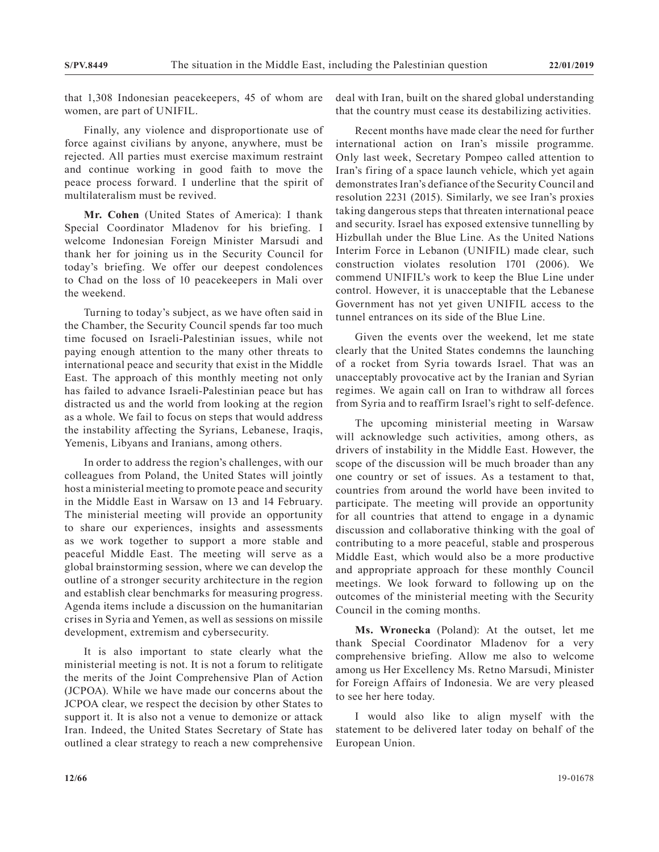that 1,308 Indonesian peacekeepers, 45 of whom are women, are part of UNIFIL.

Finally, any violence and disproportionate use of force against civilians by anyone, anywhere, must be rejected. All parties must exercise maximum restraint and continue working in good faith to move the peace process forward. I underline that the spirit of multilateralism must be revived.

**Mr. Cohen** (United States of America): I thank Special Coordinator Mladenov for his briefing. I welcome Indonesian Foreign Minister Marsudi and thank her for joining us in the Security Council for today's briefing. We offer our deepest condolences to Chad on the loss of 10 peacekeepers in Mali over the weekend.

Turning to today's subject, as we have often said in the Chamber, the Security Council spends far too much time focused on Israeli-Palestinian issues, while not paying enough attention to the many other threats to international peace and security that exist in the Middle East. The approach of this monthly meeting not only has failed to advance Israeli-Palestinian peace but has distracted us and the world from looking at the region as a whole. We fail to focus on steps that would address the instability affecting the Syrians, Lebanese, Iraqis, Yemenis, Libyans and Iranians, among others.

In order to address the region's challenges, with our colleagues from Poland, the United States will jointly host a ministerial meeting to promote peace and security in the Middle East in Warsaw on 13 and 14 February. The ministerial meeting will provide an opportunity to share our experiences, insights and assessments as we work together to support a more stable and peaceful Middle East. The meeting will serve as a global brainstorming session, where we can develop the outline of a stronger security architecture in the region and establish clear benchmarks for measuring progress. Agenda items include a discussion on the humanitarian crises in Syria and Yemen, as well as sessions on missile development, extremism and cybersecurity.

It is also important to state clearly what the ministerial meeting is not. It is not a forum to relitigate the merits of the Joint Comprehensive Plan of Action (JCPOA). While we have made our concerns about the JCPOA clear, we respect the decision by other States to support it. It is also not a venue to demonize or attack Iran. Indeed, the United States Secretary of State has outlined a clear strategy to reach a new comprehensive deal with Iran, built on the shared global understanding that the country must cease its destabilizing activities.

Recent months have made clear the need for further international action on Iran's missile programme. Only last week, Secretary Pompeo called attention to Iran's firing of a space launch vehicle, which yet again demonstrates Iran's defiance of the Security Council and resolution 2231 (2015). Similarly, we see Iran's proxies taking dangerous steps that threaten international peace and security. Israel has exposed extensive tunnelling by Hizbullah under the Blue Line. As the United Nations Interim Force in Lebanon (UNIFIL) made clear, such construction violates resolution 1701 (2006). We commend UNIFIL's work to keep the Blue Line under control. However, it is unacceptable that the Lebanese Government has not yet given UNIFIL access to the tunnel entrances on its side of the Blue Line.

Given the events over the weekend, let me state clearly that the United States condemns the launching of a rocket from Syria towards Israel. That was an unacceptably provocative act by the Iranian and Syrian regimes. We again call on Iran to withdraw all forces from Syria and to reaffirm Israel's right to self-defence.

The upcoming ministerial meeting in Warsaw will acknowledge such activities, among others, as drivers of instability in the Middle East. However, the scope of the discussion will be much broader than any one country or set of issues. As a testament to that, countries from around the world have been invited to participate. The meeting will provide an opportunity for all countries that attend to engage in a dynamic discussion and collaborative thinking with the goal of contributing to a more peaceful, stable and prosperous Middle East, which would also be a more productive and appropriate approach for these monthly Council meetings. We look forward to following up on the outcomes of the ministerial meeting with the Security Council in the coming months.

**Ms. Wronecka** (Poland): At the outset, let me thank Special Coordinator Mladenov for a very comprehensive briefing. Allow me also to welcome among us Her Excellency Ms. Retno Marsudi, Minister for Foreign Affairs of Indonesia. We are very pleased to see her here today.

I would also like to align myself with the statement to be delivered later today on behalf of the European Union.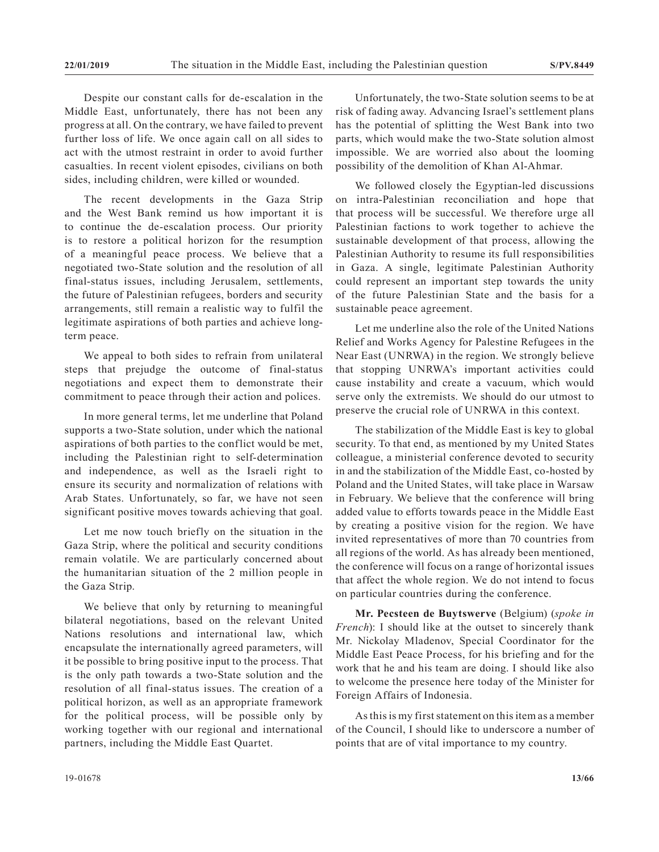Despite our constant calls for de-escalation in the Middle East, unfortunately, there has not been any progress at all. On the contrary, we have failed to prevent further loss of life. We once again call on all sides to act with the utmost restraint in order to avoid further casualties. In recent violent episodes, civilians on both sides, including children, were killed or wounded.

The recent developments in the Gaza Strip and the West Bank remind us how important it is to continue the de-escalation process. Our priority is to restore a political horizon for the resumption of a meaningful peace process. We believe that a negotiated two-State solution and the resolution of all final-status issues, including Jerusalem, settlements, the future of Palestinian refugees, borders and security arrangements, still remain a realistic way to fulfil the legitimate aspirations of both parties and achieve longterm peace.

We appeal to both sides to refrain from unilateral steps that prejudge the outcome of final-status negotiations and expect them to demonstrate their commitment to peace through their action and polices.

In more general terms, let me underline that Poland supports a two-State solution, under which the national aspirations of both parties to the conflict would be met, including the Palestinian right to self-determination and independence, as well as the Israeli right to ensure its security and normalization of relations with Arab States. Unfortunately, so far, we have not seen significant positive moves towards achieving that goal.

Let me now touch briefly on the situation in the Gaza Strip, where the political and security conditions remain volatile. We are particularly concerned about the humanitarian situation of the 2 million people in the Gaza Strip.

We believe that only by returning to meaningful bilateral negotiations, based on the relevant United Nations resolutions and international law, which encapsulate the internationally agreed parameters, will it be possible to bring positive input to the process. That is the only path towards a two-State solution and the resolution of all final-status issues. The creation of a political horizon, as well as an appropriate framework for the political process, will be possible only by working together with our regional and international partners, including the Middle East Quartet.

Unfortunately, the two-State solution seems to be at risk of fading away. Advancing Israel's settlement plans has the potential of splitting the West Bank into two parts, which would make the two-State solution almost impossible. We are worried also about the looming possibility of the demolition of Khan Al-Ahmar.

We followed closely the Egyptian-led discussions on intra-Palestinian reconciliation and hope that that process will be successful. We therefore urge all Palestinian factions to work together to achieve the sustainable development of that process, allowing the Palestinian Authority to resume its full responsibilities in Gaza. A single, legitimate Palestinian Authority could represent an important step towards the unity of the future Palestinian State and the basis for a sustainable peace agreement.

Let me underline also the role of the United Nations Relief and Works Agency for Palestine Refugees in the Near East (UNRWA) in the region. We strongly believe that stopping UNRWA's important activities could cause instability and create a vacuum, which would serve only the extremists. We should do our utmost to preserve the crucial role of UNRWA in this context.

The stabilization of the Middle East is key to global security. To that end, as mentioned by my United States colleague, a ministerial conference devoted to security in and the stabilization of the Middle East, co-hosted by Poland and the United States, will take place in Warsaw in February. We believe that the conference will bring added value to efforts towards peace in the Middle East by creating a positive vision for the region. We have invited representatives of more than 70 countries from all regions of the world. As has already been mentioned, the conference will focus on a range of horizontal issues that affect the whole region. We do not intend to focus on particular countries during the conference.

**Mr. Pecsteen de Buytswerve** (Belgium) (*spoke in French*): I should like at the outset to sincerely thank Mr. Nickolay Mladenov, Special Coordinator for the Middle East Peace Process, for his briefing and for the work that he and his team are doing. I should like also to welcome the presence here today of the Minister for Foreign Affairs of Indonesia.

As this is my first statement on this item as a member of the Council, I should like to underscore a number of points that are of vital importance to my country.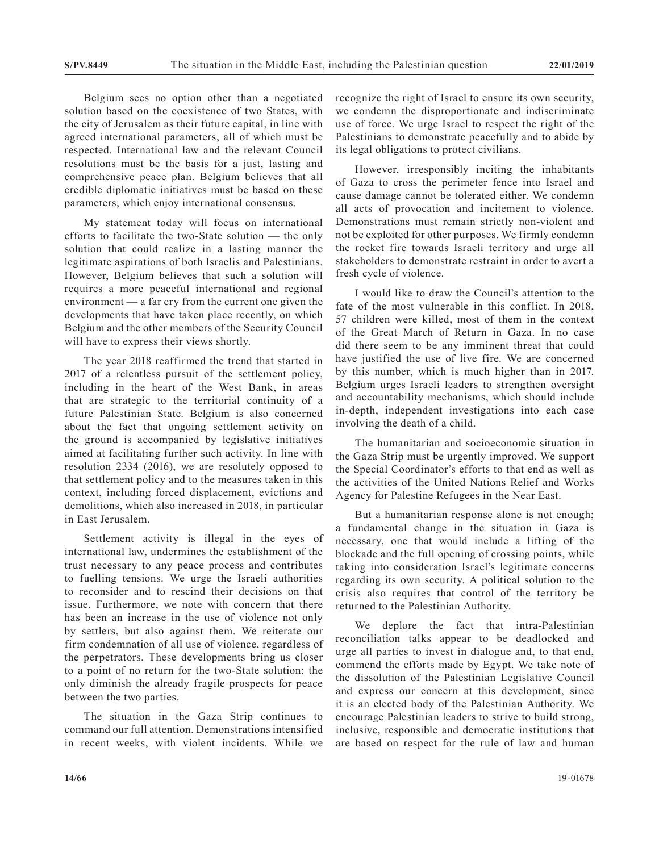Belgium sees no option other than a negotiated solution based on the coexistence of two States, with the city of Jerusalem as their future capital, in line with agreed international parameters, all of which must be respected. International law and the relevant Council resolutions must be the basis for a just, lasting and comprehensive peace plan. Belgium believes that all credible diplomatic initiatives must be based on these parameters, which enjoy international consensus.

My statement today will focus on international efforts to facilitate the two-State solution — the only solution that could realize in a lasting manner the legitimate aspirations of both Israelis and Palestinians. However, Belgium believes that such a solution will requires a more peaceful international and regional environment — a far cry from the current one given the developments that have taken place recently, on which Belgium and the other members of the Security Council will have to express their views shortly.

The year 2018 reaffirmed the trend that started in 2017 of a relentless pursuit of the settlement policy, including in the heart of the West Bank, in areas that are strategic to the territorial continuity of a future Palestinian State. Belgium is also concerned about the fact that ongoing settlement activity on the ground is accompanied by legislative initiatives aimed at facilitating further such activity. In line with resolution 2334 (2016), we are resolutely opposed to that settlement policy and to the measures taken in this context, including forced displacement, evictions and demolitions, which also increased in 2018, in particular in East Jerusalem.

Settlement activity is illegal in the eyes of international law, undermines the establishment of the trust necessary to any peace process and contributes to fuelling tensions. We urge the Israeli authorities to reconsider and to rescind their decisions on that issue. Furthermore, we note with concern that there has been an increase in the use of violence not only by settlers, but also against them. We reiterate our firm condemnation of all use of violence, regardless of the perpetrators. These developments bring us closer to a point of no return for the two-State solution; the only diminish the already fragile prospects for peace between the two parties.

The situation in the Gaza Strip continues to command our full attention. Demonstrations intensified in recent weeks, with violent incidents. While we recognize the right of Israel to ensure its own security, we condemn the disproportionate and indiscriminate use of force. We urge Israel to respect the right of the Palestinians to demonstrate peacefully and to abide by its legal obligations to protect civilians.

However, irresponsibly inciting the inhabitants of Gaza to cross the perimeter fence into Israel and cause damage cannot be tolerated either. We condemn all acts of provocation and incitement to violence. Demonstrations must remain strictly non-violent and not be exploited for other purposes. We firmly condemn the rocket fire towards Israeli territory and urge all stakeholders to demonstrate restraint in order to avert a fresh cycle of violence.

I would like to draw the Council's attention to the fate of the most vulnerable in this conflict. In 2018, 57 children were killed, most of them in the context of the Great March of Return in Gaza. In no case did there seem to be any imminent threat that could have justified the use of live fire. We are concerned by this number, which is much higher than in 2017. Belgium urges Israeli leaders to strengthen oversight and accountability mechanisms, which should include in-depth, independent investigations into each case involving the death of a child.

The humanitarian and socioeconomic situation in the Gaza Strip must be urgently improved. We support the Special Coordinator's efforts to that end as well as the activities of the United Nations Relief and Works Agency for Palestine Refugees in the Near East.

But a humanitarian response alone is not enough; a fundamental change in the situation in Gaza is necessary, one that would include a lifting of the blockade and the full opening of crossing points, while taking into consideration Israel's legitimate concerns regarding its own security. A political solution to the crisis also requires that control of the territory be returned to the Palestinian Authority.

We deplore the fact that intra-Palestinian reconciliation talks appear to be deadlocked and urge all parties to invest in dialogue and, to that end, commend the efforts made by Egypt. We take note of the dissolution of the Palestinian Legislative Council and express our concern at this development, since it is an elected body of the Palestinian Authority. We encourage Palestinian leaders to strive to build strong, inclusive, responsible and democratic institutions that are based on respect for the rule of law and human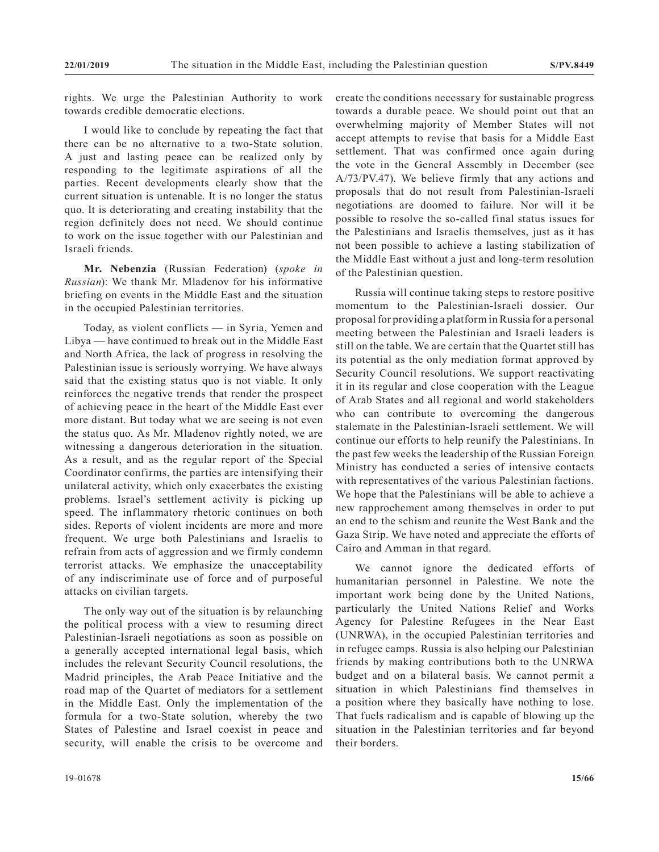rights. We urge the Palestinian Authority to work towards credible democratic elections.

I would like to conclude by repeating the fact that there can be no alternative to a two-State solution. A just and lasting peace can be realized only by responding to the legitimate aspirations of all the parties. Recent developments clearly show that the current situation is untenable. It is no longer the status quo. It is deteriorating and creating instability that the region definitely does not need. We should continue to work on the issue together with our Palestinian and Israeli friends.

**Mr. Nebenzia** (Russian Federation) (*spoke in Russian*): We thank Mr. Mladenov for his informative briefing on events in the Middle East and the situation in the occupied Palestinian territories.

Today, as violent conflicts — in Syria, Yemen and Libya — have continued to break out in the Middle East and North Africa, the lack of progress in resolving the Palestinian issue is seriously worrying. We have always said that the existing status quo is not viable. It only reinforces the negative trends that render the prospect of achieving peace in the heart of the Middle East ever more distant. But today what we are seeing is not even the status quo. As Mr. Mladenov rightly noted, we are witnessing a dangerous deterioration in the situation. As a result, and as the regular report of the Special Coordinator confirms, the parties are intensifying their unilateral activity, which only exacerbates the existing problems. Israel's settlement activity is picking up speed. The inflammatory rhetoric continues on both sides. Reports of violent incidents are more and more frequent. We urge both Palestinians and Israelis to refrain from acts of aggression and we firmly condemn terrorist attacks. We emphasize the unacceptability of any indiscriminate use of force and of purposeful attacks on civilian targets.

The only way out of the situation is by relaunching the political process with a view to resuming direct Palestinian-Israeli negotiations as soon as possible on a generally accepted international legal basis, which includes the relevant Security Council resolutions, the Madrid principles, the Arab Peace Initiative and the road map of the Quartet of mediators for a settlement in the Middle East. Only the implementation of the formula for a two-State solution, whereby the two States of Palestine and Israel coexist in peace and security, will enable the crisis to be overcome and create the conditions necessary for sustainable progress towards a durable peace. We should point out that an overwhelming majority of Member States will not accept attempts to revise that basis for a Middle East settlement. That was confirmed once again during the vote in the General Assembly in December (see A/73/PV.47). We believe firmly that any actions and proposals that do not result from Palestinian-Israeli negotiations are doomed to failure. Nor will it be possible to resolve the so-called final status issues for the Palestinians and Israelis themselves, just as it has not been possible to achieve a lasting stabilization of the Middle East without a just and long-term resolution of the Palestinian question.

Russia will continue taking steps to restore positive momentum to the Palestinian-Israeli dossier. Our proposal for providing a platform in Russia for a personal meeting between the Palestinian and Israeli leaders is still on the table. We are certain that the Quartet still has its potential as the only mediation format approved by Security Council resolutions. We support reactivating it in its regular and close cooperation with the League of Arab States and all regional and world stakeholders who can contribute to overcoming the dangerous stalemate in the Palestinian-Israeli settlement. We will continue our efforts to help reunify the Palestinians. In the past few weeks the leadership of the Russian Foreign Ministry has conducted a series of intensive contacts with representatives of the various Palestinian factions. We hope that the Palestinians will be able to achieve a new rapprochement among themselves in order to put an end to the schism and reunite the West Bank and the Gaza Strip. We have noted and appreciate the efforts of Cairo and Amman in that regard.

We cannot ignore the dedicated efforts of humanitarian personnel in Palestine. We note the important work being done by the United Nations, particularly the United Nations Relief and Works Agency for Palestine Refugees in the Near East (UNRWA), in the occupied Palestinian territories and in refugee camps. Russia is also helping our Palestinian friends by making contributions both to the UNRWA budget and on a bilateral basis. We cannot permit a situation in which Palestinians find themselves in a position where they basically have nothing to lose. That fuels radicalism and is capable of blowing up the situation in the Palestinian territories and far beyond their borders.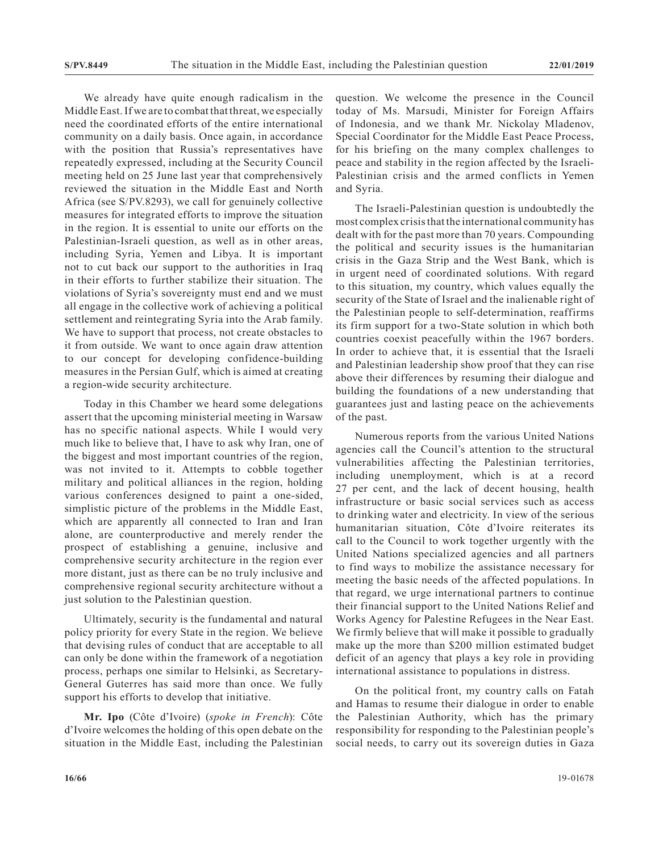We already have quite enough radicalism in the Middle East. If we are to combat that threat, we especially need the coordinated efforts of the entire international community on a daily basis. Once again, in accordance with the position that Russia's representatives have repeatedly expressed, including at the Security Council meeting held on 25 June last year that comprehensively reviewed the situation in the Middle East and North Africa (see S/PV.8293), we call for genuinely collective measures for integrated efforts to improve the situation in the region. It is essential to unite our efforts on the Palestinian-Israeli question, as well as in other areas, including Syria, Yemen and Libya. It is important not to cut back our support to the authorities in Iraq in their efforts to further stabilize their situation. The violations of Syria's sovereignty must end and we must all engage in the collective work of achieving a political settlement and reintegrating Syria into the Arab family. We have to support that process, not create obstacles to it from outside. We want to once again draw attention to our concept for developing confidence-building measures in the Persian Gulf, which is aimed at creating a region-wide security architecture.

Today in this Chamber we heard some delegations assert that the upcoming ministerial meeting in Warsaw has no specific national aspects. While I would very much like to believe that, I have to ask why Iran, one of the biggest and most important countries of the region, was not invited to it. Attempts to cobble together military and political alliances in the region, holding various conferences designed to paint a one-sided, simplistic picture of the problems in the Middle East, which are apparently all connected to Iran and Iran alone, are counterproductive and merely render the prospect of establishing a genuine, inclusive and comprehensive security architecture in the region ever more distant, just as there can be no truly inclusive and comprehensive regional security architecture without a just solution to the Palestinian question.

Ultimately, security is the fundamental and natural policy priority for every State in the region. We believe that devising rules of conduct that are acceptable to all can only be done within the framework of a negotiation process, perhaps one similar to Helsinki, as Secretary-General Guterres has said more than once. We fully support his efforts to develop that initiative.

**Mr. Ipo** (Côte d'Ivoire) (*spoke in French*): Côte d'Ivoire welcomes the holding of this open debate on the situation in the Middle East, including the Palestinian question. We welcome the presence in the Council today of Ms. Marsudi, Minister for Foreign Affairs of Indonesia, and we thank Mr. Nickolay Mladenov, Special Coordinator for the Middle East Peace Process, for his briefing on the many complex challenges to peace and stability in the region affected by the Israeli-Palestinian crisis and the armed conflicts in Yemen and Syria.

The Israeli-Palestinian question is undoubtedly the most complex crisis that the international community has dealt with for the past more than 70 years. Compounding the political and security issues is the humanitarian crisis in the Gaza Strip and the West Bank, which is in urgent need of coordinated solutions. With regard to this situation, my country, which values equally the security of the State of Israel and the inalienable right of the Palestinian people to self-determination, reaffirms its firm support for a two-State solution in which both countries coexist peacefully within the 1967 borders. In order to achieve that, it is essential that the Israeli and Palestinian leadership show proof that they can rise above their differences by resuming their dialogue and building the foundations of a new understanding that guarantees just and lasting peace on the achievements of the past.

Numerous reports from the various United Nations agencies call the Council's attention to the structural vulnerabilities affecting the Palestinian territories, including unemployment, which is at a record 27 per cent, and the lack of decent housing, health infrastructure or basic social services such as access to drinking water and electricity. In view of the serious humanitarian situation, Côte d'Ivoire reiterates its call to the Council to work together urgently with the United Nations specialized agencies and all partners to find ways to mobilize the assistance necessary for meeting the basic needs of the affected populations. In that regard, we urge international partners to continue their financial support to the United Nations Relief and Works Agency for Palestine Refugees in the Near East. We firmly believe that will make it possible to gradually make up the more than \$200 million estimated budget deficit of an agency that plays a key role in providing international assistance to populations in distress.

On the political front, my country calls on Fatah and Hamas to resume their dialogue in order to enable the Palestinian Authority, which has the primary responsibility for responding to the Palestinian people's social needs, to carry out its sovereign duties in Gaza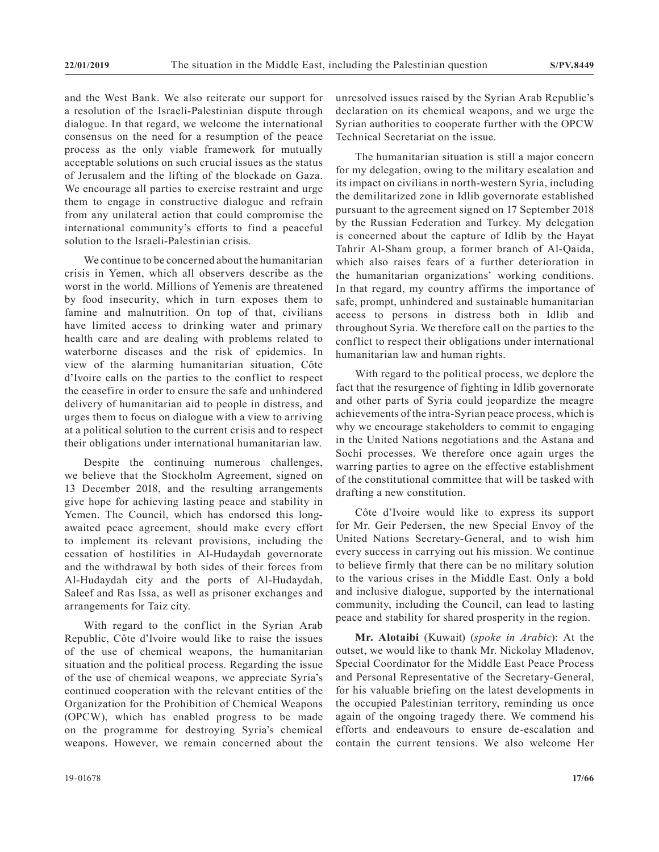and the West Bank. We also reiterate our support for a resolution of the Israeli-Palestinian dispute through dialogue. In that regard, we welcome the international consensus on the need for a resumption of the peace process as the only viable framework for mutually acceptable solutions on such crucial issues as the status of Jerusalem and the lifting of the blockade on Gaza. We encourage all parties to exercise restraint and urge them to engage in constructive dialogue and refrain from any unilateral action that could compromise the international community's efforts to find a peaceful solution to the Israeli-Palestinian crisis.

We continue to be concerned about the humanitarian crisis in Yemen, which all observers describe as the worst in the world. Millions of Yemenis are threatened by food insecurity, which in turn exposes them to famine and malnutrition. On top of that, civilians have limited access to drinking water and primary health care and are dealing with problems related to waterborne diseases and the risk of epidemics. In view of the alarming humanitarian situation, Côte d'Ivoire calls on the parties to the conflict to respect the ceasefire in order to ensure the safe and unhindered delivery of humanitarian aid to people in distress, and urges them to focus on dialogue with a view to arriving at a political solution to the current crisis and to respect their obligations under international humanitarian law.

Despite the continuing numerous challenges, we believe that the Stockholm Agreement, signed on 13 December 2018, and the resulting arrangements give hope for achieving lasting peace and stability in Yemen. The Council, which has endorsed this longawaited peace agreement, should make every effort to implement its relevant provisions, including the cessation of hostilities in Al-Hudaydah governorate and the withdrawal by both sides of their forces from Al-Hudaydah city and the ports of Al-Hudaydah, Saleef and Ras Issa, as well as prisoner exchanges and arrangements for Taiz city.

With regard to the conflict in the Syrian Arab Republic, Côte d'Ivoire would like to raise the issues of the use of chemical weapons, the humanitarian situation and the political process. Regarding the issue of the use of chemical weapons, we appreciate Syria's continued cooperation with the relevant entities of the Organization for the Prohibition of Chemical Weapons (OPCW), which has enabled progress to be made on the programme for destroying Syria's chemical weapons. However, we remain concerned about the

The humanitarian situation is still a major concern for my delegation, owing to the military escalation and its impact on civilians in north-western Syria, including the demilitarized zone in Idlib governorate established pursuant to the agreement signed on 17 September 2018 by the Russian Federation and Turkey. My delegation is concerned about the capture of Idlib by the Hayat Tahrir Al-Sham group, a former branch of Al-Qaida, which also raises fears of a further deterioration in the humanitarian organizations' working conditions. In that regard, my country affirms the importance of safe, prompt, unhindered and sustainable humanitarian access to persons in distress both in Idlib and throughout Syria. We therefore call on the parties to the conflict to respect their obligations under international humanitarian law and human rights.

With regard to the political process, we deplore the fact that the resurgence of fighting in Idlib governorate and other parts of Syria could jeopardize the meagre achievements of the intra-Syrian peace process, which is why we encourage stakeholders to commit to engaging in the United Nations negotiations and the Astana and Sochi processes. We therefore once again urges the warring parties to agree on the effective establishment of the constitutional committee that will be tasked with drafting a new constitution.

Côte d'Ivoire would like to express its support for Mr. Geir Pedersen, the new Special Envoy of the United Nations Secretary-General, and to wish him every success in carrying out his mission. We continue to believe firmly that there can be no military solution to the various crises in the Middle East. Only a bold and inclusive dialogue, supported by the international community, including the Council, can lead to lasting peace and stability for shared prosperity in the region.

**Mr. Alotaibi** (Kuwait) (*spoke in Arabic*): At the outset, we would like to thank Mr. Nickolay Mladenov, Special Coordinator for the Middle East Peace Process and Personal Representative of the Secretary-General, for his valuable briefing on the latest developments in the occupied Palestinian territory, reminding us once again of the ongoing tragedy there. We commend his efforts and endeavours to ensure de-escalation and contain the current tensions. We also welcome Her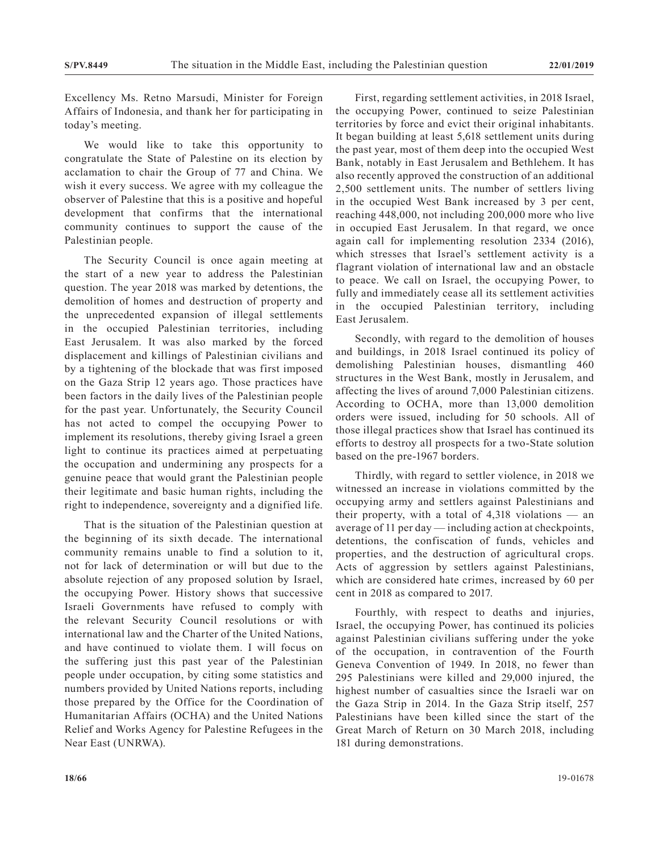Excellency Ms. Retno Marsudi, Minister for Foreign Affairs of Indonesia, and thank her for participating in today's meeting.

We would like to take this opportunity to congratulate the State of Palestine on its election by acclamation to chair the Group of 77 and China. We wish it every success. We agree with my colleague the observer of Palestine that this is a positive and hopeful development that confirms that the international community continues to support the cause of the Palestinian people.

The Security Council is once again meeting at the start of a new year to address the Palestinian question. The year 2018 was marked by detentions, the demolition of homes and destruction of property and the unprecedented expansion of illegal settlements in the occupied Palestinian territories, including East Jerusalem. It was also marked by the forced displacement and killings of Palestinian civilians and by a tightening of the blockade that was first imposed on the Gaza Strip 12 years ago. Those practices have been factors in the daily lives of the Palestinian people for the past year. Unfortunately, the Security Council has not acted to compel the occupying Power to implement its resolutions, thereby giving Israel a green light to continue its practices aimed at perpetuating the occupation and undermining any prospects for a genuine peace that would grant the Palestinian people their legitimate and basic human rights, including the right to independence, sovereignty and a dignified life.

That is the situation of the Palestinian question at the beginning of its sixth decade. The international community remains unable to find a solution to it, not for lack of determination or will but due to the absolute rejection of any proposed solution by Israel, the occupying Power. History shows that successive Israeli Governments have refused to comply with the relevant Security Council resolutions or with international law and the Charter of the United Nations, and have continued to violate them. I will focus on the suffering just this past year of the Palestinian people under occupation, by citing some statistics and numbers provided by United Nations reports, including those prepared by the Office for the Coordination of Humanitarian Affairs (OCHA) and the United Nations Relief and Works Agency for Palestine Refugees in the Near East (UNRWA).

First, regarding settlement activities, in 2018 Israel, the occupying Power, continued to seize Palestinian territories by force and evict their original inhabitants. It began building at least 5,618 settlement units during the past year, most of them deep into the occupied West Bank, notably in East Jerusalem and Bethlehem. It has also recently approved the construction of an additional 2,500 settlement units. The number of settlers living in the occupied West Bank increased by 3 per cent, reaching 448,000, not including 200,000 more who live in occupied East Jerusalem. In that regard, we once again call for implementing resolution 2334 (2016), which stresses that Israel's settlement activity is a flagrant violation of international law and an obstacle to peace. We call on Israel, the occupying Power, to fully and immediately cease all its settlement activities in the occupied Palestinian territory, including East Jerusalem.

Secondly, with regard to the demolition of houses and buildings, in 2018 Israel continued its policy of demolishing Palestinian houses, dismantling 460 structures in the West Bank, mostly in Jerusalem, and affecting the lives of around 7,000 Palestinian citizens. According to OCHA, more than 13,000 demolition orders were issued, including for 50 schools. All of those illegal practices show that Israel has continued its efforts to destroy all prospects for a two-State solution based on the pre-1967 borders.

Thirdly, with regard to settler violence, in 2018 we witnessed an increase in violations committed by the occupying army and settlers against Palestinians and their property, with a total of 4,318 violations — an average of 11 per day — including action at checkpoints, detentions, the confiscation of funds, vehicles and properties, and the destruction of agricultural crops. Acts of aggression by settlers against Palestinians, which are considered hate crimes, increased by 60 per cent in 2018 as compared to 2017.

Fourthly, with respect to deaths and injuries, Israel, the occupying Power, has continued its policies against Palestinian civilians suffering under the yoke of the occupation, in contravention of the Fourth Geneva Convention of 1949. In 2018, no fewer than 295 Palestinians were killed and 29,000 injured, the highest number of casualties since the Israeli war on the Gaza Strip in 2014. In the Gaza Strip itself, 257 Palestinians have been killed since the start of the Great March of Return on 30 March 2018, including 181 during demonstrations.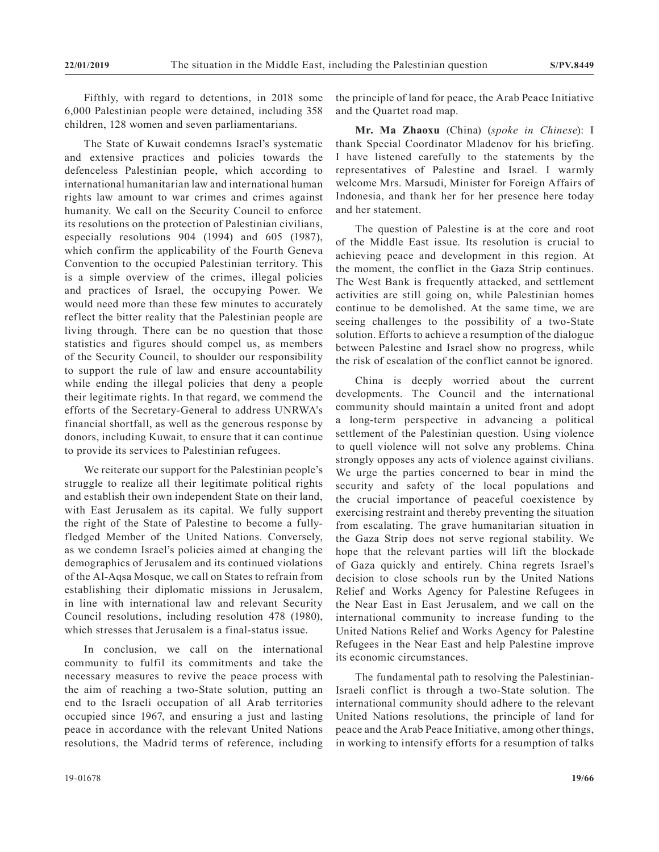Fifthly, with regard to detentions, in 2018 some 6,000 Palestinian people were detained, including 358 children, 128 women and seven parliamentarians.

The State of Kuwait condemns Israel's systematic and extensive practices and policies towards the defenceless Palestinian people, which according to international humanitarian law and international human rights law amount to war crimes and crimes against humanity. We call on the Security Council to enforce its resolutions on the protection of Palestinian civilians, especially resolutions 904 (1994) and 605 (1987), which confirm the applicability of the Fourth Geneva Convention to the occupied Palestinian territory. This is a simple overview of the crimes, illegal policies and practices of Israel, the occupying Power. We would need more than these few minutes to accurately reflect the bitter reality that the Palestinian people are living through. There can be no question that those statistics and figures should compel us, as members of the Security Council, to shoulder our responsibility to support the rule of law and ensure accountability while ending the illegal policies that deny a people their legitimate rights. In that regard, we commend the efforts of the Secretary-General to address UNRWA's financial shortfall, as well as the generous response by donors, including Kuwait, to ensure that it can continue to provide its services to Palestinian refugees.

We reiterate our support for the Palestinian people's struggle to realize all their legitimate political rights and establish their own independent State on their land, with East Jerusalem as its capital. We fully support the right of the State of Palestine to become a fullyfledged Member of the United Nations. Conversely, as we condemn Israel's policies aimed at changing the demographics of Jerusalem and its continued violations of the Al-Aqsa Mosque, we call on States to refrain from establishing their diplomatic missions in Jerusalem, in line with international law and relevant Security Council resolutions, including resolution 478 (1980), which stresses that Jerusalem is a final-status issue.

In conclusion, we call on the international community to fulfil its commitments and take the necessary measures to revive the peace process with the aim of reaching a two-State solution, putting an end to the Israeli occupation of all Arab territories occupied since 1967, and ensuring a just and lasting peace in accordance with the relevant United Nations resolutions, the Madrid terms of reference, including

the principle of land for peace, the Arab Peace Initiative and the Quartet road map.

**Mr. Ma Zhaoxu** (China) (*spoke in Chinese*): I thank Special Coordinator Mladenov for his briefing. I have listened carefully to the statements by the representatives of Palestine and Israel. I warmly welcome Mrs. Marsudi, Minister for Foreign Affairs of Indonesia, and thank her for her presence here today and her statement.

The question of Palestine is at the core and root of the Middle East issue. Its resolution is crucial to achieving peace and development in this region. At the moment, the conflict in the Gaza Strip continues. The West Bank is frequently attacked, and settlement activities are still going on, while Palestinian homes continue to be demolished. At the same time, we are seeing challenges to the possibility of a two-State solution. Efforts to achieve a resumption of the dialogue between Palestine and Israel show no progress, while the risk of escalation of the conflict cannot be ignored.

China is deeply worried about the current developments. The Council and the international community should maintain a united front and adopt a long-term perspective in advancing a political settlement of the Palestinian question. Using violence to quell violence will not solve any problems. China strongly opposes any acts of violence against civilians. We urge the parties concerned to bear in mind the security and safety of the local populations and the crucial importance of peaceful coexistence by exercising restraint and thereby preventing the situation from escalating. The grave humanitarian situation in the Gaza Strip does not serve regional stability. We hope that the relevant parties will lift the blockade of Gaza quickly and entirely. China regrets Israel's decision to close schools run by the United Nations Relief and Works Agency for Palestine Refugees in the Near East in East Jerusalem, and we call on the international community to increase funding to the United Nations Relief and Works Agency for Palestine Refugees in the Near East and help Palestine improve its economic circumstances.

The fundamental path to resolving the Palestinian-Israeli conflict is through a two-State solution. The international community should adhere to the relevant United Nations resolutions, the principle of land for peace and the Arab Peace Initiative, among other things, in working to intensify efforts for a resumption of talks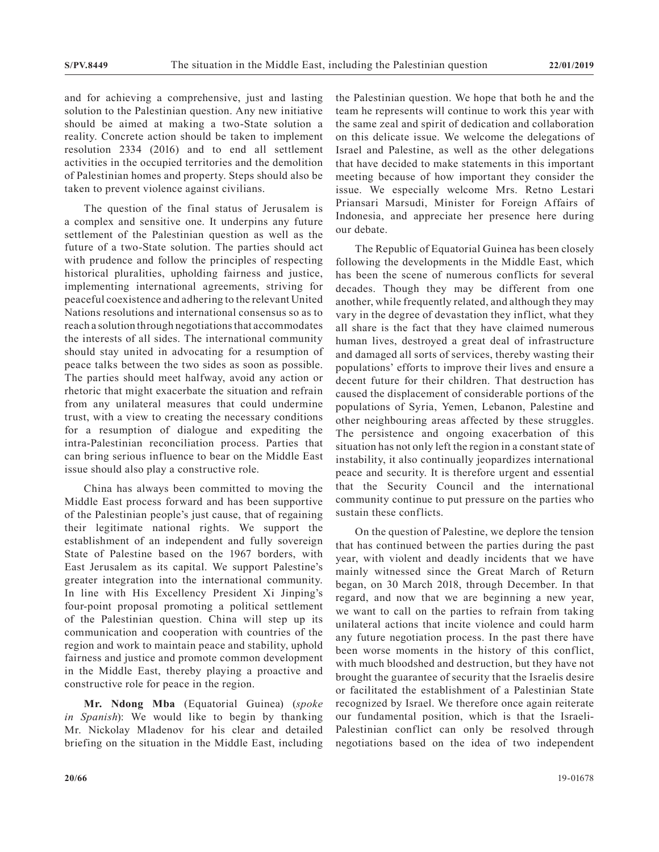and for achieving a comprehensive, just and lasting solution to the Palestinian question. Any new initiative should be aimed at making a two-State solution a reality. Concrete action should be taken to implement resolution 2334 (2016) and to end all settlement activities in the occupied territories and the demolition of Palestinian homes and property. Steps should also be taken to prevent violence against civilians.

The question of the final status of Jerusalem is a complex and sensitive one. It underpins any future settlement of the Palestinian question as well as the future of a two-State solution. The parties should act with prudence and follow the principles of respecting historical pluralities, upholding fairness and justice, implementing international agreements, striving for peaceful coexistence and adhering to the relevant United Nations resolutions and international consensus so as to reach a solution through negotiations that accommodates the interests of all sides. The international community should stay united in advocating for a resumption of peace talks between the two sides as soon as possible. The parties should meet halfway, avoid any action or rhetoric that might exacerbate the situation and refrain from any unilateral measures that could undermine trust, with a view to creating the necessary conditions for a resumption of dialogue and expediting the intra-Palestinian reconciliation process. Parties that can bring serious influence to bear on the Middle East issue should also play a constructive role.

China has always been committed to moving the Middle East process forward and has been supportive of the Palestinian people's just cause, that of regaining their legitimate national rights. We support the establishment of an independent and fully sovereign State of Palestine based on the 1967 borders, with East Jerusalem as its capital. We support Palestine's greater integration into the international community. In line with His Excellency President Xi Jinping's four-point proposal promoting a political settlement of the Palestinian question. China will step up its communication and cooperation with countries of the region and work to maintain peace and stability, uphold fairness and justice and promote common development in the Middle East, thereby playing a proactive and constructive role for peace in the region.

**Mr. Ndong Mba** (Equatorial Guinea) (*spoke in Spanish*): We would like to begin by thanking Mr. Nickolay Mladenov for his clear and detailed briefing on the situation in the Middle East, including the Palestinian question. We hope that both he and the team he represents will continue to work this year with the same zeal and spirit of dedication and collaboration on this delicate issue. We welcome the delegations of Israel and Palestine, as well as the other delegations that have decided to make statements in this important meeting because of how important they consider the issue. We especially welcome Mrs. Retno Lestari Priansari Marsudi, Minister for Foreign Affairs of Indonesia, and appreciate her presence here during our debate.

The Republic of Equatorial Guinea has been closely following the developments in the Middle East, which has been the scene of numerous conflicts for several decades. Though they may be different from one another, while frequently related, and although they may vary in the degree of devastation they inflict, what they all share is the fact that they have claimed numerous human lives, destroyed a great deal of infrastructure and damaged all sorts of services, thereby wasting their populations' efforts to improve their lives and ensure a decent future for their children. That destruction has caused the displacement of considerable portions of the populations of Syria, Yemen, Lebanon, Palestine and other neighbouring areas affected by these struggles. The persistence and ongoing exacerbation of this situation has not only left the region in a constant state of instability, it also continually jeopardizes international peace and security. It is therefore urgent and essential that the Security Council and the international community continue to put pressure on the parties who sustain these conflicts.

On the question of Palestine, we deplore the tension that has continued between the parties during the past year, with violent and deadly incidents that we have mainly witnessed since the Great March of Return began, on 30 March 2018, through December. In that regard, and now that we are beginning a new year, we want to call on the parties to refrain from taking unilateral actions that incite violence and could harm any future negotiation process. In the past there have been worse moments in the history of this conflict, with much bloodshed and destruction, but they have not brought the guarantee of security that the Israelis desire or facilitated the establishment of a Palestinian State recognized by Israel. We therefore once again reiterate our fundamental position, which is that the Israeli-Palestinian conflict can only be resolved through negotiations based on the idea of two independent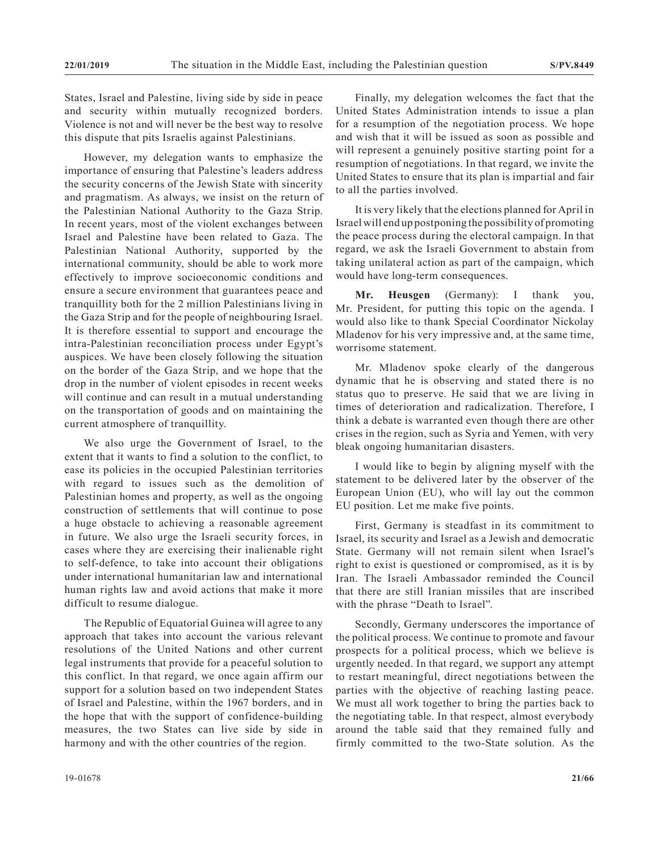States, Israel and Palestine, living side by side in peace and security within mutually recognized borders. Violence is not and will never be the best way to resolve this dispute that pits Israelis against Palestinians.

However, my delegation wants to emphasize the importance of ensuring that Palestine's leaders address the security concerns of the Jewish State with sincerity and pragmatism. As always, we insist on the return of the Palestinian National Authority to the Gaza Strip. In recent years, most of the violent exchanges between Israel and Palestine have been related to Gaza. The Palestinian National Authority, supported by the international community, should be able to work more effectively to improve socioeconomic conditions and ensure a secure environment that guarantees peace and tranquillity both for the 2 million Palestinians living in the Gaza Strip and for the people of neighbouring Israel. It is therefore essential to support and encourage the intra-Palestinian reconciliation process under Egypt's auspices. We have been closely following the situation on the border of the Gaza Strip, and we hope that the drop in the number of violent episodes in recent weeks will continue and can result in a mutual understanding on the transportation of goods and on maintaining the current atmosphere of tranquillity.

We also urge the Government of Israel, to the extent that it wants to find a solution to the conflict, to ease its policies in the occupied Palestinian territories with regard to issues such as the demolition of Palestinian homes and property, as well as the ongoing construction of settlements that will continue to pose a huge obstacle to achieving a reasonable agreement in future. We also urge the Israeli security forces, in cases where they are exercising their inalienable right to self-defence, to take into account their obligations under international humanitarian law and international human rights law and avoid actions that make it more difficult to resume dialogue.

The Republic of Equatorial Guinea will agree to any approach that takes into account the various relevant resolutions of the United Nations and other current legal instruments that provide for a peaceful solution to this conflict. In that regard, we once again affirm our support for a solution based on two independent States of Israel and Palestine, within the 1967 borders, and in the hope that with the support of confidence-building measures, the two States can live side by side in harmony and with the other countries of the region.

Finally, my delegation welcomes the fact that the United States Administration intends to issue a plan for a resumption of the negotiation process. We hope and wish that it will be issued as soon as possible and will represent a genuinely positive starting point for a resumption of negotiations. In that regard, we invite the United States to ensure that its plan is impartial and fair to all the parties involved.

It is very likely that the elections planned for April in Israel will end up postponing the possibility of promoting the peace process during the electoral campaign. In that regard, we ask the Israeli Government to abstain from taking unilateral action as part of the campaign, which would have long-term consequences.

**Mr. Heusgen** (Germany): I thank you, Mr. President, for putting this topic on the agenda. I would also like to thank Special Coordinator Nickolay Mladenov for his very impressive and, at the same time, worrisome statement.

Mr. Mladenov spoke clearly of the dangerous dynamic that he is observing and stated there is no status quo to preserve. He said that we are living in times of deterioration and radicalization. Therefore, I think a debate is warranted even though there are other crises in the region, such as Syria and Yemen, with very bleak ongoing humanitarian disasters.

I would like to begin by aligning myself with the statement to be delivered later by the observer of the European Union (EU), who will lay out the common EU position. Let me make five points.

First, Germany is steadfast in its commitment to Israel, its security and Israel as a Jewish and democratic State. Germany will not remain silent when Israel's right to exist is questioned or compromised, as it is by Iran. The Israeli Ambassador reminded the Council that there are still Iranian missiles that are inscribed with the phrase "Death to Israel".

Secondly, Germany underscores the importance of the political process. We continue to promote and favour prospects for a political process, which we believe is urgently needed. In that regard, we support any attempt to restart meaningful, direct negotiations between the parties with the objective of reaching lasting peace. We must all work together to bring the parties back to the negotiating table. In that respect, almost everybody around the table said that they remained fully and firmly committed to the two-State solution. As the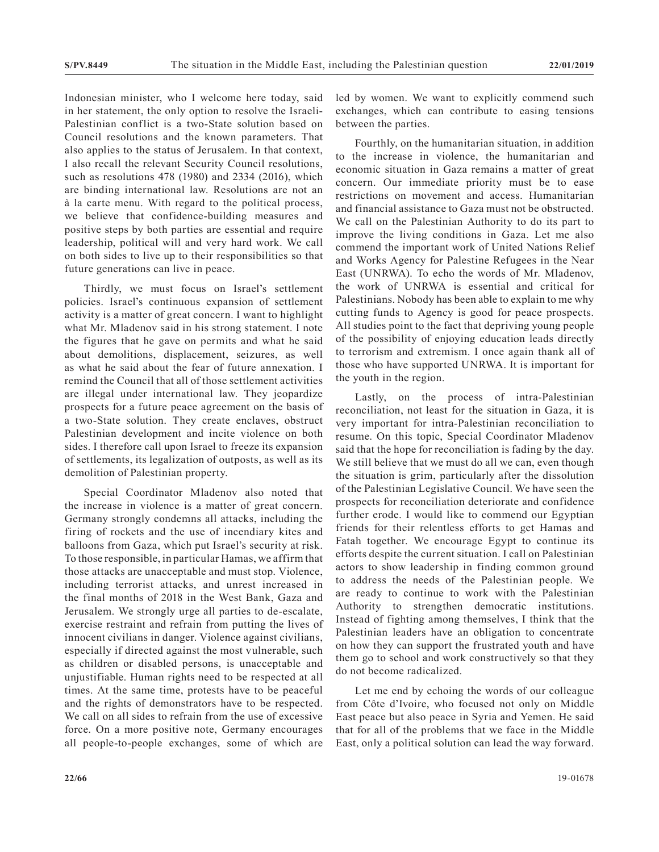Indonesian minister, who I welcome here today, said in her statement, the only option to resolve the Israeli-Palestinian conflict is a two-State solution based on Council resolutions and the known parameters. That also applies to the status of Jerusalem. In that context, I also recall the relevant Security Council resolutions, such as resolutions 478 (1980) and 2334 (2016), which are binding international law. Resolutions are not an à la carte menu. With regard to the political process, we believe that confidence-building measures and positive steps by both parties are essential and require leadership, political will and very hard work. We call on both sides to live up to their responsibilities so that future generations can live in peace.

Thirdly, we must focus on Israel's settlement policies. Israel's continuous expansion of settlement activity is a matter of great concern. I want to highlight what Mr. Mladenov said in his strong statement. I note the figures that he gave on permits and what he said about demolitions, displacement, seizures, as well as what he said about the fear of future annexation. I remind the Council that all of those settlement activities are illegal under international law. They jeopardize prospects for a future peace agreement on the basis of a two-State solution. They create enclaves, obstruct Palestinian development and incite violence on both sides. I therefore call upon Israel to freeze its expansion of settlements, its legalization of outposts, as well as its demolition of Palestinian property.

Special Coordinator Mladenov also noted that the increase in violence is a matter of great concern. Germany strongly condemns all attacks, including the firing of rockets and the use of incendiary kites and balloons from Gaza, which put Israel's security at risk. To those responsible, in particular Hamas, we affirm that those attacks are unacceptable and must stop. Violence, including terrorist attacks, and unrest increased in the final months of 2018 in the West Bank, Gaza and Jerusalem. We strongly urge all parties to de-escalate, exercise restraint and refrain from putting the lives of innocent civilians in danger. Violence against civilians, especially if directed against the most vulnerable, such as children or disabled persons, is unacceptable and unjustifiable. Human rights need to be respected at all times. At the same time, protests have to be peaceful and the rights of demonstrators have to be respected. We call on all sides to refrain from the use of excessive force. On a more positive note, Germany encourages all people-to-people exchanges, some of which are

Fourthly, on the humanitarian situation, in addition to the increase in violence, the humanitarian and economic situation in Gaza remains a matter of great concern. Our immediate priority must be to ease restrictions on movement and access. Humanitarian and financial assistance to Gaza must not be obstructed. We call on the Palestinian Authority to do its part to improve the living conditions in Gaza. Let me also commend the important work of United Nations Relief and Works Agency for Palestine Refugees in the Near East (UNRWA). To echo the words of Mr. Mladenov, the work of UNRWA is essential and critical for Palestinians. Nobody has been able to explain to me why cutting funds to Agency is good for peace prospects. All studies point to the fact that depriving young people of the possibility of enjoying education leads directly to terrorism and extremism. I once again thank all of those who have supported UNRWA. It is important for the youth in the region.

Lastly, on the process of intra-Palestinian reconciliation, not least for the situation in Gaza, it is very important for intra-Palestinian reconciliation to resume. On this topic, Special Coordinator Mladenov said that the hope for reconciliation is fading by the day. We still believe that we must do all we can, even though the situation is grim, particularly after the dissolution of the Palestinian Legislative Council. We have seen the prospects for reconciliation deteriorate and confidence further erode. I would like to commend our Egyptian friends for their relentless efforts to get Hamas and Fatah together. We encourage Egypt to continue its efforts despite the current situation. I call on Palestinian actors to show leadership in finding common ground to address the needs of the Palestinian people. We are ready to continue to work with the Palestinian Authority to strengthen democratic institutions. Instead of fighting among themselves, I think that the Palestinian leaders have an obligation to concentrate on how they can support the frustrated youth and have them go to school and work constructively so that they do not become radicalized.

Let me end by echoing the words of our colleague from Côte d'Ivoire, who focused not only on Middle East peace but also peace in Syria and Yemen. He said that for all of the problems that we face in the Middle East, only a political solution can lead the way forward.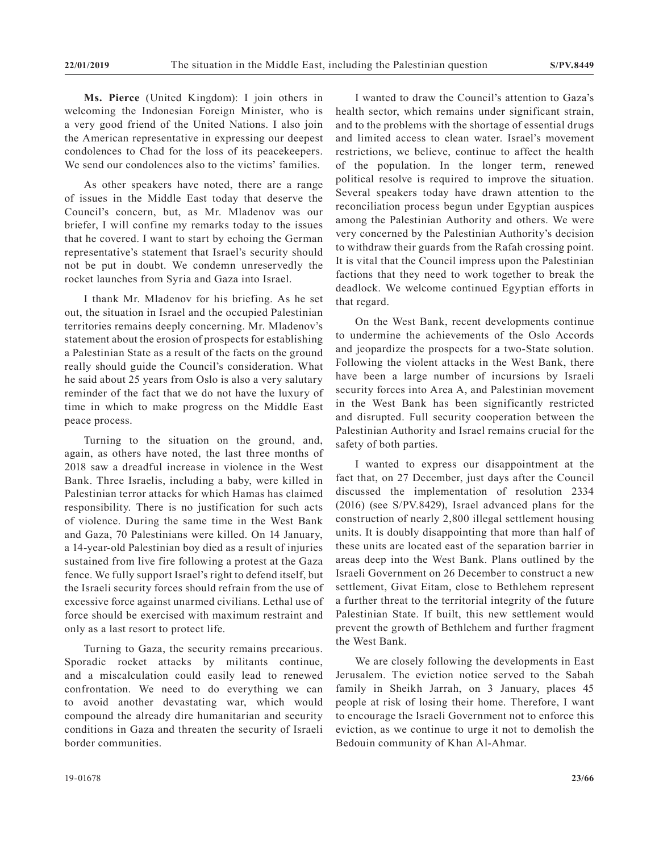**Ms. Pierce** (United Kingdom): I join others in welcoming the Indonesian Foreign Minister, who is a very good friend of the United Nations. I also join the American representative in expressing our deepest condolences to Chad for the loss of its peacekeepers. We send our condolences also to the victims' families.

As other speakers have noted, there are a range of issues in the Middle East today that deserve the Council's concern, but, as Mr. Mladenov was our briefer, I will confine my remarks today to the issues that he covered. I want to start by echoing the German representative's statement that Israel's security should not be put in doubt. We condemn unreservedly the rocket launches from Syria and Gaza into Israel.

I thank Mr. Mladenov for his briefing. As he set out, the situation in Israel and the occupied Palestinian territories remains deeply concerning. Mr. Mladenov's statement about the erosion of prospects for establishing a Palestinian State as a result of the facts on the ground really should guide the Council's consideration. What he said about 25 years from Oslo is also a very salutary reminder of the fact that we do not have the luxury of time in which to make progress on the Middle East peace process.

Turning to the situation on the ground, and, again, as others have noted, the last three months of 2018 saw a dreadful increase in violence in the West Bank. Three Israelis, including a baby, were killed in Palestinian terror attacks for which Hamas has claimed responsibility. There is no justification for such acts of violence. During the same time in the West Bank and Gaza, 70 Palestinians were killed. On 14 January, a 14-year-old Palestinian boy died as a result of injuries sustained from live fire following a protest at the Gaza fence. We fully support Israel's right to defend itself, but the Israeli security forces should refrain from the use of excessive force against unarmed civilians. Lethal use of force should be exercised with maximum restraint and only as a last resort to protect life.

Turning to Gaza, the security remains precarious. Sporadic rocket attacks by militants continue, and a miscalculation could easily lead to renewed confrontation. We need to do everything we can to avoid another devastating war, which would compound the already dire humanitarian and security conditions in Gaza and threaten the security of Israeli border communities.

I wanted to draw the Council's attention to Gaza's health sector, which remains under significant strain, and to the problems with the shortage of essential drugs and limited access to clean water. Israel's movement restrictions, we believe, continue to affect the health of the population. In the longer term, renewed political resolve is required to improve the situation. Several speakers today have drawn attention to the reconciliation process begun under Egyptian auspices among the Palestinian Authority and others. We were very concerned by the Palestinian Authority's decision to withdraw their guards from the Rafah crossing point. It is vital that the Council impress upon the Palestinian factions that they need to work together to break the deadlock. We welcome continued Egyptian efforts in that regard.

On the West Bank, recent developments continue to undermine the achievements of the Oslo Accords and jeopardize the prospects for a two-State solution. Following the violent attacks in the West Bank, there have been a large number of incursions by Israeli security forces into Area A, and Palestinian movement in the West Bank has been significantly restricted and disrupted. Full security cooperation between the Palestinian Authority and Israel remains crucial for the safety of both parties.

I wanted to express our disappointment at the fact that, on 27 December, just days after the Council discussed the implementation of resolution 2334 (2016) (see S/PV.8429), Israel advanced plans for the construction of nearly 2,800 illegal settlement housing units. It is doubly disappointing that more than half of these units are located east of the separation barrier in areas deep into the West Bank. Plans outlined by the Israeli Government on 26 December to construct a new settlement, Givat Eitam, close to Bethlehem represent a further threat to the territorial integrity of the future Palestinian State. If built, this new settlement would prevent the growth of Bethlehem and further fragment the West Bank.

We are closely following the developments in East Jerusalem. The eviction notice served to the Sabah family in Sheikh Jarrah, on 3 January, places 45 people at risk of losing their home. Therefore, I want to encourage the Israeli Government not to enforce this eviction, as we continue to urge it not to demolish the Bedouin community of Khan Al-Ahmar.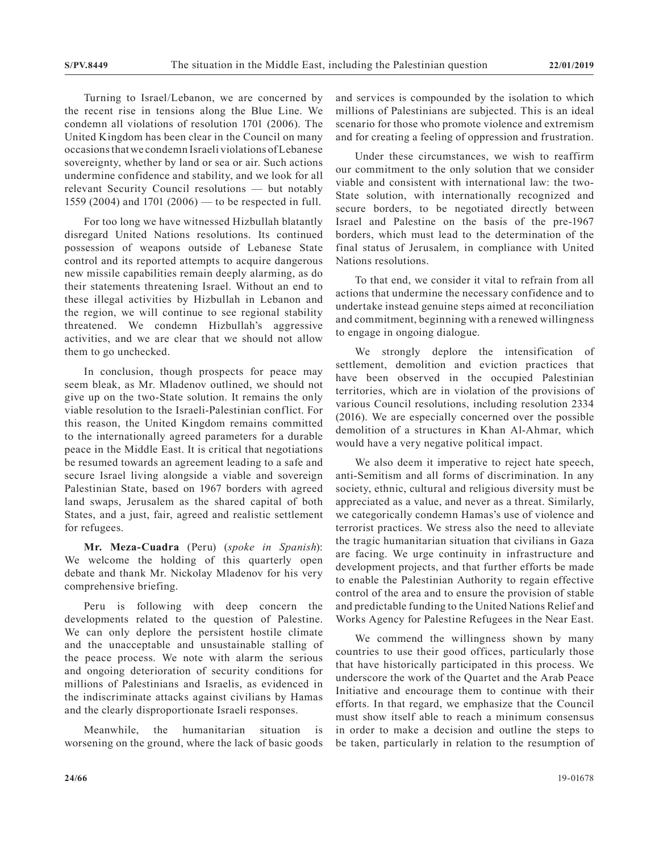Turning to Israel/Lebanon, we are concerned by the recent rise in tensions along the Blue Line. We condemn all violations of resolution 1701 (2006). The United Kingdom has been clear in the Council on many occasions that we condemn Israeli violations of Lebanese sovereignty, whether by land or sea or air. Such actions undermine confidence and stability, and we look for all relevant Security Council resolutions — but notably 1559 (2004) and 1701 (2006) — to be respected in full.

For too long we have witnessed Hizbullah blatantly disregard United Nations resolutions. Its continued possession of weapons outside of Lebanese State control and its reported attempts to acquire dangerous new missile capabilities remain deeply alarming, as do their statements threatening Israel. Without an end to these illegal activities by Hizbullah in Lebanon and the region, we will continue to see regional stability threatened. We condemn Hizbullah's aggressive activities, and we are clear that we should not allow them to go unchecked.

In conclusion, though prospects for peace may seem bleak, as Mr. Mladenov outlined, we should not give up on the two-State solution. It remains the only viable resolution to the Israeli-Palestinian conflict. For this reason, the United Kingdom remains committed to the internationally agreed parameters for a durable peace in the Middle East. It is critical that negotiations be resumed towards an agreement leading to a safe and secure Israel living alongside a viable and sovereign Palestinian State, based on 1967 borders with agreed land swaps, Jerusalem as the shared capital of both States, and a just, fair, agreed and realistic settlement for refugees.

**Mr. Meza-Cuadra** (Peru) (*spoke in Spanish*): We welcome the holding of this quarterly open debate and thank Mr. Nickolay Mladenov for his very comprehensive briefing.

Peru is following with deep concern the developments related to the question of Palestine. We can only deplore the persistent hostile climate and the unacceptable and unsustainable stalling of the peace process. We note with alarm the serious and ongoing deterioration of security conditions for millions of Palestinians and Israelis, as evidenced in the indiscriminate attacks against civilians by Hamas and the clearly disproportionate Israeli responses.

Meanwhile, the humanitarian situation is worsening on the ground, where the lack of basic goods and services is compounded by the isolation to which millions of Palestinians are subjected. This is an ideal scenario for those who promote violence and extremism and for creating a feeling of oppression and frustration.

Under these circumstances, we wish to reaffirm our commitment to the only solution that we consider viable and consistent with international law: the two-State solution, with internationally recognized and secure borders, to be negotiated directly between Israel and Palestine on the basis of the pre-1967 borders, which must lead to the determination of the final status of Jerusalem, in compliance with United Nations resolutions.

To that end, we consider it vital to refrain from all actions that undermine the necessary confidence and to undertake instead genuine steps aimed at reconciliation and commitment, beginning with a renewed willingness to engage in ongoing dialogue.

We strongly deplore the intensification of settlement, demolition and eviction practices that have been observed in the occupied Palestinian territories, which are in violation of the provisions of various Council resolutions, including resolution 2334 (2016). We are especially concerned over the possible demolition of a structures in Khan Al-Ahmar, which would have a very negative political impact.

We also deem it imperative to reject hate speech, anti-Semitism and all forms of discrimination. In any society, ethnic, cultural and religious diversity must be appreciated as a value, and never as a threat. Similarly, we categorically condemn Hamas's use of violence and terrorist practices. We stress also the need to alleviate the tragic humanitarian situation that civilians in Gaza are facing. We urge continuity in infrastructure and development projects, and that further efforts be made to enable the Palestinian Authority to regain effective control of the area and to ensure the provision of stable and predictable funding to the United Nations Relief and Works Agency for Palestine Refugees in the Near East.

We commend the willingness shown by many countries to use their good offices, particularly those that have historically participated in this process. We underscore the work of the Quartet and the Arab Peace Initiative and encourage them to continue with their efforts. In that regard, we emphasize that the Council must show itself able to reach a minimum consensus in order to make a decision and outline the steps to be taken, particularly in relation to the resumption of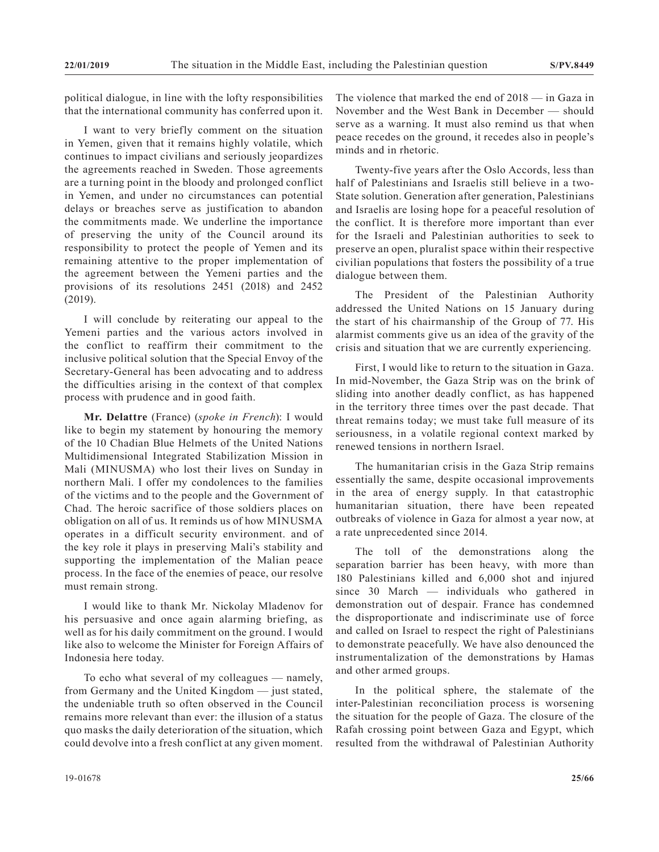political dialogue, in line with the lofty responsibilities that the international community has conferred upon it.

I want to very briefly comment on the situation in Yemen, given that it remains highly volatile, which continues to impact civilians and seriously jeopardizes the agreements reached in Sweden. Those agreements are a turning point in the bloody and prolonged conflict in Yemen, and under no circumstances can potential delays or breaches serve as justification to abandon the commitments made. We underline the importance of preserving the unity of the Council around its responsibility to protect the people of Yemen and its remaining attentive to the proper implementation of the agreement between the Yemeni parties and the provisions of its resolutions 2451 (2018) and 2452 (2019).

I will conclude by reiterating our appeal to the Yemeni parties and the various actors involved in the conflict to reaffirm their commitment to the inclusive political solution that the Special Envoy of the Secretary-General has been advocating and to address the difficulties arising in the context of that complex process with prudence and in good faith.

**Mr. Delattre** (France) (*spoke in French*): I would like to begin my statement by honouring the memory of the 10 Chadian Blue Helmets of the United Nations Multidimensional Integrated Stabilization Mission in Mali (MINUSMA) who lost their lives on Sunday in northern Mali. I offer my condolences to the families of the victims and to the people and the Government of Chad. The heroic sacrifice of those soldiers places on obligation on all of us. It reminds us of how MINUSMA operates in a difficult security environment. and of the key role it plays in preserving Mali's stability and supporting the implementation of the Malian peace process. In the face of the enemies of peace, our resolve must remain strong.

I would like to thank Mr. Nickolay Mladenov for his persuasive and once again alarming briefing, as well as for his daily commitment on the ground. I would like also to welcome the Minister for Foreign Affairs of Indonesia here today.

To echo what several of my colleagues — namely, from Germany and the United Kingdom — just stated, the undeniable truth so often observed in the Council remains more relevant than ever: the illusion of a status quo masks the daily deterioration of the situation, which could devolve into a fresh conflict at any given moment.

The violence that marked the end of 2018 — in Gaza in November and the West Bank in December — should serve as a warning. It must also remind us that when peace recedes on the ground, it recedes also in people's minds and in rhetoric.

Twenty-five years after the Oslo Accords, less than half of Palestinians and Israelis still believe in a two-State solution. Generation after generation, Palestinians and Israelis are losing hope for a peaceful resolution of the conflict. It is therefore more important than ever for the Israeli and Palestinian authorities to seek to preserve an open, pluralist space within their respective civilian populations that fosters the possibility of a true dialogue between them.

The President of the Palestinian Authority addressed the United Nations on 15 January during the start of his chairmanship of the Group of 77. His alarmist comments give us an idea of the gravity of the crisis and situation that we are currently experiencing.

First, I would like to return to the situation in Gaza. In mid-November, the Gaza Strip was on the brink of sliding into another deadly conflict, as has happened in the territory three times over the past decade. That threat remains today; we must take full measure of its seriousness, in a volatile regional context marked by renewed tensions in northern Israel.

The humanitarian crisis in the Gaza Strip remains essentially the same, despite occasional improvements in the area of energy supply. In that catastrophic humanitarian situation, there have been repeated outbreaks of violence in Gaza for almost a year now, at a rate unprecedented since 2014.

The toll of the demonstrations along the separation barrier has been heavy, with more than 180 Palestinians killed and 6,000 shot and injured since 30 March — individuals who gathered in demonstration out of despair. France has condemned the disproportionate and indiscriminate use of force and called on Israel to respect the right of Palestinians to demonstrate peacefully. We have also denounced the instrumentalization of the demonstrations by Hamas and other armed groups.

In the political sphere, the stalemate of the inter-Palestinian reconciliation process is worsening the situation for the people of Gaza. The closure of the Rafah crossing point between Gaza and Egypt, which resulted from the withdrawal of Palestinian Authority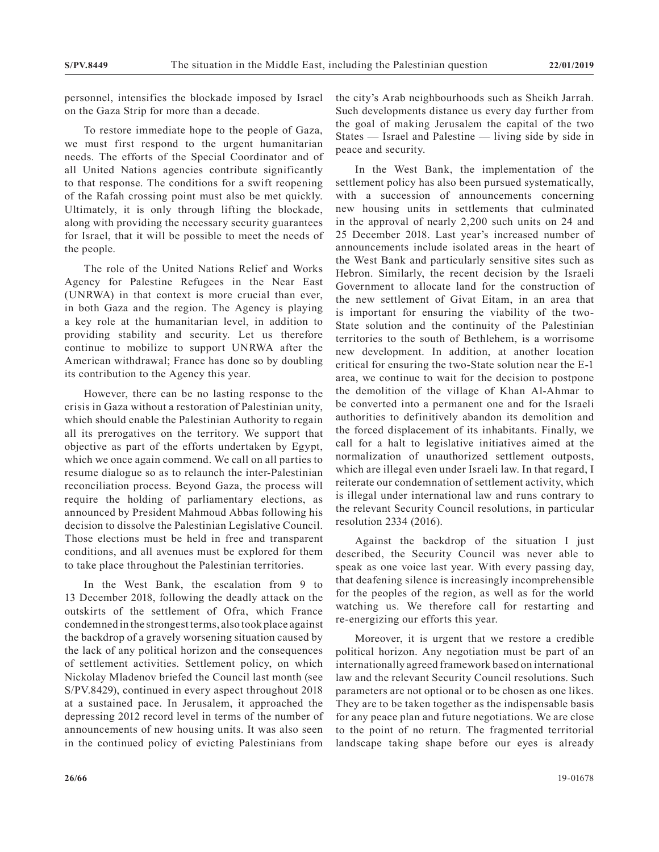personnel, intensifies the blockade imposed by Israel on the Gaza Strip for more than a decade.

To restore immediate hope to the people of Gaza, we must first respond to the urgent humanitarian needs. The efforts of the Special Coordinator and of all United Nations agencies contribute significantly to that response. The conditions for a swift reopening of the Rafah crossing point must also be met quickly. Ultimately, it is only through lifting the blockade, along with providing the necessary security guarantees for Israel, that it will be possible to meet the needs of the people.

The role of the United Nations Relief and Works Agency for Palestine Refugees in the Near East (UNRWA) in that context is more crucial than ever, in both Gaza and the region. The Agency is playing a key role at the humanitarian level, in addition to providing stability and security. Let us therefore continue to mobilize to support UNRWA after the American withdrawal; France has done so by doubling its contribution to the Agency this year.

However, there can be no lasting response to the crisis in Gaza without a restoration of Palestinian unity, which should enable the Palestinian Authority to regain all its prerogatives on the territory. We support that objective as part of the efforts undertaken by Egypt, which we once again commend. We call on all parties to resume dialogue so as to relaunch the inter-Palestinian reconciliation process. Beyond Gaza, the process will require the holding of parliamentary elections, as announced by President Mahmoud Abbas following his decision to dissolve the Palestinian Legislative Council. Those elections must be held in free and transparent conditions, and all avenues must be explored for them to take place throughout the Palestinian territories.

In the West Bank, the escalation from 9 to 13 December 2018, following the deadly attack on the outskirts of the settlement of Ofra, which France condemned in the strongest terms, also took place against the backdrop of a gravely worsening situation caused by the lack of any political horizon and the consequences of settlement activities. Settlement policy, on which Nickolay Mladenov briefed the Council last month (see S/PV.8429), continued in every aspect throughout 2018 at a sustained pace. In Jerusalem, it approached the depressing 2012 record level in terms of the number of announcements of new housing units. It was also seen in the continued policy of evicting Palestinians from

the city's Arab neighbourhoods such as Sheikh Jarrah. Such developments distance us every day further from the goal of making Jerusalem the capital of the two States — Israel and Palestine — living side by side in peace and security.

In the West Bank, the implementation of the settlement policy has also been pursued systematically, with a succession of announcements concerning new housing units in settlements that culminated in the approval of nearly 2,200 such units on 24 and 25 December 2018. Last year's increased number of announcements include isolated areas in the heart of the West Bank and particularly sensitive sites such as Hebron. Similarly, the recent decision by the Israeli Government to allocate land for the construction of the new settlement of Givat Eitam, in an area that is important for ensuring the viability of the two-State solution and the continuity of the Palestinian territories to the south of Bethlehem, is a worrisome new development. In addition, at another location critical for ensuring the two-State solution near the E-1 area, we continue to wait for the decision to postpone the demolition of the village of Khan Al-Ahmar to be converted into a permanent one and for the Israeli authorities to definitively abandon its demolition and the forced displacement of its inhabitants. Finally, we call for a halt to legislative initiatives aimed at the normalization of unauthorized settlement outposts, which are illegal even under Israeli law. In that regard, I reiterate our condemnation of settlement activity, which is illegal under international law and runs contrary to the relevant Security Council resolutions, in particular resolution 2334 (2016).

Against the backdrop of the situation I just described, the Security Council was never able to speak as one voice last year. With every passing day, that deafening silence is increasingly incomprehensible for the peoples of the region, as well as for the world watching us. We therefore call for restarting and re-energizing our efforts this year.

Moreover, it is urgent that we restore a credible political horizon. Any negotiation must be part of an internationally agreed framework based on international law and the relevant Security Council resolutions. Such parameters are not optional or to be chosen as one likes. They are to be taken together as the indispensable basis for any peace plan and future negotiations. We are close to the point of no return. The fragmented territorial landscape taking shape before our eyes is already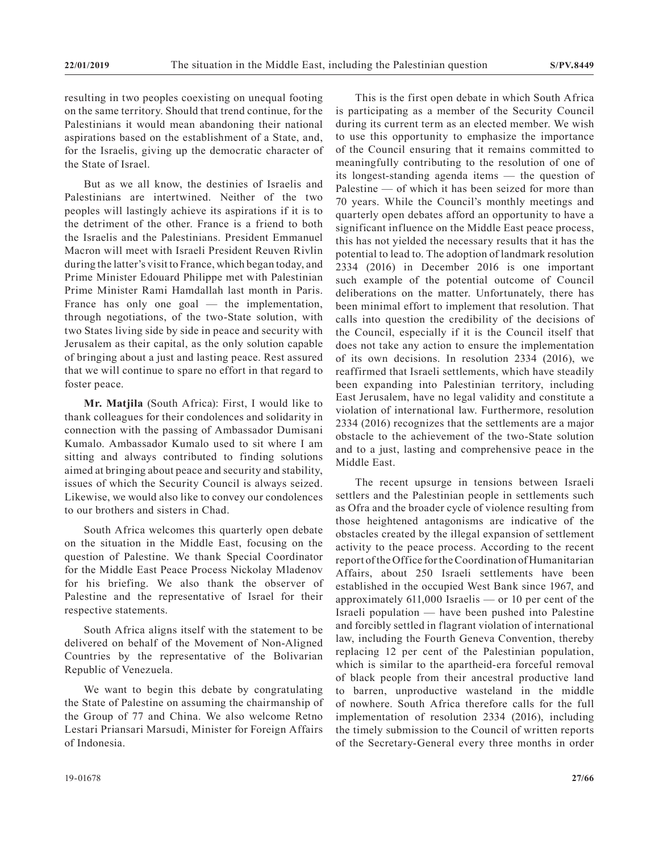resulting in two peoples coexisting on unequal footing on the same territory. Should that trend continue, for the Palestinians it would mean abandoning their national aspirations based on the establishment of a State, and, for the Israelis, giving up the democratic character of the State of Israel.

But as we all know, the destinies of Israelis and Palestinians are intertwined. Neither of the two peoples will lastingly achieve its aspirations if it is to the detriment of the other. France is a friend to both the Israelis and the Palestinians. President Emmanuel Macron will meet with Israeli President Reuven Rivlin during the latter's visit to France, which began today, and Prime Minister Edouard Philippe met with Palestinian Prime Minister Rami Hamdallah last month in Paris. France has only one goal — the implementation, through negotiations, of the two-State solution, with two States living side by side in peace and security with Jerusalem as their capital, as the only solution capable of bringing about a just and lasting peace. Rest assured that we will continue to spare no effort in that regard to foster peace.

**Mr. Matjila** (South Africa): First, I would like to thank colleagues for their condolences and solidarity in connection with the passing of Ambassador Dumisani Kumalo. Ambassador Kumalo used to sit where I am sitting and always contributed to finding solutions aimed at bringing about peace and security and stability, issues of which the Security Council is always seized. Likewise, we would also like to convey our condolences to our brothers and sisters in Chad.

South Africa welcomes this quarterly open debate on the situation in the Middle East, focusing on the question of Palestine. We thank Special Coordinator for the Middle East Peace Process Nickolay Mladenov for his briefing. We also thank the observer of Palestine and the representative of Israel for their respective statements.

South Africa aligns itself with the statement to be delivered on behalf of the Movement of Non-Aligned Countries by the representative of the Bolivarian Republic of Venezuela.

We want to begin this debate by congratulating the State of Palestine on assuming the chairmanship of the Group of 77 and China. We also welcome Retno Lestari Priansari Marsudi, Minister for Foreign Affairs of Indonesia.

This is the first open debate in which South Africa is participating as a member of the Security Council during its current term as an elected member. We wish to use this opportunity to emphasize the importance of the Council ensuring that it remains committed to meaningfully contributing to the resolution of one of its longest-standing agenda items — the question of Palestine — of which it has been seized for more than 70 years. While the Council's monthly meetings and quarterly open debates afford an opportunity to have a significant influence on the Middle East peace process, this has not yielded the necessary results that it has the potential to lead to. The adoption of landmark resolution 2334 (2016) in December 2016 is one important such example of the potential outcome of Council deliberations on the matter. Unfortunately, there has been minimal effort to implement that resolution. That calls into question the credibility of the decisions of the Council, especially if it is the Council itself that does not take any action to ensure the implementation of its own decisions. In resolution 2334 (2016), we reaffirmed that Israeli settlements, which have steadily been expanding into Palestinian territory, including East Jerusalem, have no legal validity and constitute a violation of international law. Furthermore, resolution 2334 (2016) recognizes that the settlements are a major obstacle to the achievement of the two-State solution and to a just, lasting and comprehensive peace in the Middle East.

The recent upsurge in tensions between Israeli settlers and the Palestinian people in settlements such as Ofra and the broader cycle of violence resulting from those heightened antagonisms are indicative of the obstacles created by the illegal expansion of settlement activity to the peace process. According to the recent report of the Office for the Coordination of Humanitarian Affairs, about 250 Israeli settlements have been established in the occupied West Bank since 1967, and approximately 611,000 Israelis — or 10 per cent of the Israeli population — have been pushed into Palestine and forcibly settled in flagrant violation of international law, including the Fourth Geneva Convention, thereby replacing 12 per cent of the Palestinian population, which is similar to the apartheid-era forceful removal of black people from their ancestral productive land to barren, unproductive wasteland in the middle of nowhere. South Africa therefore calls for the full implementation of resolution 2334 (2016), including the timely submission to the Council of written reports of the Secretary-General every three months in order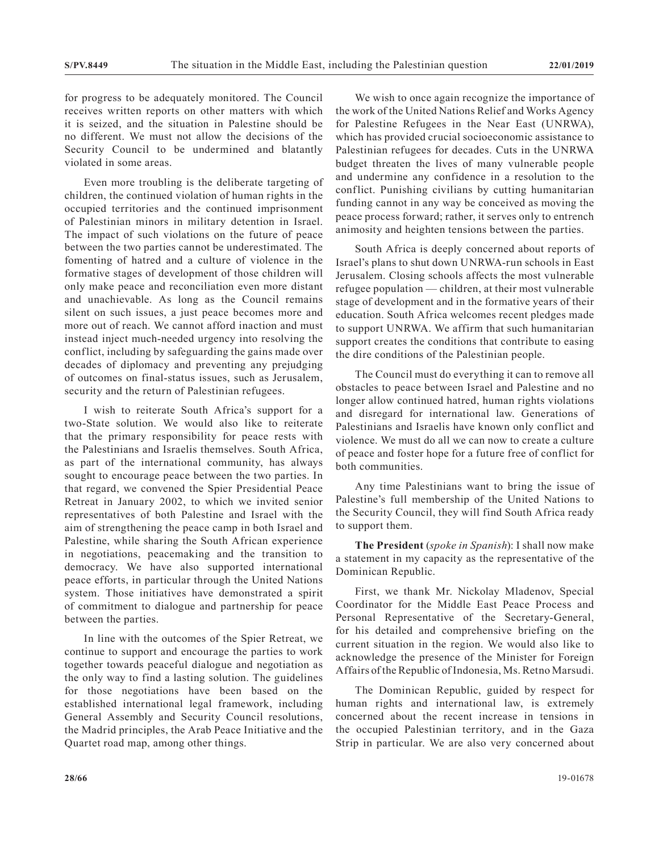for progress to be adequately monitored. The Council receives written reports on other matters with which it is seized, and the situation in Palestine should be no different. We must not allow the decisions of the Security Council to be undermined and blatantly violated in some areas.

Even more troubling is the deliberate targeting of children, the continued violation of human rights in the occupied territories and the continued imprisonment of Palestinian minors in military detention in Israel. The impact of such violations on the future of peace between the two parties cannot be underestimated. The fomenting of hatred and a culture of violence in the formative stages of development of those children will only make peace and reconciliation even more distant and unachievable. As long as the Council remains silent on such issues, a just peace becomes more and more out of reach. We cannot afford inaction and must instead inject much-needed urgency into resolving the conflict, including by safeguarding the gains made over decades of diplomacy and preventing any prejudging of outcomes on final-status issues, such as Jerusalem, security and the return of Palestinian refugees.

I wish to reiterate South Africa's support for a two-State solution. We would also like to reiterate that the primary responsibility for peace rests with the Palestinians and Israelis themselves. South Africa, as part of the international community, has always sought to encourage peace between the two parties. In that regard, we convened the Spier Presidential Peace Retreat in January 2002, to which we invited senior representatives of both Palestine and Israel with the aim of strengthening the peace camp in both Israel and Palestine, while sharing the South African experience in negotiations, peacemaking and the transition to democracy. We have also supported international peace efforts, in particular through the United Nations system. Those initiatives have demonstrated a spirit of commitment to dialogue and partnership for peace between the parties.

In line with the outcomes of the Spier Retreat, we continue to support and encourage the parties to work together towards peaceful dialogue and negotiation as the only way to find a lasting solution. The guidelines for those negotiations have been based on the established international legal framework, including General Assembly and Security Council resolutions, the Madrid principles, the Arab Peace Initiative and the Quartet road map, among other things.

We wish to once again recognize the importance of the work of the United Nations Relief and Works Agency for Palestine Refugees in the Near East (UNRWA), which has provided crucial socioeconomic assistance to Palestinian refugees for decades. Cuts in the UNRWA budget threaten the lives of many vulnerable people and undermine any confidence in a resolution to the conflict. Punishing civilians by cutting humanitarian funding cannot in any way be conceived as moving the peace process forward; rather, it serves only to entrench animosity and heighten tensions between the parties.

South Africa is deeply concerned about reports of Israel's plans to shut down UNRWA-run schools in East Jerusalem. Closing schools affects the most vulnerable refugee population — children, at their most vulnerable stage of development and in the formative years of their education. South Africa welcomes recent pledges made to support UNRWA. We affirm that such humanitarian support creates the conditions that contribute to easing the dire conditions of the Palestinian people.

The Council must do everything it can to remove all obstacles to peace between Israel and Palestine and no longer allow continued hatred, human rights violations and disregard for international law. Generations of Palestinians and Israelis have known only conflict and violence. We must do all we can now to create a culture of peace and foster hope for a future free of conflict for both communities.

Any time Palestinians want to bring the issue of Palestine's full membership of the United Nations to the Security Council, they will find South Africa ready to support them.

**The President** (*spoke in Spanish*): I shall now make a statement in my capacity as the representative of the Dominican Republic.

First, we thank Mr. Nickolay Mladenov, Special Coordinator for the Middle East Peace Process and Personal Representative of the Secretary-General, for his detailed and comprehensive briefing on the current situation in the region. We would also like to acknowledge the presence of the Minister for Foreign Affairs of the Republic of Indonesia, Ms. Retno Marsudi.

The Dominican Republic, guided by respect for human rights and international law, is extremely concerned about the recent increase in tensions in the occupied Palestinian territory, and in the Gaza Strip in particular. We are also very concerned about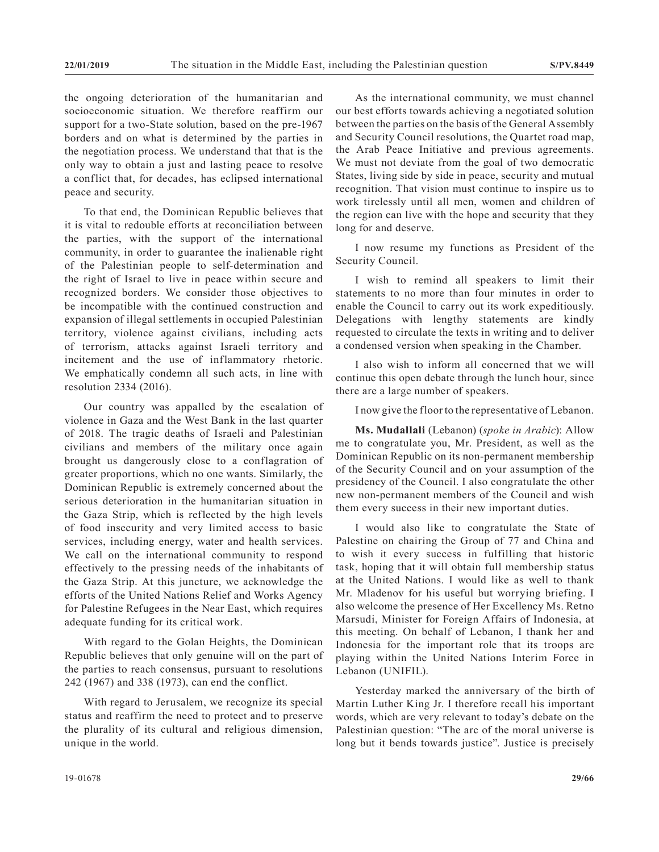the ongoing deterioration of the humanitarian and socioeconomic situation. We therefore reaffirm our support for a two-State solution, based on the pre-1967 borders and on what is determined by the parties in the negotiation process. We understand that that is the only way to obtain a just and lasting peace to resolve a conflict that, for decades, has eclipsed international peace and security.

To that end, the Dominican Republic believes that it is vital to redouble efforts at reconciliation between the parties, with the support of the international community, in order to guarantee the inalienable right of the Palestinian people to self-determination and the right of Israel to live in peace within secure and recognized borders. We consider those objectives to be incompatible with the continued construction and expansion of illegal settlements in occupied Palestinian territory, violence against civilians, including acts of terrorism, attacks against Israeli territory and incitement and the use of inflammatory rhetoric. We emphatically condemn all such acts, in line with resolution 2334 (2016).

Our country was appalled by the escalation of violence in Gaza and the West Bank in the last quarter of 2018. The tragic deaths of Israeli and Palestinian civilians and members of the military once again brought us dangerously close to a conflagration of greater proportions, which no one wants. Similarly, the Dominican Republic is extremely concerned about the serious deterioration in the humanitarian situation in the Gaza Strip, which is reflected by the high levels of food insecurity and very limited access to basic services, including energy, water and health services. We call on the international community to respond effectively to the pressing needs of the inhabitants of the Gaza Strip. At this juncture, we acknowledge the efforts of the United Nations Relief and Works Agency for Palestine Refugees in the Near East, which requires adequate funding for its critical work.

With regard to the Golan Heights, the Dominican Republic believes that only genuine will on the part of the parties to reach consensus, pursuant to resolutions 242 (1967) and 338 (1973), can end the conflict.

With regard to Jerusalem, we recognize its special status and reaffirm the need to protect and to preserve the plurality of its cultural and religious dimension, unique in the world.

As the international community, we must channel our best efforts towards achieving a negotiated solution between the parties on the basis of the General Assembly and Security Council resolutions, the Quartet road map, the Arab Peace Initiative and previous agreements. We must not deviate from the goal of two democratic States, living side by side in peace, security and mutual recognition. That vision must continue to inspire us to work tirelessly until all men, women and children of the region can live with the hope and security that they long for and deserve.

I now resume my functions as President of the Security Council.

I wish to remind all speakers to limit their statements to no more than four minutes in order to enable the Council to carry out its work expeditiously. Delegations with lengthy statements are kindly requested to circulate the texts in writing and to deliver a condensed version when speaking in the Chamber.

I also wish to inform all concerned that we will continue this open debate through the lunch hour, since there are a large number of speakers.

I now give the floor to the representative of Lebanon.

**Ms. Mudallali** (Lebanon) (*spoke in Arabic*): Allow me to congratulate you, Mr. President, as well as the Dominican Republic on its non-permanent membership of the Security Council and on your assumption of the presidency of the Council. I also congratulate the other new non-permanent members of the Council and wish them every success in their new important duties.

I would also like to congratulate the State of Palestine on chairing the Group of 77 and China and to wish it every success in fulfilling that historic task, hoping that it will obtain full membership status at the United Nations. I would like as well to thank Mr. Mladenov for his useful but worrying briefing. I also welcome the presence of Her Excellency Ms. Retno Marsudi, Minister for Foreign Affairs of Indonesia, at this meeting. On behalf of Lebanon, I thank her and Indonesia for the important role that its troops are playing within the United Nations Interim Force in Lebanon (UNIFIL).

Yesterday marked the anniversary of the birth of Martin Luther King Jr. I therefore recall his important words, which are very relevant to today's debate on the Palestinian question: "The arc of the moral universe is long but it bends towards justice". Justice is precisely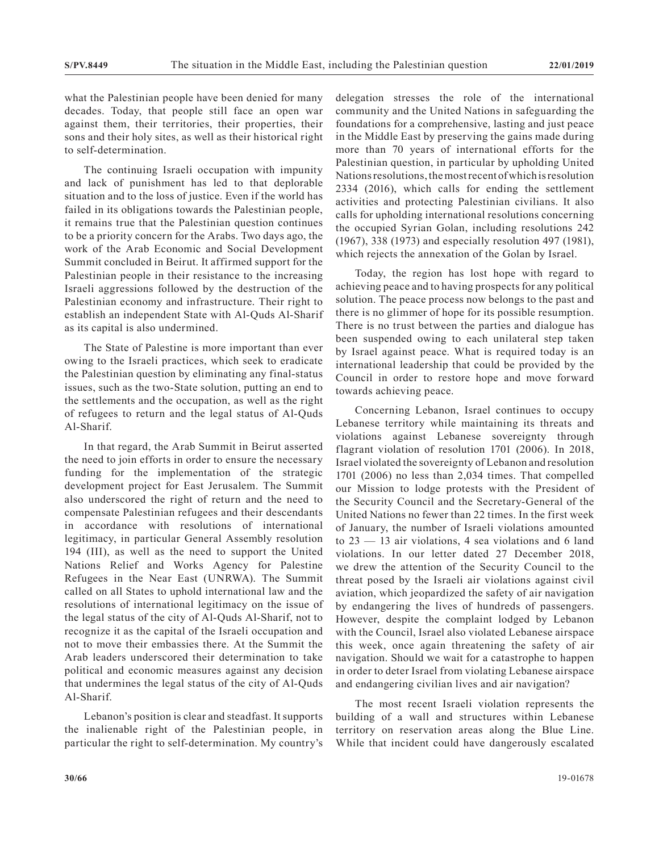what the Palestinian people have been denied for many decades. Today, that people still face an open war against them, their territories, their properties, their sons and their holy sites, as well as their historical right to self-determination.

The continuing Israeli occupation with impunity and lack of punishment has led to that deplorable situation and to the loss of justice. Even if the world has failed in its obligations towards the Palestinian people, it remains true that the Palestinian question continues to be a priority concern for the Arabs. Two days ago, the work of the Arab Economic and Social Development Summit concluded in Beirut. It affirmed support for the Palestinian people in their resistance to the increasing Israeli aggressions followed by the destruction of the Palestinian economy and infrastructure. Their right to establish an independent State with Al-Quds Al-Sharif as its capital is also undermined.

The State of Palestine is more important than ever owing to the Israeli practices, which seek to eradicate the Palestinian question by eliminating any final-status issues, such as the two-State solution, putting an end to the settlements and the occupation, as well as the right of refugees to return and the legal status of Al-Quds Al-Sharif.

In that regard, the Arab Summit in Beirut asserted the need to join efforts in order to ensure the necessary funding for the implementation of the strategic development project for East Jerusalem. The Summit also underscored the right of return and the need to compensate Palestinian refugees and their descendants in accordance with resolutions of international legitimacy, in particular General Assembly resolution 194 (III), as well as the need to support the United Nations Relief and Works Agency for Palestine Refugees in the Near East (UNRWA). The Summit called on all States to uphold international law and the resolutions of international legitimacy on the issue of the legal status of the city of Al-Quds Al-Sharif, not to recognize it as the capital of the Israeli occupation and not to move their embassies there. At the Summit the Arab leaders underscored their determination to take political and economic measures against any decision that undermines the legal status of the city of Al-Quds Al-Sharif.

Lebanon's position is clear and steadfast. It supports the inalienable right of the Palestinian people, in particular the right to self-determination. My country's delegation stresses the role of the international community and the United Nations in safeguarding the foundations for a comprehensive, lasting and just peace in the Middle East by preserving the gains made during more than 70 years of international efforts for the Palestinian question, in particular by upholding United Nations resolutions, the most recent of which is resolution 2334 (2016), which calls for ending the settlement activities and protecting Palestinian civilians. It also calls for upholding international resolutions concerning the occupied Syrian Golan, including resolutions 242 (1967), 338 (1973) and especially resolution 497 (1981), which rejects the annexation of the Golan by Israel.

Today, the region has lost hope with regard to achieving peace and to having prospects for any political solution. The peace process now belongs to the past and there is no glimmer of hope for its possible resumption. There is no trust between the parties and dialogue has been suspended owing to each unilateral step taken by Israel against peace. What is required today is an international leadership that could be provided by the Council in order to restore hope and move forward towards achieving peace.

Concerning Lebanon, Israel continues to occupy Lebanese territory while maintaining its threats and violations against Lebanese sovereignty through flagrant violation of resolution 1701 (2006). In 2018, Israel violated the sovereignty of Lebanon and resolution 1701 (2006) no less than 2,034 times. That compelled our Mission to lodge protests with the President of the Security Council and the Secretary-General of the United Nations no fewer than 22 times. In the first week of January, the number of Israeli violations amounted to 23 — 13 air violations, 4 sea violations and 6 land violations. In our letter dated 27 December 2018, we drew the attention of the Security Council to the threat posed by the Israeli air violations against civil aviation, which jeopardized the safety of air navigation by endangering the lives of hundreds of passengers. However, despite the complaint lodged by Lebanon with the Council, Israel also violated Lebanese airspace this week, once again threatening the safety of air navigation. Should we wait for a catastrophe to happen in order to deter Israel from violating Lebanese airspace and endangering civilian lives and air navigation?

The most recent Israeli violation represents the building of a wall and structures within Lebanese territory on reservation areas along the Blue Line. While that incident could have dangerously escalated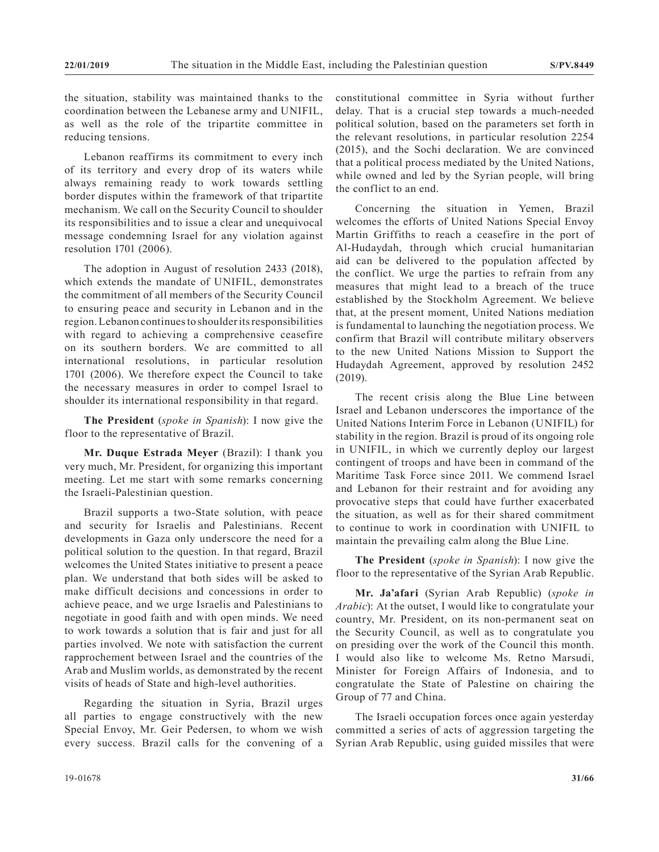the situation, stability was maintained thanks to the coordination between the Lebanese army and UNIFIL, as well as the role of the tripartite committee in reducing tensions.

Lebanon reaffirms its commitment to every inch of its territory and every drop of its waters while always remaining ready to work towards settling border disputes within the framework of that tripartite mechanism. We call on the Security Council to shoulder its responsibilities and to issue a clear and unequivocal message condemning Israel for any violation against resolution 1701 (2006).

The adoption in August of resolution 2433 (2018), which extends the mandate of UNIFIL, demonstrates the commitment of all members of the Security Council to ensuring peace and security in Lebanon and in the region. Lebanon continues to shoulder its responsibilities with regard to achieving a comprehensive ceasefire on its southern borders. We are committed to all international resolutions, in particular resolution 1701 (2006). We therefore expect the Council to take the necessary measures in order to compel Israel to shoulder its international responsibility in that regard.

**The President** (*spoke in Spanish*): I now give the floor to the representative of Brazil.

**Mr. Duque Estrada Meyer** (Brazil): I thank you very much, Mr. President, for organizing this important meeting. Let me start with some remarks concerning the Israeli-Palestinian question.

Brazil supports a two-State solution, with peace and security for Israelis and Palestinians. Recent developments in Gaza only underscore the need for a political solution to the question. In that regard, Brazil welcomes the United States initiative to present a peace plan. We understand that both sides will be asked to make difficult decisions and concessions in order to achieve peace, and we urge Israelis and Palestinians to negotiate in good faith and with open minds. We need to work towards a solution that is fair and just for all parties involved. We note with satisfaction the current rapprochement between Israel and the countries of the Arab and Muslim worlds, as demonstrated by the recent visits of heads of State and high-level authorities.

Regarding the situation in Syria, Brazil urges all parties to engage constructively with the new Special Envoy, Mr. Geir Pedersen, to whom we wish every success. Brazil calls for the convening of a constitutional committee in Syria without further delay. That is a crucial step towards a much-needed political solution, based on the parameters set forth in the relevant resolutions, in particular resolution 2254 (2015), and the Sochi declaration. We are convinced that a political process mediated by the United Nations, while owned and led by the Syrian people, will bring the conflict to an end.

Concerning the situation in Yemen, Brazil welcomes the efforts of United Nations Special Envoy Martin Griffiths to reach a ceasefire in the port of Al-Hudaydah, through which crucial humanitarian aid can be delivered to the population affected by the conflict. We urge the parties to refrain from any measures that might lead to a breach of the truce established by the Stockholm Agreement. We believe that, at the present moment, United Nations mediation is fundamental to launching the negotiation process. We confirm that Brazil will contribute military observers to the new United Nations Mission to Support the Hudaydah Agreement, approved by resolution 2452 (2019).

The recent crisis along the Blue Line between Israel and Lebanon underscores the importance of the United Nations Interim Force in Lebanon (UNIFIL) for stability in the region. Brazil is proud of its ongoing role in UNIFIL, in which we currently deploy our largest contingent of troops and have been in command of the Maritime Task Force since 2011. We commend Israel and Lebanon for their restraint and for avoiding any provocative steps that could have further exacerbated the situation, as well as for their shared commitment to continue to work in coordination with UNIFIL to maintain the prevailing calm along the Blue Line.

**The President** (*spoke in Spanish*): I now give the floor to the representative of the Syrian Arab Republic.

**Mr. Ja'afari** (Syrian Arab Republic) (*spoke in Arabic*): At the outset, I would like to congratulate your country, Mr. President, on its non-permanent seat on the Security Council, as well as to congratulate you on presiding over the work of the Council this month. I would also like to welcome Ms. Retno Marsudi, Minister for Foreign Affairs of Indonesia, and to congratulate the State of Palestine on chairing the Group of 77 and China.

The Israeli occupation forces once again yesterday committed a series of acts of aggression targeting the Syrian Arab Republic, using guided missiles that were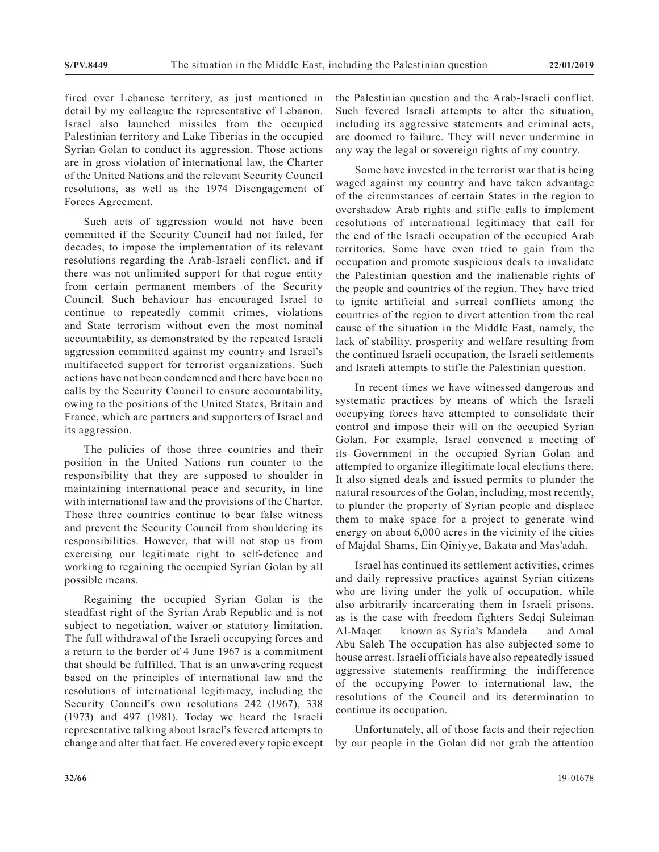fired over Lebanese territory, as just mentioned in detail by my colleague the representative of Lebanon. Israel also launched missiles from the occupied Palestinian territory and Lake Tiberias in the occupied Syrian Golan to conduct its aggression. Those actions are in gross violation of international law, the Charter of the United Nations and the relevant Security Council resolutions, as well as the 1974 Disengagement of Forces Agreement.

Such acts of aggression would not have been committed if the Security Council had not failed, for decades, to impose the implementation of its relevant resolutions regarding the Arab-Israeli conflict, and if there was not unlimited support for that rogue entity from certain permanent members of the Security Council. Such behaviour has encouraged Israel to continue to repeatedly commit crimes, violations and State terrorism without even the most nominal accountability, as demonstrated by the repeated Israeli aggression committed against my country and Israel's multifaceted support for terrorist organizations. Such actions have not been condemned and there have been no calls by the Security Council to ensure accountability, owing to the positions of the United States, Britain and France, which are partners and supporters of Israel and its aggression.

The policies of those three countries and their position in the United Nations run counter to the responsibility that they are supposed to shoulder in maintaining international peace and security, in line with international law and the provisions of the Charter. Those three countries continue to bear false witness and prevent the Security Council from shouldering its responsibilities. However, that will not stop us from exercising our legitimate right to self-defence and working to regaining the occupied Syrian Golan by all possible means.

Regaining the occupied Syrian Golan is the steadfast right of the Syrian Arab Republic and is not subject to negotiation, waiver or statutory limitation. The full withdrawal of the Israeli occupying forces and a return to the border of 4 June 1967 is a commitment that should be fulfilled. That is an unwavering request based on the principles of international law and the resolutions of international legitimacy, including the Security Council's own resolutions 242 (1967), 338 (1973) and 497 (1981). Today we heard the Israeli representative talking about Israel's fevered attempts to change and alter that fact. He covered every topic except the Palestinian question and the Arab-Israeli conflict. Such fevered Israeli attempts to alter the situation, including its aggressive statements and criminal acts, are doomed to failure. They will never undermine in any way the legal or sovereign rights of my country.

Some have invested in the terrorist war that is being waged against my country and have taken advantage of the circumstances of certain States in the region to overshadow Arab rights and stifle calls to implement resolutions of international legitimacy that call for the end of the Israeli occupation of the occupied Arab territories. Some have even tried to gain from the occupation and promote suspicious deals to invalidate the Palestinian question and the inalienable rights of the people and countries of the region. They have tried to ignite artificial and surreal conflicts among the countries of the region to divert attention from the real cause of the situation in the Middle East, namely, the lack of stability, prosperity and welfare resulting from the continued Israeli occupation, the Israeli settlements and Israeli attempts to stifle the Palestinian question.

In recent times we have witnessed dangerous and systematic practices by means of which the Israeli occupying forces have attempted to consolidate their control and impose their will on the occupied Syrian Golan. For example, Israel convened a meeting of its Government in the occupied Syrian Golan and attempted to organize illegitimate local elections there. It also signed deals and issued permits to plunder the natural resources of the Golan, including, most recently, to plunder the property of Syrian people and displace them to make space for a project to generate wind energy on about 6,000 acres in the vicinity of the cities of Majdal Shams, Ein Qiniyye, Bakata and Mas'adah.

Israel has continued its settlement activities, crimes and daily repressive practices against Syrian citizens who are living under the yolk of occupation, while also arbitrarily incarcerating them in Israeli prisons, as is the case with freedom fighters Sedqi Suleiman Al-Maqet — known as Syria's Mandela — and Amal Abu Saleh The occupation has also subjected some to house arrest. Israeli officials have also repeatedly issued aggressive statements reaffirming the indifference of the occupying Power to international law, the resolutions of the Council and its determination to continue its occupation.

Unfortunately, all of those facts and their rejection by our people in the Golan did not grab the attention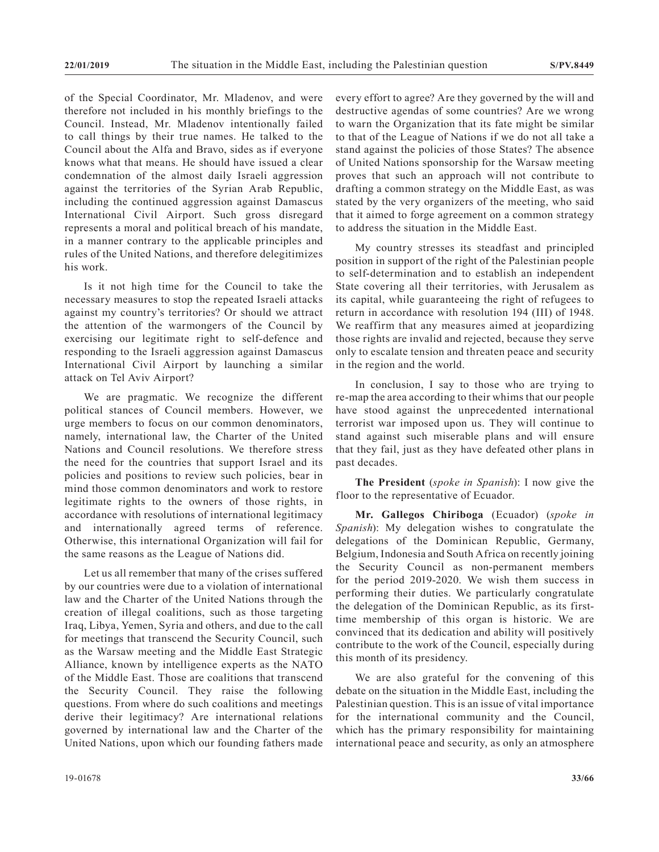of the Special Coordinator, Mr. Mladenov, and were therefore not included in his monthly briefings to the Council. Instead, Mr. Mladenov intentionally failed to call things by their true names. He talked to the Council about the Alfa and Bravo, sides as if everyone knows what that means. He should have issued a clear condemnation of the almost daily Israeli aggression against the territories of the Syrian Arab Republic, including the continued aggression against Damascus International Civil Airport. Such gross disregard represents a moral and political breach of his mandate, in a manner contrary to the applicable principles and rules of the United Nations, and therefore delegitimizes his work.

Is it not high time for the Council to take the necessary measures to stop the repeated Israeli attacks against my country's territories? Or should we attract the attention of the warmongers of the Council by exercising our legitimate right to self-defence and responding to the Israeli aggression against Damascus International Civil Airport by launching a similar attack on Tel Aviv Airport?

We are pragmatic. We recognize the different political stances of Council members. However, we urge members to focus on our common denominators, namely, international law, the Charter of the United Nations and Council resolutions. We therefore stress the need for the countries that support Israel and its policies and positions to review such policies, bear in mind those common denominators and work to restore legitimate rights to the owners of those rights, in accordance with resolutions of international legitimacy and internationally agreed terms of reference. Otherwise, this international Organization will fail for the same reasons as the League of Nations did.

Let us all remember that many of the crises suffered by our countries were due to a violation of international law and the Charter of the United Nations through the creation of illegal coalitions, such as those targeting Iraq, Libya, Yemen, Syria and others, and due to the call for meetings that transcend the Security Council, such as the Warsaw meeting and the Middle East Strategic Alliance, known by intelligence experts as the NATO of the Middle East. Those are coalitions that transcend the Security Council. They raise the following questions. From where do such coalitions and meetings derive their legitimacy? Are international relations governed by international law and the Charter of the United Nations, upon which our founding fathers made every effort to agree? Are they governed by the will and destructive agendas of some countries? Are we wrong to warn the Organization that its fate might be similar to that of the League of Nations if we do not all take a stand against the policies of those States? The absence of United Nations sponsorship for the Warsaw meeting proves that such an approach will not contribute to drafting a common strategy on the Middle East, as was stated by the very organizers of the meeting, who said that it aimed to forge agreement on a common strategy to address the situation in the Middle East.

My country stresses its steadfast and principled position in support of the right of the Palestinian people to self-determination and to establish an independent State covering all their territories, with Jerusalem as its capital, while guaranteeing the right of refugees to return in accordance with resolution 194 (III) of 1948. We reaffirm that any measures aimed at jeopardizing those rights are invalid and rejected, because they serve only to escalate tension and threaten peace and security in the region and the world.

In conclusion, I say to those who are trying to re-map the area according to their whims that our people have stood against the unprecedented international terrorist war imposed upon us. They will continue to stand against such miserable plans and will ensure that they fail, just as they have defeated other plans in past decades.

**The President** (*spoke in Spanish*): I now give the floor to the representative of Ecuador.

**Mr. Gallegos Chiriboga** (Ecuador) (*spoke in Spanish*): My delegation wishes to congratulate the delegations of the Dominican Republic, Germany, Belgium, Indonesia and South Africa on recently joining the Security Council as non-permanent members for the period 2019-2020. We wish them success in performing their duties. We particularly congratulate the delegation of the Dominican Republic, as its firsttime membership of this organ is historic. We are convinced that its dedication and ability will positively contribute to the work of the Council, especially during this month of its presidency.

We are also grateful for the convening of this debate on the situation in the Middle East, including the Palestinian question. This is an issue of vital importance for the international community and the Council, which has the primary responsibility for maintaining international peace and security, as only an atmosphere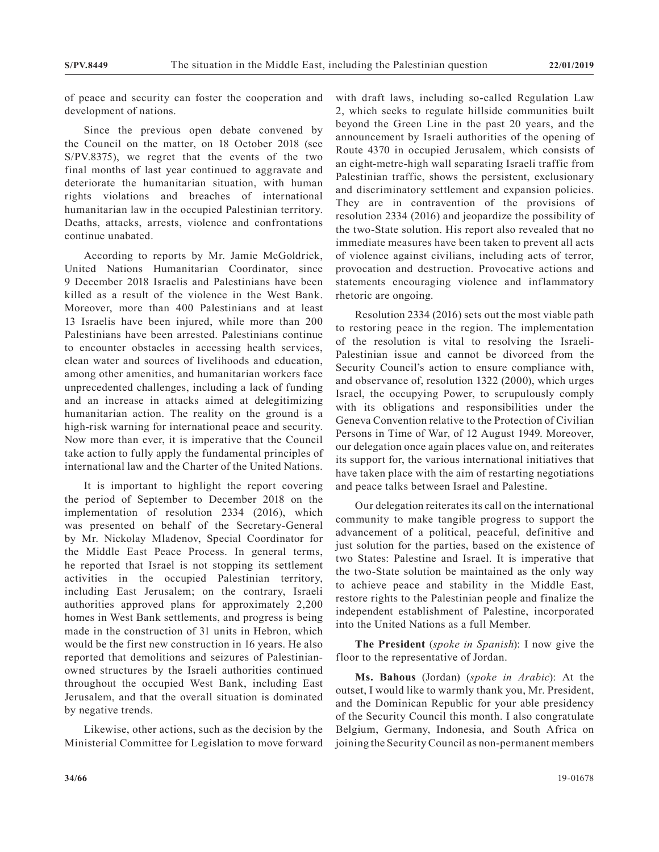of peace and security can foster the cooperation and development of nations.

Since the previous open debate convened by the Council on the matter, on 18 October 2018 (see S/PV.8375), we regret that the events of the two final months of last year continued to aggravate and deteriorate the humanitarian situation, with human rights violations and breaches of international humanitarian law in the occupied Palestinian territory. Deaths, attacks, arrests, violence and confrontations continue unabated.

According to reports by Mr. Jamie McGoldrick, United Nations Humanitarian Coordinator, since 9 December 2018 Israelis and Palestinians have been killed as a result of the violence in the West Bank. Moreover, more than 400 Palestinians and at least 13 Israelis have been injured, while more than 200 Palestinians have been arrested. Palestinians continue to encounter obstacles in accessing health services, clean water and sources of livelihoods and education, among other amenities, and humanitarian workers face unprecedented challenges, including a lack of funding and an increase in attacks aimed at delegitimizing humanitarian action. The reality on the ground is a high-risk warning for international peace and security. Now more than ever, it is imperative that the Council take action to fully apply the fundamental principles of international law and the Charter of the United Nations.

It is important to highlight the report covering the period of September to December 2018 on the implementation of resolution 2334 (2016), which was presented on behalf of the Secretary-General by Mr. Nickolay Mladenov, Special Coordinator for the Middle East Peace Process. In general terms, he reported that Israel is not stopping its settlement activities in the occupied Palestinian territory, including East Jerusalem; on the contrary, Israeli authorities approved plans for approximately 2,200 homes in West Bank settlements, and progress is being made in the construction of 31 units in Hebron, which would be the first new construction in 16 years. He also reported that demolitions and seizures of Palestinianowned structures by the Israeli authorities continued throughout the occupied West Bank, including East Jerusalem, and that the overall situation is dominated by negative trends.

Likewise, other actions, such as the decision by the Ministerial Committee for Legislation to move forward with draft laws, including so-called Regulation Law 2, which seeks to regulate hillside communities built beyond the Green Line in the past 20 years, and the announcement by Israeli authorities of the opening of Route 4370 in occupied Jerusalem, which consists of an eight-metre-high wall separating Israeli traffic from Palestinian traffic, shows the persistent, exclusionary and discriminatory settlement and expansion policies. They are in contravention of the provisions of resolution 2334 (2016) and jeopardize the possibility of the two-State solution. His report also revealed that no immediate measures have been taken to prevent all acts of violence against civilians, including acts of terror, provocation and destruction. Provocative actions and statements encouraging violence and inflammatory rhetoric are ongoing.

Resolution 2334 (2016) sets out the most viable path to restoring peace in the region. The implementation of the resolution is vital to resolving the Israeli-Palestinian issue and cannot be divorced from the Security Council's action to ensure compliance with, and observance of, resolution 1322 (2000), which urges Israel, the occupying Power, to scrupulously comply with its obligations and responsibilities under the Geneva Convention relative to the Protection of Civilian Persons in Time of War, of 12 August 1949. Moreover, our delegation once again places value on, and reiterates its support for, the various international initiatives that have taken place with the aim of restarting negotiations and peace talks between Israel and Palestine.

Our delegation reiterates its call on the international community to make tangible progress to support the advancement of a political, peaceful, definitive and just solution for the parties, based on the existence of two States: Palestine and Israel. It is imperative that the two-State solution be maintained as the only way to achieve peace and stability in the Middle East, restore rights to the Palestinian people and finalize the independent establishment of Palestine, incorporated into the United Nations as a full Member.

**The President** (*spoke in Spanish*): I now give the floor to the representative of Jordan.

**Ms. Bahous** (Jordan) (*spoke in Arabic*): At the outset, I would like to warmly thank you, Mr. President, and the Dominican Republic for your able presidency of the Security Council this month. I also congratulate Belgium, Germany, Indonesia, and South Africa on joining the Security Council as non-permanent members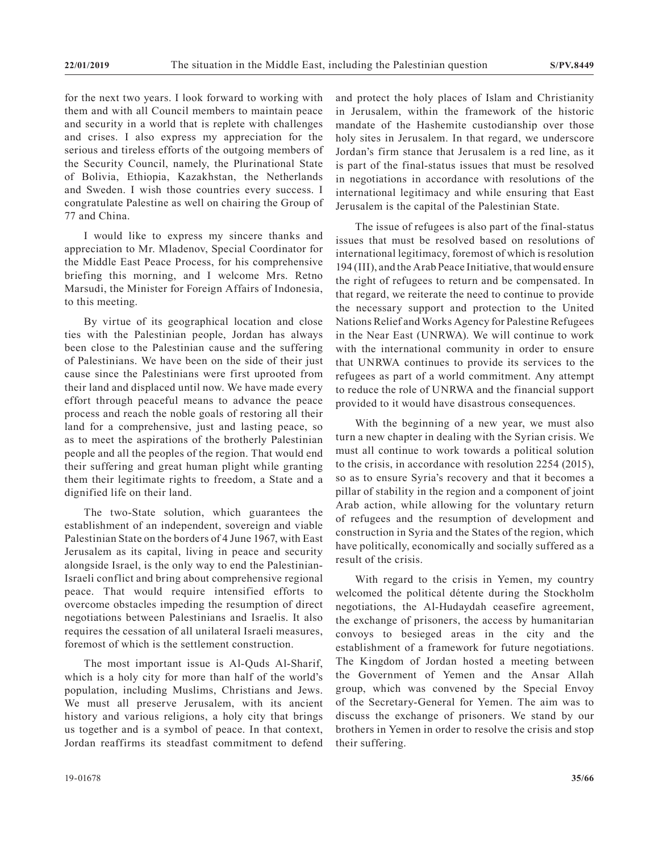for the next two years. I look forward to working with them and with all Council members to maintain peace and security in a world that is replete with challenges and crises. I also express my appreciation for the serious and tireless efforts of the outgoing members of the Security Council, namely, the Plurinational State of Bolivia, Ethiopia, Kazakhstan, the Netherlands and Sweden. I wish those countries every success. I congratulate Palestine as well on chairing the Group of 77 and China.

I would like to express my sincere thanks and appreciation to Mr. Mladenov, Special Coordinator for the Middle East Peace Process, for his comprehensive briefing this morning, and I welcome Mrs. Retno Marsudi, the Minister for Foreign Affairs of Indonesia, to this meeting.

By virtue of its geographical location and close ties with the Palestinian people, Jordan has always been close to the Palestinian cause and the suffering of Palestinians. We have been on the side of their just cause since the Palestinians were first uprooted from their land and displaced until now. We have made every effort through peaceful means to advance the peace process and reach the noble goals of restoring all their land for a comprehensive, just and lasting peace, so as to meet the aspirations of the brotherly Palestinian people and all the peoples of the region. That would end their suffering and great human plight while granting them their legitimate rights to freedom, a State and a dignified life on their land.

The two-State solution, which guarantees the establishment of an independent, sovereign and viable Palestinian State on the borders of 4 June 1967, with East Jerusalem as its capital, living in peace and security alongside Israel, is the only way to end the Palestinian-Israeli conflict and bring about comprehensive regional peace. That would require intensified efforts to overcome obstacles impeding the resumption of direct negotiations between Palestinians and Israelis. It also requires the cessation of all unilateral Israeli measures, foremost of which is the settlement construction.

The most important issue is Al-Quds Al-Sharif, which is a holy city for more than half of the world's population, including Muslims, Christians and Jews. We must all preserve Jerusalem, with its ancient history and various religions, a holy city that brings us together and is a symbol of peace. In that context, Jordan reaffirms its steadfast commitment to defend and protect the holy places of Islam and Christianity in Jerusalem, within the framework of the historic mandate of the Hashemite custodianship over those holy sites in Jerusalem. In that regard, we underscore Jordan's firm stance that Jerusalem is a red line, as it is part of the final-status issues that must be resolved in negotiations in accordance with resolutions of the international legitimacy and while ensuring that East Jerusalem is the capital of the Palestinian State.

The issue of refugees is also part of the final-status issues that must be resolved based on resolutions of international legitimacy, foremost of which is resolution 194 (III), and the Arab Peace Initiative, that would ensure the right of refugees to return and be compensated. In that regard, we reiterate the need to continue to provide the necessary support and protection to the United Nations Relief and Works Agency for Palestine Refugees in the Near East (UNRWA). We will continue to work with the international community in order to ensure that UNRWA continues to provide its services to the refugees as part of a world commitment. Any attempt to reduce the role of UNRWA and the financial support provided to it would have disastrous consequences.

With the beginning of a new year, we must also turn a new chapter in dealing with the Syrian crisis. We must all continue to work towards a political solution to the crisis, in accordance with resolution 2254 (2015), so as to ensure Syria's recovery and that it becomes a pillar of stability in the region and a component of joint Arab action, while allowing for the voluntary return of refugees and the resumption of development and construction in Syria and the States of the region, which have politically, economically and socially suffered as a result of the crisis.

With regard to the crisis in Yemen, my country welcomed the political détente during the Stockholm negotiations, the Al-Hudaydah ceasefire agreement, the exchange of prisoners, the access by humanitarian convoys to besieged areas in the city and the establishment of a framework for future negotiations. The Kingdom of Jordan hosted a meeting between the Government of Yemen and the Ansar Allah group, which was convened by the Special Envoy of the Secretary-General for Yemen. The aim was to discuss the exchange of prisoners. We stand by our brothers in Yemen in order to resolve the crisis and stop their suffering.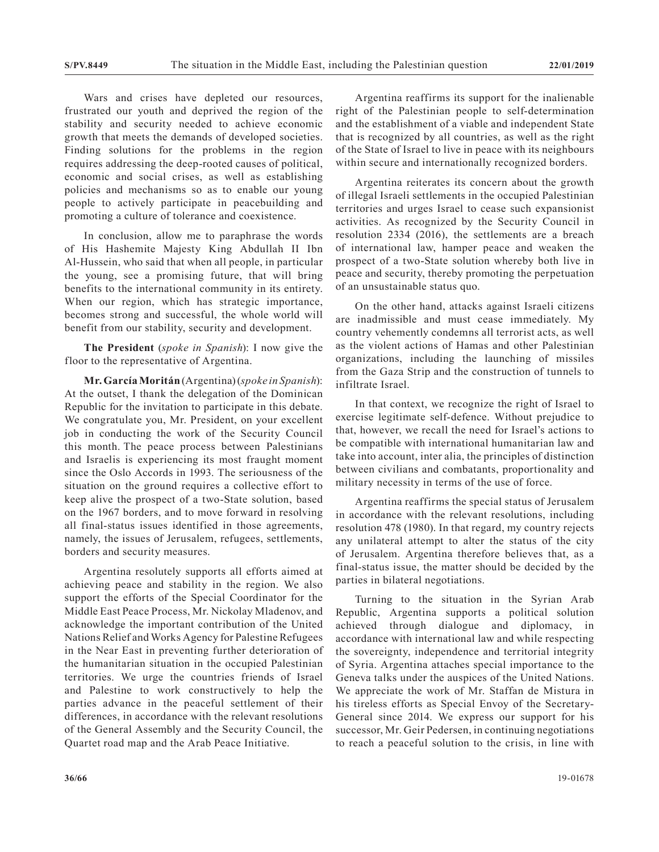Wars and crises have depleted our resources, frustrated our youth and deprived the region of the stability and security needed to achieve economic growth that meets the demands of developed societies. Finding solutions for the problems in the region requires addressing the deep-rooted causes of political, economic and social crises, as well as establishing policies and mechanisms so as to enable our young people to actively participate in peacebuilding and promoting a culture of tolerance and coexistence.

In conclusion, allow me to paraphrase the words of His Hashemite Majesty King Abdullah II Ibn Al-Hussein, who said that when all people, in particular the young, see a promising future, that will bring benefits to the international community in its entirety. When our region, which has strategic importance, becomes strong and successful, the whole world will benefit from our stability, security and development.

**The President** (*spoke in Spanish*): I now give the floor to the representative of Argentina.

**Mr. García Moritán** (Argentina) (*spoke in Spanish*): At the outset, I thank the delegation of the Dominican Republic for the invitation to participate in this debate. We congratulate you, Mr. President, on your excellent job in conducting the work of the Security Council this month. The peace process between Palestinians and Israelis is experiencing its most fraught moment since the Oslo Accords in 1993. The seriousness of the situation on the ground requires a collective effort to keep alive the prospect of a two-State solution, based on the 1967 borders, and to move forward in resolving all final-status issues identified in those agreements, namely, the issues of Jerusalem, refugees, settlements, borders and security measures.

Argentina resolutely supports all efforts aimed at achieving peace and stability in the region. We also support the efforts of the Special Coordinator for the Middle East Peace Process, Mr. Nickolay Mladenov, and acknowledge the important contribution of the United Nations Relief and Works Agency for Palestine Refugees in the Near East in preventing further deterioration of the humanitarian situation in the occupied Palestinian territories. We urge the countries friends of Israel and Palestine to work constructively to help the parties advance in the peaceful settlement of their differences, in accordance with the relevant resolutions of the General Assembly and the Security Council, the Quartet road map and the Arab Peace Initiative.

Argentina reaffirms its support for the inalienable right of the Palestinian people to self-determination and the establishment of a viable and independent State that is recognized by all countries, as well as the right of the State of Israel to live in peace with its neighbours within secure and internationally recognized borders.

Argentina reiterates its concern about the growth of illegal Israeli settlements in the occupied Palestinian territories and urges Israel to cease such expansionist activities. As recognized by the Security Council in resolution 2334 (2016), the settlements are a breach of international law, hamper peace and weaken the prospect of a two-State solution whereby both live in peace and security, thereby promoting the perpetuation of an unsustainable status quo.

On the other hand, attacks against Israeli citizens are inadmissible and must cease immediately. My country vehemently condemns all terrorist acts, as well as the violent actions of Hamas and other Palestinian organizations, including the launching of missiles from the Gaza Strip and the construction of tunnels to infiltrate Israel.

In that context, we recognize the right of Israel to exercise legitimate self-defence. Without prejudice to that, however, we recall the need for Israel's actions to be compatible with international humanitarian law and take into account, inter alia, the principles of distinction between civilians and combatants, proportionality and military necessity in terms of the use of force.

Argentina reaffirms the special status of Jerusalem in accordance with the relevant resolutions, including resolution 478 (1980). In that regard, my country rejects any unilateral attempt to alter the status of the city of Jerusalem. Argentina therefore believes that, as a final-status issue, the matter should be decided by the parties in bilateral negotiations.

Turning to the situation in the Syrian Arab Republic, Argentina supports a political solution achieved through dialogue and diplomacy, in accordance with international law and while respecting the sovereignty, independence and territorial integrity of Syria. Argentina attaches special importance to the Geneva talks under the auspices of the United Nations. We appreciate the work of Mr. Staffan de Mistura in his tireless efforts as Special Envoy of the Secretary-General since 2014. We express our support for his successor, Mr. Geir Pedersen, in continuing negotiations to reach a peaceful solution to the crisis, in line with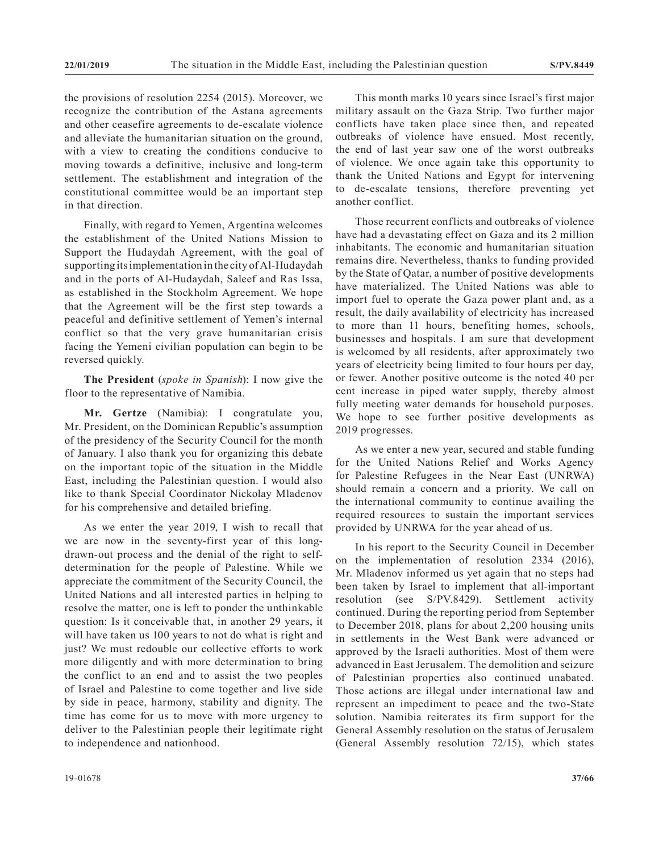the provisions of resolution 2254 (2015). Moreover, we recognize the contribution of the Astana agreements and other ceasefire agreements to de-escalate violence and alleviate the humanitarian situation on the ground, with a view to creating the conditions conducive to moving towards a definitive, inclusive and long-term settlement. The establishment and integration of the constitutional committee would be an important step in that direction.

Finally, with regard to Yemen, Argentina welcomes the establishment of the United Nations Mission to Support the Hudaydah Agreement, with the goal of supporting its implementation in the city of Al-Hudaydah and in the ports of Al-Hudaydah, Saleef and Ras Issa, as established in the Stockholm Agreement. We hope that the Agreement will be the first step towards a peaceful and definitive settlement of Yemen's internal conflict so that the very grave humanitarian crisis facing the Yemeni civilian population can begin to be reversed quickly.

**The President** (*spoke in Spanish*): I now give the floor to the representative of Namibia.

**Mr. Gertze** (Namibia): I congratulate you, Mr. President, on the Dominican Republic's assumption of the presidency of the Security Council for the month of January. I also thank you for organizing this debate on the important topic of the situation in the Middle East, including the Palestinian question. I would also like to thank Special Coordinator Nickolay Mladenov for his comprehensive and detailed briefing.

As we enter the year 2019, I wish to recall that we are now in the seventy-first year of this longdrawn-out process and the denial of the right to selfdetermination for the people of Palestine. While we appreciate the commitment of the Security Council, the United Nations and all interested parties in helping to resolve the matter, one is left to ponder the unthinkable question: Is it conceivable that, in another 29 years, it will have taken us 100 years to not do what is right and just? We must redouble our collective efforts to work more diligently and with more determination to bring the conflict to an end and to assist the two peoples of Israel and Palestine to come together and live side by side in peace, harmony, stability and dignity. The time has come for us to move with more urgency to deliver to the Palestinian people their legitimate right to independence and nationhood.

This month marks 10 years since Israel's first major military assault on the Gaza Strip. Two further major conflicts have taken place since then, and repeated outbreaks of violence have ensued. Most recently, the end of last year saw one of the worst outbreaks of violence. We once again take this opportunity to thank the United Nations and Egypt for intervening to de-escalate tensions, therefore preventing yet another conflict.

Those recurrent conflicts and outbreaks of violence have had a devastating effect on Gaza and its 2 million inhabitants. The economic and humanitarian situation remains dire. Nevertheless, thanks to funding provided by the State of Qatar, a number of positive developments have materialized. The United Nations was able to import fuel to operate the Gaza power plant and, as a result, the daily availability of electricity has increased to more than 11 hours, benefiting homes, schools, businesses and hospitals. I am sure that development is welcomed by all residents, after approximately two years of electricity being limited to four hours per day, or fewer. Another positive outcome is the noted 40 per cent increase in piped water supply, thereby almost fully meeting water demands for household purposes. We hope to see further positive developments as 2019 progresses.

As we enter a new year, secured and stable funding for the United Nations Relief and Works Agency for Palestine Refugees in the Near East (UNRWA) should remain a concern and a priority. We call on the international community to continue availing the required resources to sustain the important services provided by UNRWA for the year ahead of us.

In his report to the Security Council in December on the implementation of resolution 2334 (2016), Mr. Mladenov informed us yet again that no steps had been taken by Israel to implement that all-important resolution (see S/PV.8429). Settlement activity continued. During the reporting period from September to December 2018, plans for about 2,200 housing units in settlements in the West Bank were advanced or approved by the Israeli authorities. Most of them were advanced in East Jerusalem. The demolition and seizure of Palestinian properties also continued unabated. Those actions are illegal under international law and represent an impediment to peace and the two-State solution. Namibia reiterates its firm support for the General Assembly resolution on the status of Jerusalem (General Assembly resolution 72/15), which states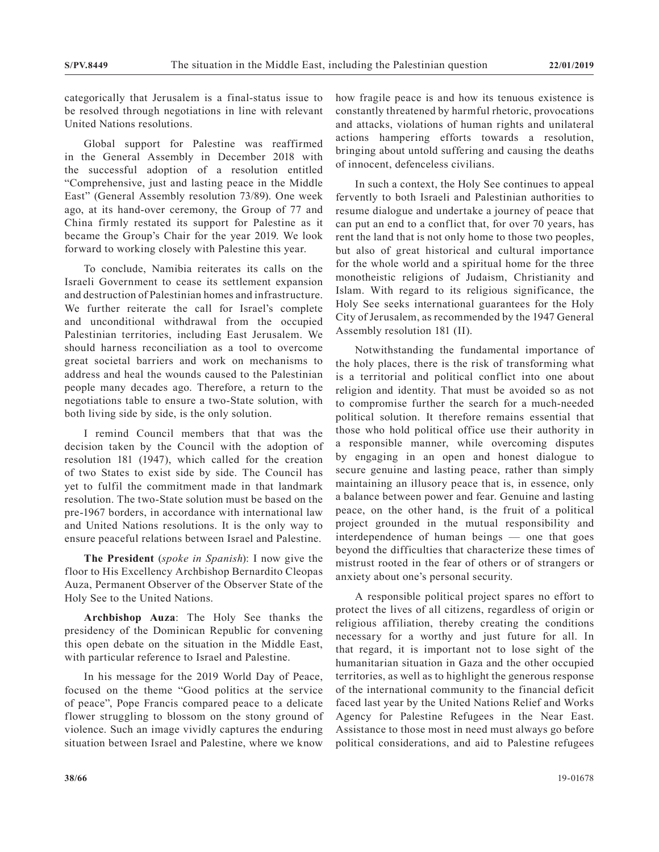categorically that Jerusalem is a final-status issue to be resolved through negotiations in line with relevant United Nations resolutions.

Global support for Palestine was reaffirmed in the General Assembly in December 2018 with the successful adoption of a resolution entitled "Comprehensive, just and lasting peace in the Middle East" (General Assembly resolution 73/89). One week ago, at its hand-over ceremony, the Group of 77 and China firmly restated its support for Palestine as it became the Group's Chair for the year 2019. We look forward to working closely with Palestine this year.

To conclude, Namibia reiterates its calls on the Israeli Government to cease its settlement expansion and destruction of Palestinian homes and infrastructure. We further reiterate the call for Israel's complete and unconditional withdrawal from the occupied Palestinian territories, including East Jerusalem. We should harness reconciliation as a tool to overcome great societal barriers and work on mechanisms to address and heal the wounds caused to the Palestinian people many decades ago. Therefore, a return to the negotiations table to ensure a two-State solution, with both living side by side, is the only solution.

I remind Council members that that was the decision taken by the Council with the adoption of resolution 181 (1947), which called for the creation of two States to exist side by side. The Council has yet to fulfil the commitment made in that landmark resolution. The two-State solution must be based on the pre-1967 borders, in accordance with international law and United Nations resolutions. It is the only way to ensure peaceful relations between Israel and Palestine.

**The President** (*spoke in Spanish*): I now give the floor to His Excellency Archbishop Bernardito Cleopas Auza, Permanent Observer of the Observer State of the Holy See to the United Nations.

**Archbishop Auza**: The Holy See thanks the presidency of the Dominican Republic for convening this open debate on the situation in the Middle East, with particular reference to Israel and Palestine.

In his message for the 2019 World Day of Peace, focused on the theme "Good politics at the service of peace", Pope Francis compared peace to a delicate flower struggling to blossom on the stony ground of violence. Such an image vividly captures the enduring situation between Israel and Palestine, where we know

how fragile peace is and how its tenuous existence is constantly threatened by harmful rhetoric, provocations and attacks, violations of human rights and unilateral actions hampering efforts towards a resolution, bringing about untold suffering and causing the deaths of innocent, defenceless civilians.

In such a context, the Holy See continues to appeal fervently to both Israeli and Palestinian authorities to resume dialogue and undertake a journey of peace that can put an end to a conflict that, for over 70 years, has rent the land that is not only home to those two peoples, but also of great historical and cultural importance for the whole world and a spiritual home for the three monotheistic religions of Judaism, Christianity and Islam. With regard to its religious significance, the Holy See seeks international guarantees for the Holy City of Jerusalem, as recommended by the 1947 General Assembly resolution 181 (II).

Notwithstanding the fundamental importance of the holy places, there is the risk of transforming what is a territorial and political conflict into one about religion and identity. That must be avoided so as not to compromise further the search for a much-needed political solution. It therefore remains essential that those who hold political office use their authority in a responsible manner, while overcoming disputes by engaging in an open and honest dialogue to secure genuine and lasting peace, rather than simply maintaining an illusory peace that is, in essence, only a balance between power and fear. Genuine and lasting peace, on the other hand, is the fruit of a political project grounded in the mutual responsibility and interdependence of human beings — one that goes beyond the difficulties that characterize these times of mistrust rooted in the fear of others or of strangers or anxiety about one's personal security.

A responsible political project spares no effort to protect the lives of all citizens, regardless of origin or religious affiliation, thereby creating the conditions necessary for a worthy and just future for all. In that regard, it is important not to lose sight of the humanitarian situation in Gaza and the other occupied territories, as well as to highlight the generous response of the international community to the financial deficit faced last year by the United Nations Relief and Works Agency for Palestine Refugees in the Near East. Assistance to those most in need must always go before political considerations, and aid to Palestine refugees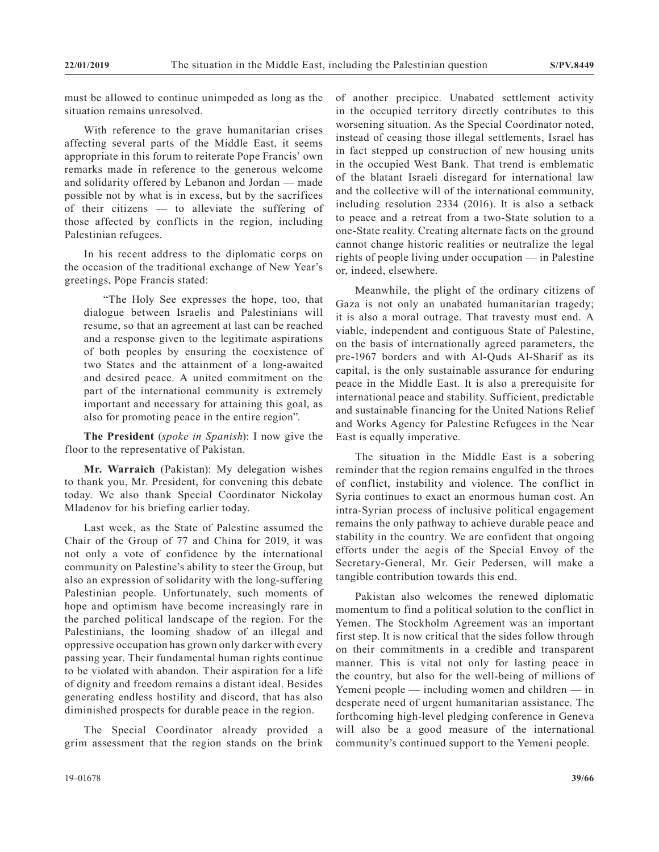must be allowed to continue unimpeded as long as the situation remains unresolved.

With reference to the grave humanitarian crises affecting several parts of the Middle East, it seems appropriate in this forum to reiterate Pope Francis' own remarks made in reference to the generous welcome and solidarity offered by Lebanon and Jordan — made possible not by what is in excess, but by the sacrifices of their citizens — to alleviate the suffering of those affected by conflicts in the region, including Palestinian refugees.

In his recent address to the diplomatic corps on the occasion of the traditional exchange of New Year's greetings, Pope Francis stated:

"The Holy See expresses the hope, too, that dialogue between Israelis and Palestinians will resume, so that an agreement at last can be reached and a response given to the legitimate aspirations of both peoples by ensuring the coexistence of two States and the attainment of a long-awaited and desired peace. A united commitment on the part of the international community is extremely important and necessary for attaining this goal, as also for promoting peace in the entire region".

**The President** (*spoke in Spanish*): I now give the floor to the representative of Pakistan.

**Mr. Warraich** (Pakistan): My delegation wishes to thank you, Mr. President, for convening this debate today. We also thank Special Coordinator Nickolay Mladenov for his briefing earlier today.

Last week, as the State of Palestine assumed the Chair of the Group of 77 and China for 2019, it was not only a vote of confidence by the international community on Palestine's ability to steer the Group, but also an expression of solidarity with the long-suffering Palestinian people. Unfortunately, such moments of hope and optimism have become increasingly rare in the parched political landscape of the region. For the Palestinians, the looming shadow of an illegal and oppressive occupation has grown only darker with every passing year. Their fundamental human rights continue to be violated with abandon. Their aspiration for a life of dignity and freedom remains a distant ideal. Besides generating endless hostility and discord, that has also diminished prospects for durable peace in the region.

The Special Coordinator already provided a grim assessment that the region stands on the brink of another precipice. Unabated settlement activity in the occupied territory directly contributes to this worsening situation. As the Special Coordinator noted, instead of ceasing those illegal settlements, Israel has in fact stepped up construction of new housing units in the occupied West Bank. That trend is emblematic of the blatant Israeli disregard for international law and the collective will of the international community, including resolution 2334 (2016). It is also a setback to peace and a retreat from a two-State solution to a one-State reality. Creating alternate facts on the ground cannot change historic realities or neutralize the legal rights of people living under occupation — in Palestine or, indeed, elsewhere.

Meanwhile, the plight of the ordinary citizens of Gaza is not only an unabated humanitarian tragedy; it is also a moral outrage. That travesty must end. A viable, independent and contiguous State of Palestine, on the basis of internationally agreed parameters, the pre-1967 borders and with Al-Quds Al-Sharif as its capital, is the only sustainable assurance for enduring peace in the Middle East. It is also a prerequisite for international peace and stability. Sufficient, predictable and sustainable financing for the United Nations Relief and Works Agency for Palestine Refugees in the Near East is equally imperative.

The situation in the Middle East is a sobering reminder that the region remains engulfed in the throes of conflict, instability and violence. The conflict in Syria continues to exact an enormous human cost. An intra-Syrian process of inclusive political engagement remains the only pathway to achieve durable peace and stability in the country. We are confident that ongoing efforts under the aegis of the Special Envoy of the Secretary-General, Mr. Geir Pedersen, will make a tangible contribution towards this end.

Pakistan also welcomes the renewed diplomatic momentum to find a political solution to the conflict in Yemen. The Stockholm Agreement was an important first step. It is now critical that the sides follow through on their commitments in a credible and transparent manner. This is vital not only for lasting peace in the country, but also for the well-being of millions of Yemeni people — including women and children — in desperate need of urgent humanitarian assistance. The forthcoming high-level pledging conference in Geneva will also be a good measure of the international community's continued support to the Yemeni people.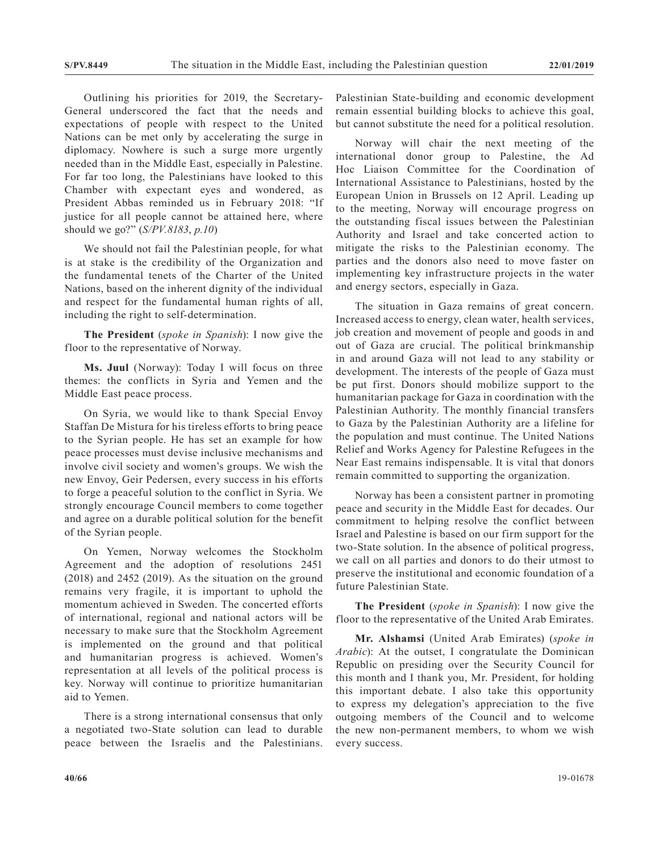Outlining his priorities for 2019, the Secretary-General underscored the fact that the needs and expectations of people with respect to the United Nations can be met only by accelerating the surge in diplomacy. Nowhere is such a surge more urgently needed than in the Middle East, especially in Palestine. For far too long, the Palestinians have looked to this Chamber with expectant eyes and wondered, as President Abbas reminded us in February 2018: "If justice for all people cannot be attained here, where should we go?" (*S/PV.8183*, *p.10*)

We should not fail the Palestinian people, for what is at stake is the credibility of the Organization and the fundamental tenets of the Charter of the United Nations, based on the inherent dignity of the individual and respect for the fundamental human rights of all, including the right to self-determination.

**The President** (*spoke in Spanish*): I now give the floor to the representative of Norway.

**Ms. Juul** (Norway): Today I will focus on three themes: the conflicts in Syria and Yemen and the Middle East peace process.

On Syria, we would like to thank Special Envoy Staffan De Mistura for his tireless efforts to bring peace to the Syrian people. He has set an example for how peace processes must devise inclusive mechanisms and involve civil society and women's groups. We wish the new Envoy, Geir Pedersen, every success in his efforts to forge a peaceful solution to the conflict in Syria. We strongly encourage Council members to come together and agree on a durable political solution for the benefit of the Syrian people.

On Yemen, Norway welcomes the Stockholm Agreement and the adoption of resolutions 2451 (2018) and 2452 (2019). As the situation on the ground remains very fragile, it is important to uphold the momentum achieved in Sweden. The concerted efforts of international, regional and national actors will be necessary to make sure that the Stockholm Agreement is implemented on the ground and that political and humanitarian progress is achieved. Women's representation at all levels of the political process is key. Norway will continue to prioritize humanitarian aid to Yemen.

There is a strong international consensus that only a negotiated two-State solution can lead to durable peace between the Israelis and the Palestinians.

Palestinian State-building and economic development remain essential building blocks to achieve this goal, but cannot substitute the need for a political resolution.

Norway will chair the next meeting of the international donor group to Palestine, the Ad Hoc Liaison Committee for the Coordination of International Assistance to Palestinians, hosted by the European Union in Brussels on 12 April. Leading up to the meeting, Norway will encourage progress on the outstanding fiscal issues between the Palestinian Authority and Israel and take concerted action to mitigate the risks to the Palestinian economy. The parties and the donors also need to move faster on implementing key infrastructure projects in the water and energy sectors, especially in Gaza.

The situation in Gaza remains of great concern. Increased access to energy, clean water, health services, job creation and movement of people and goods in and out of Gaza are crucial. The political brinkmanship in and around Gaza will not lead to any stability or development. The interests of the people of Gaza must be put first. Donors should mobilize support to the humanitarian package for Gaza in coordination with the Palestinian Authority. The monthly financial transfers to Gaza by the Palestinian Authority are a lifeline for the population and must continue. The United Nations Relief and Works Agency for Palestine Refugees in the Near East remains indispensable. It is vital that donors remain committed to supporting the organization.

Norway has been a consistent partner in promoting peace and security in the Middle East for decades. Our commitment to helping resolve the conflict between Israel and Palestine is based on our firm support for the two-State solution. In the absence of political progress, we call on all parties and donors to do their utmost to preserve the institutional and economic foundation of a future Palestinian State.

**The President** (*spoke in Spanish*): I now give the floor to the representative of the United Arab Emirates.

**Mr. Alshamsi** (United Arab Emirates) (*spoke in Arabic*): At the outset, I congratulate the Dominican Republic on presiding over the Security Council for this month and I thank you, Mr. President, for holding this important debate. I also take this opportunity to express my delegation's appreciation to the five outgoing members of the Council and to welcome the new non-permanent members, to whom we wish every success.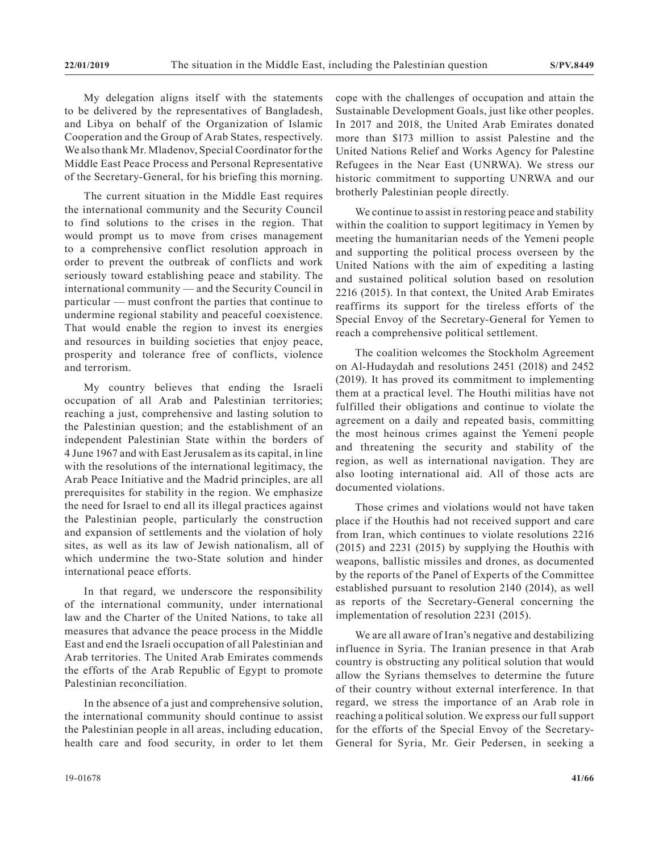My delegation aligns itself with the statements to be delivered by the representatives of Bangladesh, and Libya on behalf of the Organization of Islamic Cooperation and the Group of Arab States, respectively. We also thank Mr. Mladenov, Special Coordinator for the Middle East Peace Process and Personal Representative of the Secretary-General, for his briefing this morning.

The current situation in the Middle East requires the international community and the Security Council to find solutions to the crises in the region. That would prompt us to move from crises management to a comprehensive conflict resolution approach in order to prevent the outbreak of conflicts and work seriously toward establishing peace and stability. The international community — and the Security Council in particular — must confront the parties that continue to undermine regional stability and peaceful coexistence. That would enable the region to invest its energies and resources in building societies that enjoy peace, prosperity and tolerance free of conflicts, violence and terrorism.

My country believes that ending the Israeli occupation of all Arab and Palestinian territories; reaching a just, comprehensive and lasting solution to the Palestinian question; and the establishment of an independent Palestinian State within the borders of 4 June 1967 and with East Jerusalem as its capital, in line with the resolutions of the international legitimacy, the Arab Peace Initiative and the Madrid principles, are all prerequisites for stability in the region. We emphasize the need for Israel to end all its illegal practices against the Palestinian people, particularly the construction and expansion of settlements and the violation of holy sites, as well as its law of Jewish nationalism, all of which undermine the two-State solution and hinder international peace efforts.

In that regard, we underscore the responsibility of the international community, under international law and the Charter of the United Nations, to take all measures that advance the peace process in the Middle East and end the Israeli occupation of all Palestinian and Arab territories. The United Arab Emirates commends the efforts of the Arab Republic of Egypt to promote Palestinian reconciliation.

In the absence of a just and comprehensive solution, the international community should continue to assist the Palestinian people in all areas, including education, health care and food security, in order to let them cope with the challenges of occupation and attain the Sustainable Development Goals, just like other peoples. In 2017 and 2018, the United Arab Emirates donated more than \$173 million to assist Palestine and the United Nations Relief and Works Agency for Palestine Refugees in the Near East (UNRWA). We stress our historic commitment to supporting UNRWA and our brotherly Palestinian people directly.

We continue to assist in restoring peace and stability within the coalition to support legitimacy in Yemen by meeting the humanitarian needs of the Yemeni people and supporting the political process overseen by the United Nations with the aim of expediting a lasting and sustained political solution based on resolution 2216 (2015). In that context, the United Arab Emirates reaffirms its support for the tireless efforts of the Special Envoy of the Secretary-General for Yemen to reach a comprehensive political settlement.

The coalition welcomes the Stockholm Agreement on Al-Hudaydah and resolutions 2451 (2018) and 2452 (2019). It has proved its commitment to implementing them at a practical level. The Houthi militias have not fulfilled their obligations and continue to violate the agreement on a daily and repeated basis, committing the most heinous crimes against the Yemeni people and threatening the security and stability of the region, as well as international navigation. They are also looting international aid. All of those acts are documented violations.

Those crimes and violations would not have taken place if the Houthis had not received support and care from Iran, which continues to violate resolutions 2216 (2015) and 2231 (2015) by supplying the Houthis with weapons, ballistic missiles and drones, as documented by the reports of the Panel of Experts of the Committee established pursuant to resolution 2140 (2014), as well as reports of the Secretary-General concerning the implementation of resolution 2231 (2015).

We are all aware of Iran's negative and destabilizing influence in Syria. The Iranian presence in that Arab country is obstructing any political solution that would allow the Syrians themselves to determine the future of their country without external interference. In that regard, we stress the importance of an Arab role in reaching a political solution. We express our full support for the efforts of the Special Envoy of the Secretary-General for Syria, Mr. Geir Pedersen, in seeking a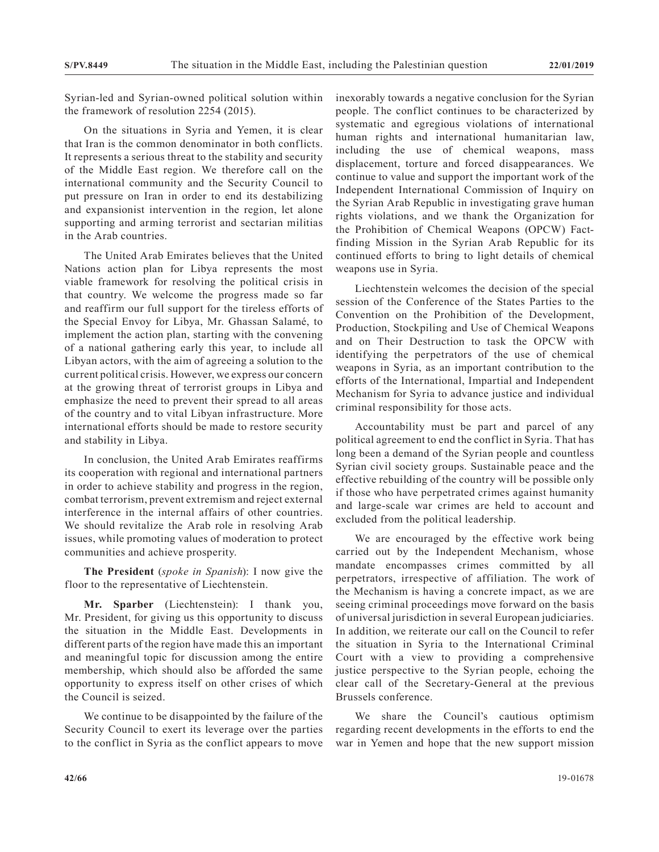Syrian-led and Syrian-owned political solution within the framework of resolution 2254 (2015).

On the situations in Syria and Yemen, it is clear that Iran is the common denominator in both conflicts. It represents a serious threat to the stability and security of the Middle East region. We therefore call on the international community and the Security Council to put pressure on Iran in order to end its destabilizing and expansionist intervention in the region, let alone supporting and arming terrorist and sectarian militias in the Arab countries.

The United Arab Emirates believes that the United Nations action plan for Libya represents the most viable framework for resolving the political crisis in that country. We welcome the progress made so far and reaffirm our full support for the tireless efforts of the Special Envoy for Libya, Mr. Ghassan Salamé, to implement the action plan, starting with the convening of a national gathering early this year, to include all Libyan actors, with the aim of agreeing a solution to the current political crisis. However, we express our concern at the growing threat of terrorist groups in Libya and emphasize the need to prevent their spread to all areas of the country and to vital Libyan infrastructure. More international efforts should be made to restore security and stability in Libya.

In conclusion, the United Arab Emirates reaffirms its cooperation with regional and international partners in order to achieve stability and progress in the region, combat terrorism, prevent extremism and reject external interference in the internal affairs of other countries. We should revitalize the Arab role in resolving Arab issues, while promoting values of moderation to protect communities and achieve prosperity.

**The President** (*spoke in Spanish*): I now give the floor to the representative of Liechtenstein.

**Mr. Sparber** (Liechtenstein): I thank you, Mr. President, for giving us this opportunity to discuss the situation in the Middle East. Developments in different parts of the region have made this an important and meaningful topic for discussion among the entire membership, which should also be afforded the same opportunity to express itself on other crises of which the Council is seized.

We continue to be disappointed by the failure of the Security Council to exert its leverage over the parties to the conflict in Syria as the conflict appears to move inexorably towards a negative conclusion for the Syrian people. The conflict continues to be characterized by systematic and egregious violations of international human rights and international humanitarian law, including the use of chemical weapons, mass displacement, torture and forced disappearances. We continue to value and support the important work of the Independent International Commission of Inquiry on the Syrian Arab Republic in investigating grave human rights violations, and we thank the Organization for the Prohibition of Chemical Weapons (OPCW) Factfinding Mission in the Syrian Arab Republic for its continued efforts to bring to light details of chemical weapons use in Syria.

Liechtenstein welcomes the decision of the special session of the Conference of the States Parties to the Convention on the Prohibition of the Development, Production, Stockpiling and Use of Chemical Weapons and on Their Destruction to task the OPCW with identifying the perpetrators of the use of chemical weapons in Syria, as an important contribution to the efforts of the International, Impartial and Independent Mechanism for Syria to advance justice and individual criminal responsibility for those acts.

Accountability must be part and parcel of any political agreement to end the conflict in Syria. That has long been a demand of the Syrian people and countless Syrian civil society groups. Sustainable peace and the effective rebuilding of the country will be possible only if those who have perpetrated crimes against humanity and large-scale war crimes are held to account and excluded from the political leadership.

We are encouraged by the effective work being carried out by the Independent Mechanism, whose mandate encompasses crimes committed by all perpetrators, irrespective of affiliation. The work of the Mechanism is having a concrete impact, as we are seeing criminal proceedings move forward on the basis of universal jurisdiction in several European judiciaries. In addition, we reiterate our call on the Council to refer the situation in Syria to the International Criminal Court with a view to providing a comprehensive justice perspective to the Syrian people, echoing the clear call of the Secretary-General at the previous Brussels conference.

We share the Council's cautious optimism regarding recent developments in the efforts to end the war in Yemen and hope that the new support mission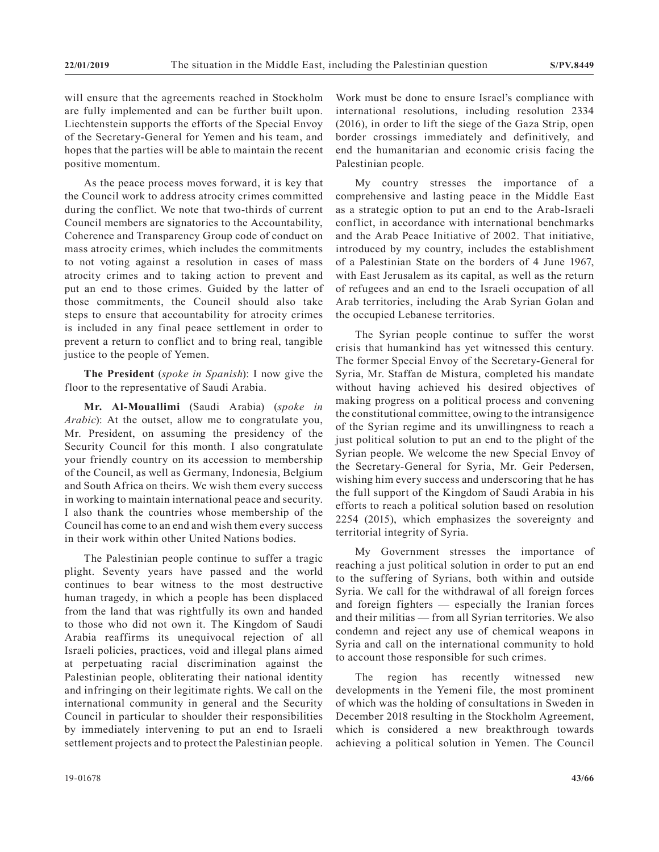will ensure that the agreements reached in Stockholm are fully implemented and can be further built upon. Liechtenstein supports the efforts of the Special Envoy of the Secretary-General for Yemen and his team, and hopes that the parties will be able to maintain the recent positive momentum.

As the peace process moves forward, it is key that the Council work to address atrocity crimes committed during the conflict. We note that two-thirds of current Council members are signatories to the Accountability, Coherence and Transparency Group code of conduct on mass atrocity crimes, which includes the commitments to not voting against a resolution in cases of mass atrocity crimes and to taking action to prevent and put an end to those crimes. Guided by the latter of those commitments, the Council should also take steps to ensure that accountability for atrocity crimes is included in any final peace settlement in order to prevent a return to conflict and to bring real, tangible justice to the people of Yemen.

**The President** (*spoke in Spanish*): I now give the floor to the representative of Saudi Arabia.

**Mr. Al-Mouallimi** (Saudi Arabia) (*spoke in Arabic*): At the outset, allow me to congratulate you, Mr. President, on assuming the presidency of the Security Council for this month. I also congratulate your friendly country on its accession to membership of the Council, as well as Germany, Indonesia, Belgium and South Africa on theirs. We wish them every success in working to maintain international peace and security. I also thank the countries whose membership of the Council has come to an end and wish them every success in their work within other United Nations bodies.

The Palestinian people continue to suffer a tragic plight. Seventy years have passed and the world continues to bear witness to the most destructive human tragedy, in which a people has been displaced from the land that was rightfully its own and handed to those who did not own it. The Kingdom of Saudi Arabia reaffirms its unequivocal rejection of all Israeli policies, practices, void and illegal plans aimed at perpetuating racial discrimination against the Palestinian people, obliterating their national identity and infringing on their legitimate rights. We call on the international community in general and the Security Council in particular to shoulder their responsibilities by immediately intervening to put an end to Israeli settlement projects and to protect the Palestinian people.

My country stresses the importance of a comprehensive and lasting peace in the Middle East as a strategic option to put an end to the Arab-Israeli conflict, in accordance with international benchmarks and the Arab Peace Initiative of 2002. That initiative, introduced by my country, includes the establishment of a Palestinian State on the borders of 4 June 1967, with East Jerusalem as its capital, as well as the return of refugees and an end to the Israeli occupation of all Arab territories, including the Arab Syrian Golan and the occupied Lebanese territories.

The Syrian people continue to suffer the worst crisis that humankind has yet witnessed this century. The former Special Envoy of the Secretary-General for Syria, Mr. Staffan de Mistura, completed his mandate without having achieved his desired objectives of making progress on a political process and convening the constitutional committee, owing to the intransigence of the Syrian regime and its unwillingness to reach a just political solution to put an end to the plight of the Syrian people. We welcome the new Special Envoy of the Secretary-General for Syria, Mr. Geir Pedersen, wishing him every success and underscoring that he has the full support of the Kingdom of Saudi Arabia in his efforts to reach a political solution based on resolution 2254 (2015), which emphasizes the sovereignty and territorial integrity of Syria.

My Government stresses the importance of reaching a just political solution in order to put an end to the suffering of Syrians, both within and outside Syria. We call for the withdrawal of all foreign forces and foreign fighters — especially the Iranian forces and their militias — from all Syrian territories. We also condemn and reject any use of chemical weapons in Syria and call on the international community to hold to account those responsible for such crimes.

The region has recently witnessed new developments in the Yemeni file, the most prominent of which was the holding of consultations in Sweden in December 2018 resulting in the Stockholm Agreement, which is considered a new breakthrough towards achieving a political solution in Yemen. The Council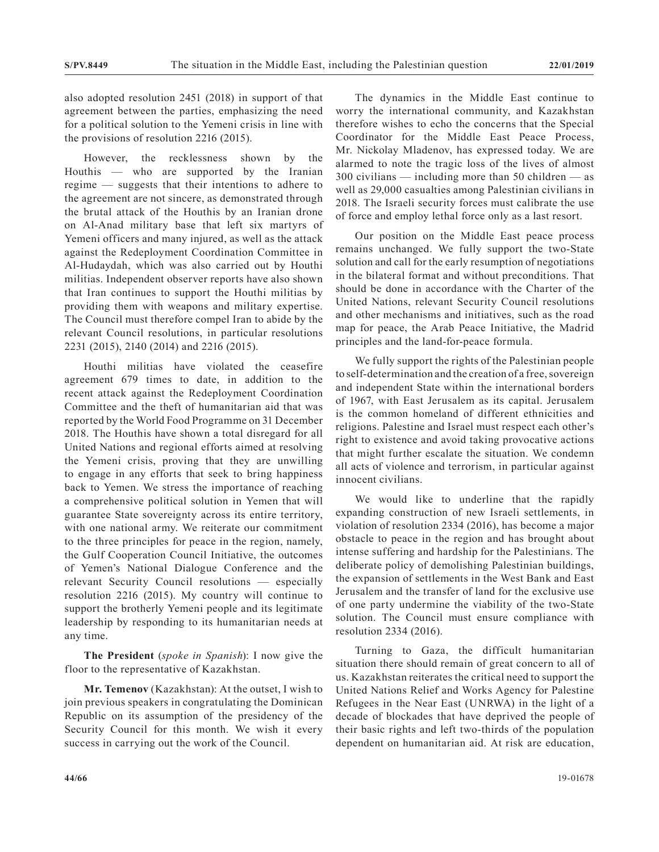also adopted resolution 2451 (2018) in support of that agreement between the parties, emphasizing the need for a political solution to the Yemeni crisis in line with the provisions of resolution 2216 (2015).

However, the recklessness shown by the Houthis — who are supported by the Iranian regime — suggests that their intentions to adhere to the agreement are not sincere, as demonstrated through the brutal attack of the Houthis by an Iranian drone on Al-Anad military base that left six martyrs of Yemeni officers and many injured, as well as the attack against the Redeployment Coordination Committee in Al-Hudaydah, which was also carried out by Houthi militias. Independent observer reports have also shown that Iran continues to support the Houthi militias by providing them with weapons and military expertise. The Council must therefore compel Iran to abide by the relevant Council resolutions, in particular resolutions 2231 (2015), 2140 (2014) and 2216 (2015).

Houthi militias have violated the ceasefire agreement 679 times to date, in addition to the recent attack against the Redeployment Coordination Committee and the theft of humanitarian aid that was reported by the World Food Programme on 31 December 2018. The Houthis have shown a total disregard for all United Nations and regional efforts aimed at resolving the Yemeni crisis, proving that they are unwilling to engage in any efforts that seek to bring happiness back to Yemen. We stress the importance of reaching a comprehensive political solution in Yemen that will guarantee State sovereignty across its entire territory, with one national army. We reiterate our commitment to the three principles for peace in the region, namely, the Gulf Cooperation Council Initiative, the outcomes of Yemen's National Dialogue Conference and the relevant Security Council resolutions — especially resolution 2216 (2015). My country will continue to support the brotherly Yemeni people and its legitimate leadership by responding to its humanitarian needs at any time.

**The President** (*spoke in Spanish*): I now give the floor to the representative of Kazakhstan.

**Mr. Temenov** (Kazakhstan): At the outset, I wish to join previous speakers in congratulating the Dominican Republic on its assumption of the presidency of the Security Council for this month. We wish it every success in carrying out the work of the Council.

The dynamics in the Middle East continue to worry the international community, and Kazakhstan therefore wishes to echo the concerns that the Special Coordinator for the Middle East Peace Process, Mr. Nickolay Mladenov, has expressed today. We are alarmed to note the tragic loss of the lives of almost 300 civilians — including more than 50 children — as well as 29,000 casualties among Palestinian civilians in 2018. The Israeli security forces must calibrate the use of force and employ lethal force only as a last resort.

Our position on the Middle East peace process remains unchanged. We fully support the two-State solution and call for the early resumption of negotiations in the bilateral format and without preconditions. That should be done in accordance with the Charter of the United Nations, relevant Security Council resolutions and other mechanisms and initiatives, such as the road map for peace, the Arab Peace Initiative, the Madrid principles and the land-for-peace formula.

We fully support the rights of the Palestinian people to self-determination and the creation of a free, sovereign and independent State within the international borders of 1967, with East Jerusalem as its capital. Jerusalem is the common homeland of different ethnicities and religions. Palestine and Israel must respect each other's right to existence and avoid taking provocative actions that might further escalate the situation. We condemn all acts of violence and terrorism, in particular against innocent civilians.

We would like to underline that the rapidly expanding construction of new Israeli settlements, in violation of resolution 2334 (2016), has become a major obstacle to peace in the region and has brought about intense suffering and hardship for the Palestinians. The deliberate policy of demolishing Palestinian buildings, the expansion of settlements in the West Bank and East Jerusalem and the transfer of land for the exclusive use of one party undermine the viability of the two-State solution. The Council must ensure compliance with resolution 2334 (2016).

Turning to Gaza, the difficult humanitarian situation there should remain of great concern to all of us. Kazakhstan reiterates the critical need to support the United Nations Relief and Works Agency for Palestine Refugees in the Near East (UNRWA) in the light of a decade of blockades that have deprived the people of their basic rights and left two-thirds of the population dependent on humanitarian aid. At risk are education,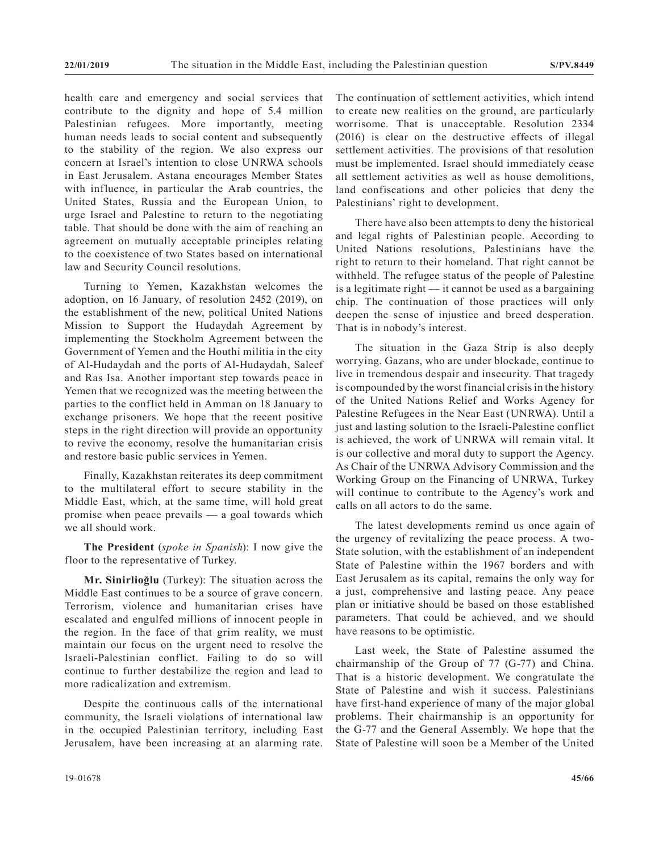health care and emergency and social services that contribute to the dignity and hope of 5.4 million Palestinian refugees. More importantly, meeting human needs leads to social content and subsequently to the stability of the region. We also express our concern at Israel's intention to close UNRWA schools in East Jerusalem. Astana encourages Member States with influence, in particular the Arab countries, the United States, Russia and the European Union, to urge Israel and Palestine to return to the negotiating table. That should be done with the aim of reaching an agreement on mutually acceptable principles relating to the coexistence of two States based on international law and Security Council resolutions.

Turning to Yemen, Kazakhstan welcomes the adoption, on 16 January, of resolution 2452 (2019), on the establishment of the new, political United Nations Mission to Support the Hudaydah Agreement by implementing the Stockholm Agreement between the Government of Yemen and the Houthi militia in the city of Al-Hudaydah and the ports of Al-Hudaydah, Saleef and Ras Isa. Another important step towards peace in Yemen that we recognized was the meeting between the parties to the conflict held in Amman on 18 January to exchange prisoners. We hope that the recent positive steps in the right direction will provide an opportunity to revive the economy, resolve the humanitarian crisis and restore basic public services in Yemen.

Finally, Kazakhstan reiterates its deep commitment to the multilateral effort to secure stability in the Middle East, which, at the same time, will hold great promise when peace prevails — a goal towards which we all should work.

**The President** (*spoke in Spanish*): I now give the floor to the representative of Turkey.

**Mr. Sinirlioğlu** (Turkey): The situation across the Middle East continues to be a source of grave concern. Terrorism, violence and humanitarian crises have escalated and engulfed millions of innocent people in the region. In the face of that grim reality, we must maintain our focus on the urgent need to resolve the Israeli-Palestinian conflict. Failing to do so will continue to further destabilize the region and lead to more radicalization and extremism.

Despite the continuous calls of the international community, the Israeli violations of international law in the occupied Palestinian territory, including East Jerusalem, have been increasing at an alarming rate. The continuation of settlement activities, which intend to create new realities on the ground, are particularly worrisome. That is unacceptable. Resolution 2334 (2016) is clear on the destructive effects of illegal settlement activities. The provisions of that resolution must be implemented. Israel should immediately cease all settlement activities as well as house demolitions, land confiscations and other policies that deny the Palestinians' right to development.

There have also been attempts to deny the historical and legal rights of Palestinian people. According to United Nations resolutions, Palestinians have the right to return to their homeland. That right cannot be withheld. The refugee status of the people of Palestine is a legitimate right — it cannot be used as a bargaining chip. The continuation of those practices will only deepen the sense of injustice and breed desperation. That is in nobody's interest.

The situation in the Gaza Strip is also deeply worrying. Gazans, who are under blockade, continue to live in tremendous despair and insecurity. That tragedy is compounded by the worst financial crisis in the history of the United Nations Relief and Works Agency for Palestine Refugees in the Near East (UNRWA). Until a just and lasting solution to the Israeli-Palestine conflict is achieved, the work of UNRWA will remain vital. It is our collective and moral duty to support the Agency. As Chair of the UNRWA Advisory Commission and the Working Group on the Financing of UNRWA, Turkey will continue to contribute to the Agency's work and calls on all actors to do the same.

The latest developments remind us once again of the urgency of revitalizing the peace process. A two-State solution, with the establishment of an independent State of Palestine within the 1967 borders and with East Jerusalem as its capital, remains the only way for a just, comprehensive and lasting peace. Any peace plan or initiative should be based on those established parameters. That could be achieved, and we should have reasons to be optimistic.

Last week, the State of Palestine assumed the chairmanship of the Group of 77 (G-77) and China. That is a historic development. We congratulate the State of Palestine and wish it success. Palestinians have first-hand experience of many of the major global problems. Their chairmanship is an opportunity for the G-77 and the General Assembly. We hope that the State of Palestine will soon be a Member of the United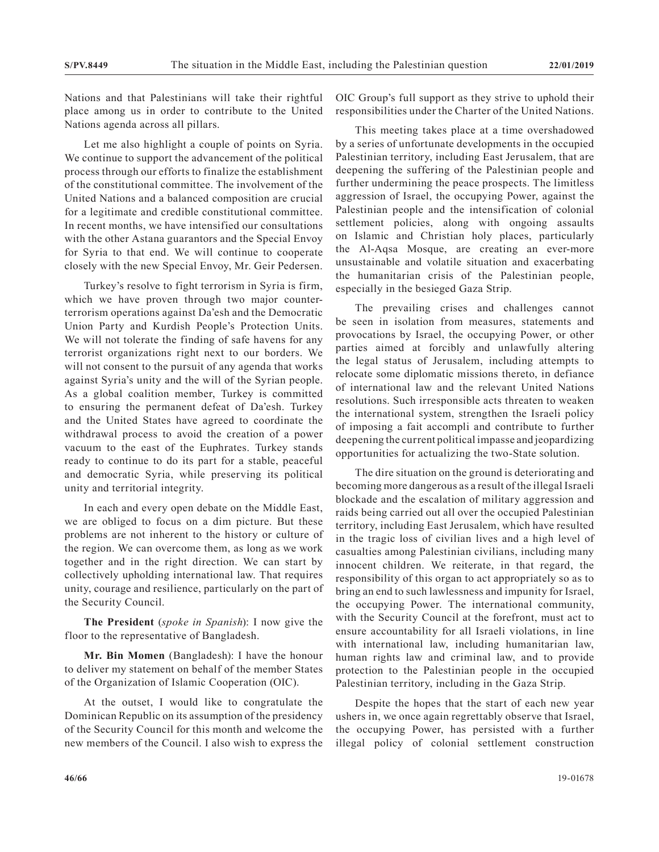Nations and that Palestinians will take their rightful place among us in order to contribute to the United Nations agenda across all pillars.

Let me also highlight a couple of points on Syria. We continue to support the advancement of the political process through our efforts to finalize the establishment of the constitutional committee. The involvement of the United Nations and a balanced composition are crucial for a legitimate and credible constitutional committee. In recent months, we have intensified our consultations with the other Astana guarantors and the Special Envoy for Syria to that end. We will continue to cooperate closely with the new Special Envoy, Mr. Geir Pedersen.

Turkey's resolve to fight terrorism in Syria is firm, which we have proven through two major counterterrorism operations against Da'esh and the Democratic Union Party and Kurdish People's Protection Units. We will not tolerate the finding of safe havens for any terrorist organizations right next to our borders. We will not consent to the pursuit of any agenda that works against Syria's unity and the will of the Syrian people. As a global coalition member, Turkey is committed to ensuring the permanent defeat of Da'esh. Turkey and the United States have agreed to coordinate the withdrawal process to avoid the creation of a power vacuum to the east of the Euphrates. Turkey stands ready to continue to do its part for a stable, peaceful and democratic Syria, while preserving its political unity and territorial integrity.

In each and every open debate on the Middle East, we are obliged to focus on a dim picture. But these problems are not inherent to the history or culture of the region. We can overcome them, as long as we work together and in the right direction. We can start by collectively upholding international law. That requires unity, courage and resilience, particularly on the part of the Security Council.

**The President** (*spoke in Spanish*): I now give the floor to the representative of Bangladesh.

**Mr. Bin Momen** (Bangladesh): I have the honour to deliver my statement on behalf of the member States of the Organization of Islamic Cooperation (OIC).

At the outset, I would like to congratulate the Dominican Republic on its assumption of the presidency of the Security Council for this month and welcome the new members of the Council. I also wish to express the OIC Group's full support as they strive to uphold their responsibilities under the Charter of the United Nations.

This meeting takes place at a time overshadowed by a series of unfortunate developments in the occupied Palestinian territory, including East Jerusalem, that are deepening the suffering of the Palestinian people and further undermining the peace prospects. The limitless aggression of Israel, the occupying Power, against the Palestinian people and the intensification of colonial settlement policies, along with ongoing assaults on Islamic and Christian holy places, particularly the Al-Aqsa Mosque, are creating an ever-more unsustainable and volatile situation and exacerbating the humanitarian crisis of the Palestinian people, especially in the besieged Gaza Strip.

The prevailing crises and challenges cannot be seen in isolation from measures, statements and provocations by Israel, the occupying Power, or other parties aimed at forcibly and unlawfully altering the legal status of Jerusalem, including attempts to relocate some diplomatic missions thereto, in defiance of international law and the relevant United Nations resolutions. Such irresponsible acts threaten to weaken the international system, strengthen the Israeli policy of imposing a fait accompli and contribute to further deepening the current political impasse and jeopardizing opportunities for actualizing the two-State solution.

The dire situation on the ground is deteriorating and becoming more dangerous as a result of the illegal Israeli blockade and the escalation of military aggression and raids being carried out all over the occupied Palestinian territory, including East Jerusalem, which have resulted in the tragic loss of civilian lives and a high level of casualties among Palestinian civilians, including many innocent children. We reiterate, in that regard, the responsibility of this organ to act appropriately so as to bring an end to such lawlessness and impunity for Israel, the occupying Power. The international community, with the Security Council at the forefront, must act to ensure accountability for all Israeli violations, in line with international law, including humanitarian law, human rights law and criminal law, and to provide protection to the Palestinian people in the occupied Palestinian territory, including in the Gaza Strip.

Despite the hopes that the start of each new year ushers in, we once again regrettably observe that Israel, the occupying Power, has persisted with a further illegal policy of colonial settlement construction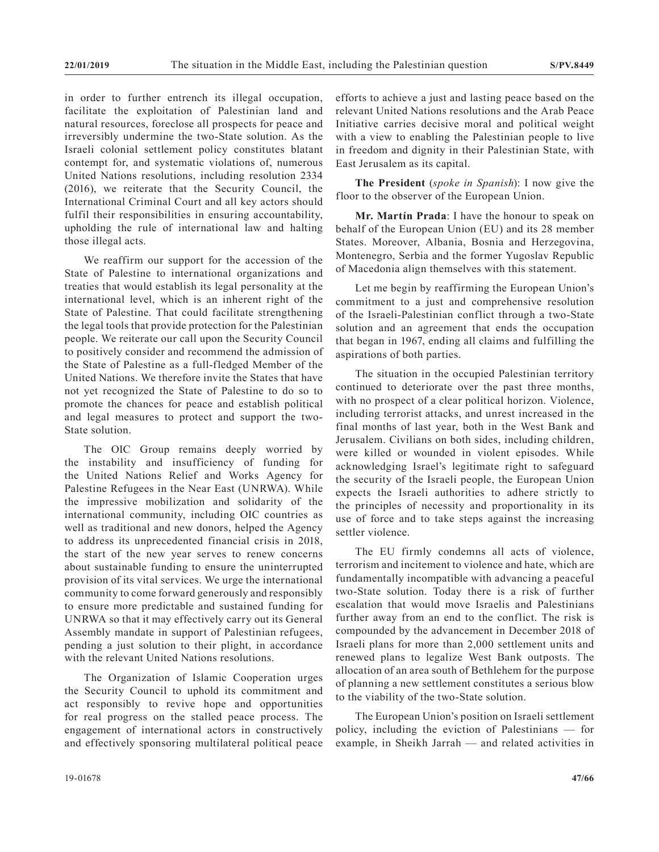in order to further entrench its illegal occupation, facilitate the exploitation of Palestinian land and natural resources, foreclose all prospects for peace and irreversibly undermine the two-State solution. As the Israeli colonial settlement policy constitutes blatant contempt for, and systematic violations of, numerous United Nations resolutions, including resolution 2334 (2016), we reiterate that the Security Council, the International Criminal Court and all key actors should fulfil their responsibilities in ensuring accountability, upholding the rule of international law and halting those illegal acts.

We reaffirm our support for the accession of the State of Palestine to international organizations and treaties that would establish its legal personality at the international level, which is an inherent right of the State of Palestine. That could facilitate strengthening the legal tools that provide protection for the Palestinian people. We reiterate our call upon the Security Council to positively consider and recommend the admission of the State of Palestine as a full-fledged Member of the United Nations. We therefore invite the States that have not yet recognized the State of Palestine to do so to promote the chances for peace and establish political and legal measures to protect and support the two-State solution.

The OIC Group remains deeply worried by the instability and insufficiency of funding for the United Nations Relief and Works Agency for Palestine Refugees in the Near East (UNRWA). While the impressive mobilization and solidarity of the international community, including OIC countries as well as traditional and new donors, helped the Agency to address its unprecedented financial crisis in 2018, the start of the new year serves to renew concerns about sustainable funding to ensure the uninterrupted provision of its vital services. We urge the international community to come forward generously and responsibly to ensure more predictable and sustained funding for UNRWA so that it may effectively carry out its General Assembly mandate in support of Palestinian refugees, pending a just solution to their plight, in accordance with the relevant United Nations resolutions.

The Organization of Islamic Cooperation urges the Security Council to uphold its commitment and act responsibly to revive hope and opportunities for real progress on the stalled peace process. The engagement of international actors in constructively and effectively sponsoring multilateral political peace efforts to achieve a just and lasting peace based on the relevant United Nations resolutions and the Arab Peace Initiative carries decisive moral and political weight with a view to enabling the Palestinian people to live in freedom and dignity in their Palestinian State, with East Jerusalem as its capital.

**The President** (*spoke in Spanish*): I now give the floor to the observer of the European Union.

**Mr. Martín Prada**: I have the honour to speak on behalf of the European Union (EU) and its 28 member States. Moreover, Albania, Bosnia and Herzegovina, Montenegro, Serbia and the former Yugoslav Republic of Macedonia align themselves with this statement.

Let me begin by reaffirming the European Union's commitment to a just and comprehensive resolution of the Israeli-Palestinian conflict through a two-State solution and an agreement that ends the occupation that began in 1967, ending all claims and fulfilling the aspirations of both parties.

The situation in the occupied Palestinian territory continued to deteriorate over the past three months, with no prospect of a clear political horizon. Violence, including terrorist attacks, and unrest increased in the final months of last year, both in the West Bank and Jerusalem. Civilians on both sides, including children, were killed or wounded in violent episodes. While acknowledging Israel's legitimate right to safeguard the security of the Israeli people, the European Union expects the Israeli authorities to adhere strictly to the principles of necessity and proportionality in its use of force and to take steps against the increasing settler violence.

The EU firmly condemns all acts of violence, terrorism and incitement to violence and hate, which are fundamentally incompatible with advancing a peaceful two-State solution. Today there is a risk of further escalation that would move Israelis and Palestinians further away from an end to the conflict. The risk is compounded by the advancement in December 2018 of Israeli plans for more than 2,000 settlement units and renewed plans to legalize West Bank outposts. The allocation of an area south of Bethlehem for the purpose of planning a new settlement constitutes a serious blow to the viability of the two-State solution.

The European Union's position on Israeli settlement policy, including the eviction of Palestinians — for example, in Sheikh Jarrah — and related activities in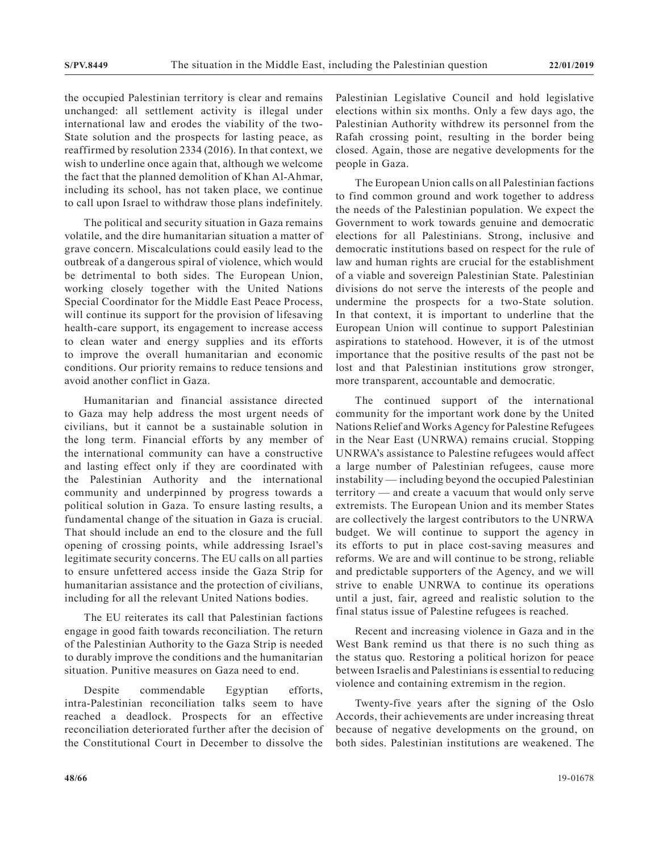the occupied Palestinian territory is clear and remains unchanged: all settlement activity is illegal under international law and erodes the viability of the two-State solution and the prospects for lasting peace, as reaffirmed by resolution 2334 (2016). In that context, we wish to underline once again that, although we welcome the fact that the planned demolition of Khan Al-Ahmar, including its school, has not taken place, we continue to call upon Israel to withdraw those plans indefinitely.

The political and security situation in Gaza remains volatile, and the dire humanitarian situation a matter of grave concern. Miscalculations could easily lead to the outbreak of a dangerous spiral of violence, which would be detrimental to both sides. The European Union, working closely together with the United Nations Special Coordinator for the Middle East Peace Process, will continue its support for the provision of lifesaving health-care support, its engagement to increase access to clean water and energy supplies and its efforts to improve the overall humanitarian and economic conditions. Our priority remains to reduce tensions and avoid another conflict in Gaza.

Humanitarian and financial assistance directed to Gaza may help address the most urgent needs of civilians, but it cannot be a sustainable solution in the long term. Financial efforts by any member of the international community can have a constructive and lasting effect only if they are coordinated with the Palestinian Authority and the international community and underpinned by progress towards a political solution in Gaza. To ensure lasting results, a fundamental change of the situation in Gaza is crucial. That should include an end to the closure and the full opening of crossing points, while addressing Israel's legitimate security concerns. The EU calls on all parties to ensure unfettered access inside the Gaza Strip for humanitarian assistance and the protection of civilians, including for all the relevant United Nations bodies.

The EU reiterates its call that Palestinian factions engage in good faith towards reconciliation. The return of the Palestinian Authority to the Gaza Strip is needed to durably improve the conditions and the humanitarian situation. Punitive measures on Gaza need to end.

Despite commendable Egyptian efforts, intra-Palestinian reconciliation talks seem to have reached a deadlock. Prospects for an effective reconciliation deteriorated further after the decision of the Constitutional Court in December to dissolve the Palestinian Legislative Council and hold legislative elections within six months. Only a few days ago, the Palestinian Authority withdrew its personnel from the Rafah crossing point, resulting in the border being closed. Again, those are negative developments for the people in Gaza.

The European Union calls on all Palestinian factions to find common ground and work together to address the needs of the Palestinian population. We expect the Government to work towards genuine and democratic elections for all Palestinians. Strong, inclusive and democratic institutions based on respect for the rule of law and human rights are crucial for the establishment of a viable and sovereign Palestinian State. Palestinian divisions do not serve the interests of the people and undermine the prospects for a two-State solution. In that context, it is important to underline that the European Union will continue to support Palestinian aspirations to statehood. However, it is of the utmost importance that the positive results of the past not be lost and that Palestinian institutions grow stronger, more transparent, accountable and democratic.

The continued support of the international community for the important work done by the United Nations Relief and Works Agency for Palestine Refugees in the Near East (UNRWA) remains crucial. Stopping UNRWA's assistance to Palestine refugees would affect a large number of Palestinian refugees, cause more instability — including beyond the occupied Palestinian territory — and create a vacuum that would only serve extremists. The European Union and its member States are collectively the largest contributors to the UNRWA budget. We will continue to support the agency in its efforts to put in place cost-saving measures and reforms. We are and will continue to be strong, reliable and predictable supporters of the Agency, and we will strive to enable UNRWA to continue its operations until a just, fair, agreed and realistic solution to the final status issue of Palestine refugees is reached.

Recent and increasing violence in Gaza and in the West Bank remind us that there is no such thing as the status quo. Restoring a political horizon for peace between Israelis and Palestinians is essential to reducing violence and containing extremism in the region.

Twenty-five years after the signing of the Oslo Accords, their achievements are under increasing threat because of negative developments on the ground, on both sides. Palestinian institutions are weakened. The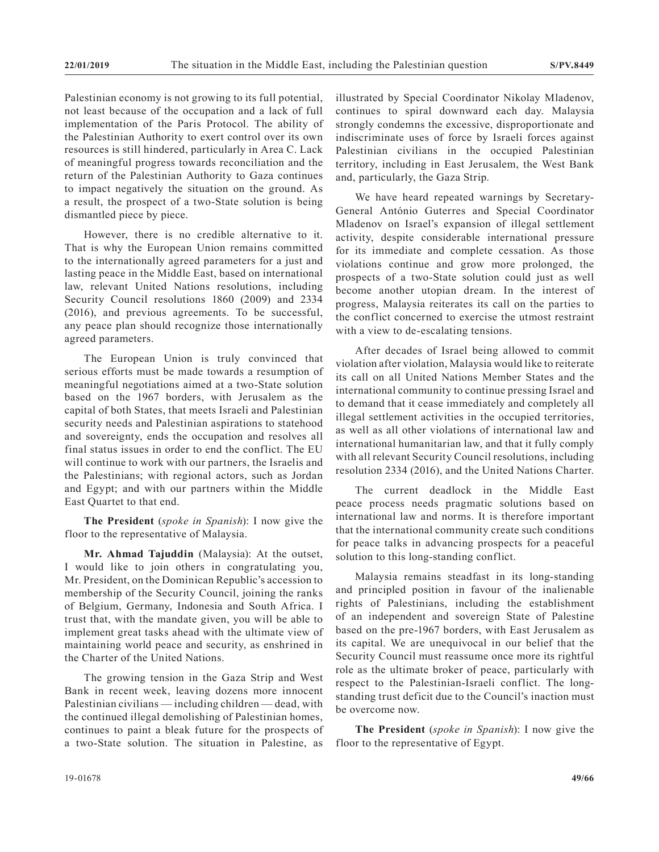Palestinian economy is not growing to its full potential, not least because of the occupation and a lack of full implementation of the Paris Protocol. The ability of the Palestinian Authority to exert control over its own resources is still hindered, particularly in Area C. Lack of meaningful progress towards reconciliation and the return of the Palestinian Authority to Gaza continues to impact negatively the situation on the ground. As a result, the prospect of a two-State solution is being dismantled piece by piece.

However, there is no credible alternative to it. That is why the European Union remains committed to the internationally agreed parameters for a just and lasting peace in the Middle East, based on international law, relevant United Nations resolutions, including Security Council resolutions 1860 (2009) and 2334 (2016), and previous agreements. To be successful, any peace plan should recognize those internationally agreed parameters.

The European Union is truly convinced that serious efforts must be made towards a resumption of meaningful negotiations aimed at a two-State solution based on the 1967 borders, with Jerusalem as the capital of both States, that meets Israeli and Palestinian security needs and Palestinian aspirations to statehood and sovereignty, ends the occupation and resolves all final status issues in order to end the conflict. The EU will continue to work with our partners, the Israelis and the Palestinians; with regional actors, such as Jordan and Egypt; and with our partners within the Middle East Quartet to that end.

**The President** (*spoke in Spanish*): I now give the floor to the representative of Malaysia.

**Mr. Ahmad Tajuddin** (Malaysia): At the outset, I would like to join others in congratulating you, Mr. President, on the Dominican Republic's accession to membership of the Security Council, joining the ranks of Belgium, Germany, Indonesia and South Africa. I trust that, with the mandate given, you will be able to implement great tasks ahead with the ultimate view of maintaining world peace and security, as enshrined in the Charter of the United Nations.

The growing tension in the Gaza Strip and West Bank in recent week, leaving dozens more innocent Palestinian civilians — including children — dead, with the continued illegal demolishing of Palestinian homes, continues to paint a bleak future for the prospects of a two-State solution. The situation in Palestine, as

illustrated by Special Coordinator Nikolay Mladenov, continues to spiral downward each day. Malaysia strongly condemns the excessive, disproportionate and indiscriminate uses of force by Israeli forces against Palestinian civilians in the occupied Palestinian territory, including in East Jerusalem, the West Bank and, particularly, the Gaza Strip.

We have heard repeated warnings by Secretary-General António Guterres and Special Coordinator Mladenov on Israel's expansion of illegal settlement activity, despite considerable international pressure for its immediate and complete cessation. As those violations continue and grow more prolonged, the prospects of a two-State solution could just as well become another utopian dream. In the interest of progress, Malaysia reiterates its call on the parties to the conflict concerned to exercise the utmost restraint with a view to de-escalating tensions.

After decades of Israel being allowed to commit violation after violation, Malaysia would like to reiterate its call on all United Nations Member States and the international community to continue pressing Israel and to demand that it cease immediately and completely all illegal settlement activities in the occupied territories, as well as all other violations of international law and international humanitarian law, and that it fully comply with all relevant Security Council resolutions, including resolution 2334 (2016), and the United Nations Charter.

The current deadlock in the Middle East peace process needs pragmatic solutions based on international law and norms. It is therefore important that the international community create such conditions for peace talks in advancing prospects for a peaceful solution to this long-standing conflict.

Malaysia remains steadfast in its long-standing and principled position in favour of the inalienable rights of Palestinians, including the establishment of an independent and sovereign State of Palestine based on the pre-1967 borders, with East Jerusalem as its capital. We are unequivocal in our belief that the Security Council must reassume once more its rightful role as the ultimate broker of peace, particularly with respect to the Palestinian-Israeli conflict. The longstanding trust deficit due to the Council's inaction must be overcome now.

**The President** (*spoke in Spanish*): I now give the floor to the representative of Egypt.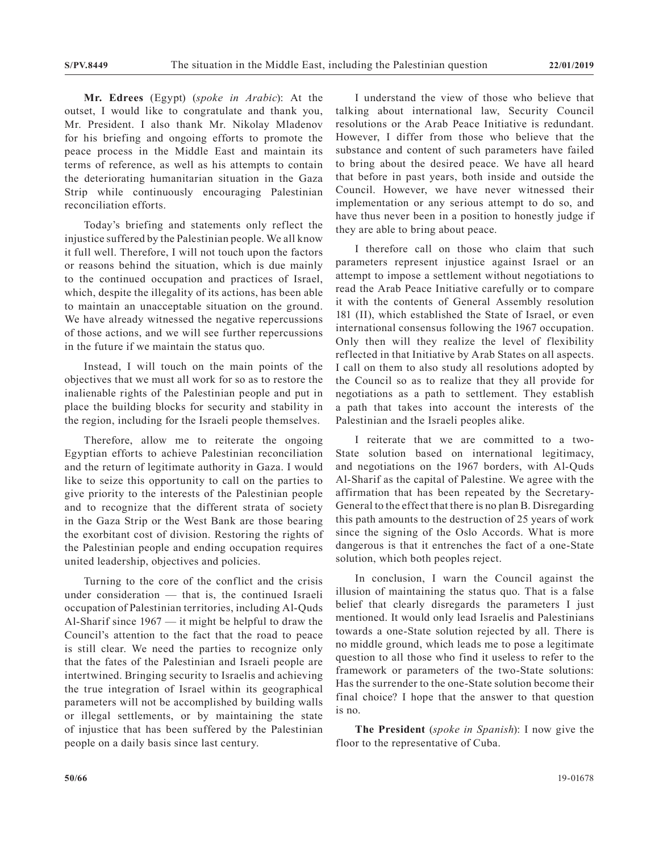**Mr. Edrees** (Egypt) (*spoke in Arabic*): At the outset, I would like to congratulate and thank you, Mr. President. I also thank Mr. Nikolay Mladenov for his briefing and ongoing efforts to promote the peace process in the Middle East and maintain its terms of reference, as well as his attempts to contain the deteriorating humanitarian situation in the Gaza Strip while continuously encouraging Palestinian reconciliation efforts.

Today's briefing and statements only reflect the injustice suffered by the Palestinian people. We all know it full well. Therefore, I will not touch upon the factors or reasons behind the situation, which is due mainly to the continued occupation and practices of Israel, which, despite the illegality of its actions, has been able to maintain an unacceptable situation on the ground. We have already witnessed the negative repercussions of those actions, and we will see further repercussions in the future if we maintain the status quo.

Instead, I will touch on the main points of the objectives that we must all work for so as to restore the inalienable rights of the Palestinian people and put in place the building blocks for security and stability in the region, including for the Israeli people themselves.

Therefore, allow me to reiterate the ongoing Egyptian efforts to achieve Palestinian reconciliation and the return of legitimate authority in Gaza. I would like to seize this opportunity to call on the parties to give priority to the interests of the Palestinian people and to recognize that the different strata of society in the Gaza Strip or the West Bank are those bearing the exorbitant cost of division. Restoring the rights of the Palestinian people and ending occupation requires united leadership, objectives and policies.

Turning to the core of the conflict and the crisis under consideration — that is, the continued Israeli occupation of Palestinian territories, including Al-Quds Al-Sharif since 1967 — it might be helpful to draw the Council's attention to the fact that the road to peace is still clear. We need the parties to recognize only that the fates of the Palestinian and Israeli people are intertwined. Bringing security to Israelis and achieving the true integration of Israel within its geographical parameters will not be accomplished by building walls or illegal settlements, or by maintaining the state of injustice that has been suffered by the Palestinian people on a daily basis since last century.

I understand the view of those who believe that talking about international law, Security Council resolutions or the Arab Peace Initiative is redundant. However, I differ from those who believe that the substance and content of such parameters have failed to bring about the desired peace. We have all heard that before in past years, both inside and outside the Council. However, we have never witnessed their implementation or any serious attempt to do so, and have thus never been in a position to honestly judge if they are able to bring about peace.

I therefore call on those who claim that such parameters represent injustice against Israel or an attempt to impose a settlement without negotiations to read the Arab Peace Initiative carefully or to compare it with the contents of General Assembly resolution 181 (II), which established the State of Israel, or even international consensus following the 1967 occupation. Only then will they realize the level of flexibility reflected in that Initiative by Arab States on all aspects. I call on them to also study all resolutions adopted by the Council so as to realize that they all provide for negotiations as a path to settlement. They establish a path that takes into account the interests of the Palestinian and the Israeli peoples alike.

I reiterate that we are committed to a two-State solution based on international legitimacy, and negotiations on the 1967 borders, with Al-Quds Al-Sharif as the capital of Palestine. We agree with the affirmation that has been repeated by the Secretary-General to the effect that there is no plan B. Disregarding this path amounts to the destruction of 25 years of work since the signing of the Oslo Accords. What is more dangerous is that it entrenches the fact of a one-State solution, which both peoples reject.

In conclusion, I warn the Council against the illusion of maintaining the status quo. That is a false belief that clearly disregards the parameters I just mentioned. It would only lead Israelis and Palestinians towards a one-State solution rejected by all. There is no middle ground, which leads me to pose a legitimate question to all those who find it useless to refer to the framework or parameters of the two-State solutions: Has the surrender to the one-State solution become their final choice? I hope that the answer to that question is no.

**The President** (*spoke in Spanish*): I now give the floor to the representative of Cuba.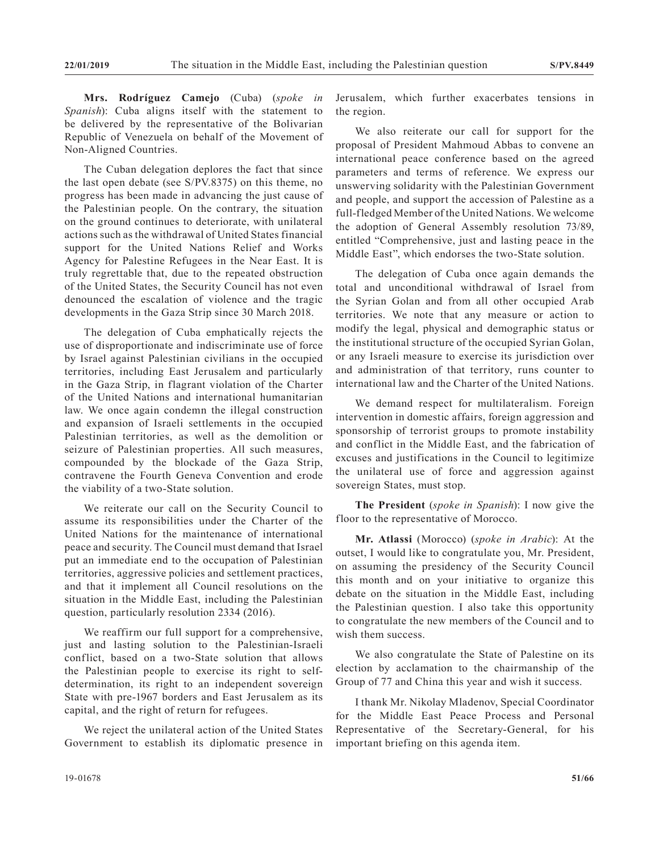**Mrs. Rodríguez Camejo** (Cuba) (*spoke in Spanish*): Cuba aligns itself with the statement to be delivered by the representative of the Bolivarian Republic of Venezuela on behalf of the Movement of Non-Aligned Countries.

The Cuban delegation deplores the fact that since the last open debate (see S/PV.8375) on this theme, no progress has been made in advancing the just cause of the Palestinian people. On the contrary, the situation on the ground continues to deteriorate, with unilateral actions such as the withdrawal of United States financial support for the United Nations Relief and Works Agency for Palestine Refugees in the Near East. It is truly regrettable that, due to the repeated obstruction of the United States, the Security Council has not even denounced the escalation of violence and the tragic developments in the Gaza Strip since 30 March 2018.

The delegation of Cuba emphatically rejects the use of disproportionate and indiscriminate use of force by Israel against Palestinian civilians in the occupied territories, including East Jerusalem and particularly in the Gaza Strip, in flagrant violation of the Charter of the United Nations and international humanitarian law. We once again condemn the illegal construction and expansion of Israeli settlements in the occupied Palestinian territories, as well as the demolition or seizure of Palestinian properties. All such measures, compounded by the blockade of the Gaza Strip, contravene the Fourth Geneva Convention and erode the viability of a two-State solution.

We reiterate our call on the Security Council to assume its responsibilities under the Charter of the United Nations for the maintenance of international peace and security. The Council must demand that Israel put an immediate end to the occupation of Palestinian territories, aggressive policies and settlement practices, and that it implement all Council resolutions on the situation in the Middle East, including the Palestinian question, particularly resolution 2334 (2016).

We reaffirm our full support for a comprehensive, just and lasting solution to the Palestinian-Israeli conflict, based on a two-State solution that allows the Palestinian people to exercise its right to selfdetermination, its right to an independent sovereign State with pre-1967 borders and East Jerusalem as its capital, and the right of return for refugees.

We reject the unilateral action of the United States Government to establish its diplomatic presence in Jerusalem, which further exacerbates tensions in the region.

We also reiterate our call for support for the proposal of President Mahmoud Abbas to convene an international peace conference based on the agreed parameters and terms of reference. We express our unswerving solidarity with the Palestinian Government and people, and support the accession of Palestine as a full-fledged Member of the United Nations. We welcome the adoption of General Assembly resolution 73/89, entitled "Comprehensive, just and lasting peace in the Middle East", which endorses the two-State solution.

The delegation of Cuba once again demands the total and unconditional withdrawal of Israel from the Syrian Golan and from all other occupied Arab territories. We note that any measure or action to modify the legal, physical and demographic status or the institutional structure of the occupied Syrian Golan, or any Israeli measure to exercise its jurisdiction over and administration of that territory, runs counter to international law and the Charter of the United Nations.

We demand respect for multilateralism. Foreign intervention in domestic affairs, foreign aggression and sponsorship of terrorist groups to promote instability and conflict in the Middle East, and the fabrication of excuses and justifications in the Council to legitimize the unilateral use of force and aggression against sovereign States, must stop.

**The President** (*spoke in Spanish*): I now give the floor to the representative of Morocco.

**Mr. Atlassi** (Morocco) (*spoke in Arabic*): At the outset, I would like to congratulate you, Mr. President, on assuming the presidency of the Security Council this month and on your initiative to organize this debate on the situation in the Middle East, including the Palestinian question. I also take this opportunity to congratulate the new members of the Council and to wish them success.

We also congratulate the State of Palestine on its election by acclamation to the chairmanship of the Group of 77 and China this year and wish it success.

I thank Mr. Nikolay Mladenov, Special Coordinator for the Middle East Peace Process and Personal Representative of the Secretary-General, for his important briefing on this agenda item.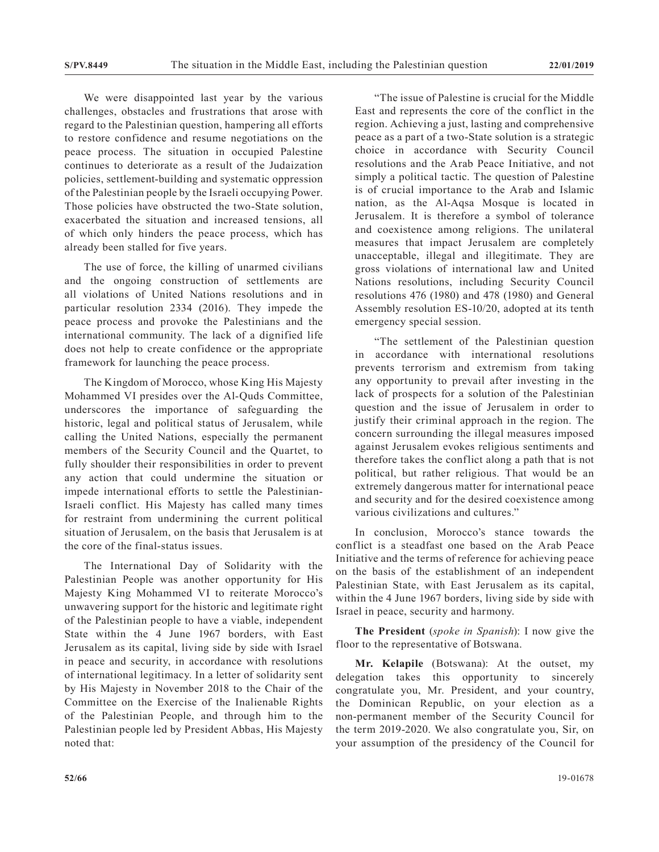We were disappointed last year by the various challenges, obstacles and frustrations that arose with regard to the Palestinian question, hampering all efforts to restore confidence and resume negotiations on the peace process. The situation in occupied Palestine continues to deteriorate as a result of the Judaization policies, settlement-building and systematic oppression of the Palestinian people by the Israeli occupying Power. Those policies have obstructed the two-State solution, exacerbated the situation and increased tensions, all of which only hinders the peace process, which has already been stalled for five years.

The use of force, the killing of unarmed civilians and the ongoing construction of settlements are all violations of United Nations resolutions and in particular resolution 2334 (2016). They impede the peace process and provoke the Palestinians and the international community. The lack of a dignified life does not help to create confidence or the appropriate framework for launching the peace process.

The Kingdom of Morocco, whose King His Majesty Mohammed VI presides over the Al-Quds Committee, underscores the importance of safeguarding the historic, legal and political status of Jerusalem, while calling the United Nations, especially the permanent members of the Security Council and the Quartet, to fully shoulder their responsibilities in order to prevent any action that could undermine the situation or impede international efforts to settle the Palestinian-Israeli conflict. His Majesty has called many times for restraint from undermining the current political situation of Jerusalem, on the basis that Jerusalem is at the core of the final-status issues.

The International Day of Solidarity with the Palestinian People was another opportunity for His Majesty King Mohammed VI to reiterate Morocco's unwavering support for the historic and legitimate right of the Palestinian people to have a viable, independent State within the 4 June 1967 borders, with East Jerusalem as its capital, living side by side with Israel in peace and security, in accordance with resolutions of international legitimacy. In a letter of solidarity sent by His Majesty in November 2018 to the Chair of the Committee on the Exercise of the Inalienable Rights of the Palestinian People, and through him to the Palestinian people led by President Abbas, His Majesty noted that:

"The issue of Palestine is crucial for the Middle East and represents the core of the conflict in the region. Achieving a just, lasting and comprehensive peace as a part of a two-State solution is a strategic choice in accordance with Security Council resolutions and the Arab Peace Initiative, and not simply a political tactic. The question of Palestine is of crucial importance to the Arab and Islamic nation, as the Al-Aqsa Mosque is located in Jerusalem. It is therefore a symbol of tolerance and coexistence among religions. The unilateral measures that impact Jerusalem are completely unacceptable, illegal and illegitimate. They are gross violations of international law and United Nations resolutions, including Security Council resolutions 476 (1980) and 478 (1980) and General Assembly resolution ES-10/20, adopted at its tenth emergency special session.

"The settlement of the Palestinian question in accordance with international resolutions prevents terrorism and extremism from taking any opportunity to prevail after investing in the lack of prospects for a solution of the Palestinian question and the issue of Jerusalem in order to justify their criminal approach in the region. The concern surrounding the illegal measures imposed against Jerusalem evokes religious sentiments and therefore takes the conflict along a path that is not political, but rather religious. That would be an extremely dangerous matter for international peace and security and for the desired coexistence among various civilizations and cultures."

In conclusion, Morocco's stance towards the conflict is a steadfast one based on the Arab Peace Initiative and the terms of reference for achieving peace on the basis of the establishment of an independent Palestinian State, with East Jerusalem as its capital, within the 4 June 1967 borders, living side by side with Israel in peace, security and harmony.

**The President** (*spoke in Spanish*): I now give the floor to the representative of Botswana.

**Mr. Kelapile** (Botswana): At the outset, my delegation takes this opportunity to sincerely congratulate you, Mr. President, and your country, the Dominican Republic, on your election as a non-permanent member of the Security Council for the term 2019-2020. We also congratulate you, Sir, on your assumption of the presidency of the Council for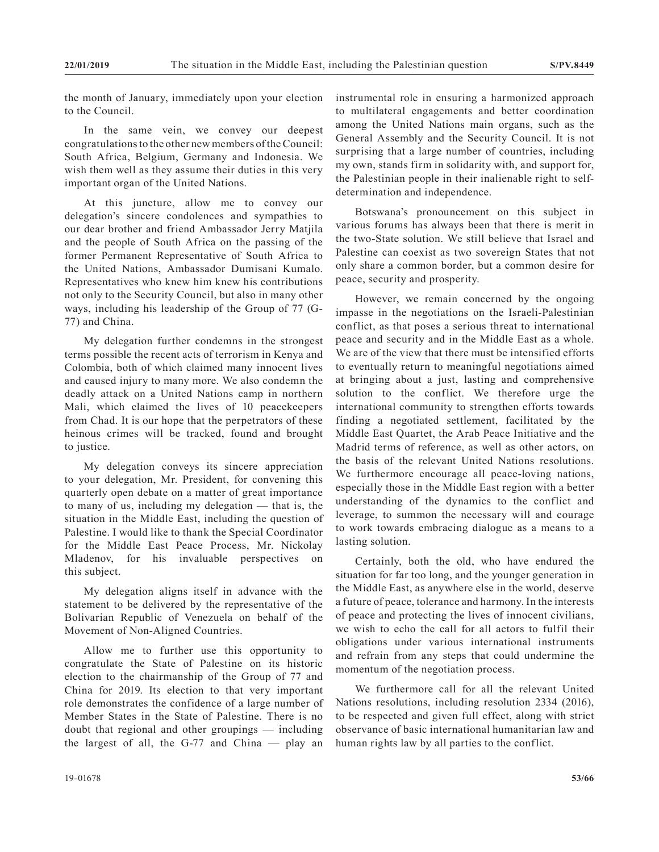the month of January, immediately upon your election to the Council.

In the same vein, we convey our deepest congratulations to the other new members of the Council: South Africa, Belgium, Germany and Indonesia. We wish them well as they assume their duties in this very important organ of the United Nations.

At this juncture, allow me to convey our delegation's sincere condolences and sympathies to our dear brother and friend Ambassador Jerry Matjila and the people of South Africa on the passing of the former Permanent Representative of South Africa to the United Nations, Ambassador Dumisani Kumalo. Representatives who knew him knew his contributions not only to the Security Council, but also in many other ways, including his leadership of the Group of 77 (G-77) and China.

My delegation further condemns in the strongest terms possible the recent acts of terrorism in Kenya and Colombia, both of which claimed many innocent lives and caused injury to many more. We also condemn the deadly attack on a United Nations camp in northern Mali, which claimed the lives of 10 peacekeepers from Chad. It is our hope that the perpetrators of these heinous crimes will be tracked, found and brought to justice.

My delegation conveys its sincere appreciation to your delegation, Mr. President, for convening this quarterly open debate on a matter of great importance to many of us, including my delegation — that is, the situation in the Middle East, including the question of Palestine. I would like to thank the Special Coordinator for the Middle East Peace Process, Mr. Nickolay Mladenov, for his invaluable perspectives on this subject.

My delegation aligns itself in advance with the statement to be delivered by the representative of the Bolivarian Republic of Venezuela on behalf of the Movement of Non-Aligned Countries.

Allow me to further use this opportunity to congratulate the State of Palestine on its historic election to the chairmanship of the Group of 77 and China for 2019. Its election to that very important role demonstrates the confidence of a large number of Member States in the State of Palestine. There is no doubt that regional and other groupings — including the largest of all, the G-77 and China — play an

instrumental role in ensuring a harmonized approach to multilateral engagements and better coordination among the United Nations main organs, such as the General Assembly and the Security Council. It is not surprising that a large number of countries, including my own, stands firm in solidarity with, and support for, the Palestinian people in their inalienable right to selfdetermination and independence.

Botswana's pronouncement on this subject in various forums has always been that there is merit in the two-State solution. We still believe that Israel and Palestine can coexist as two sovereign States that not only share a common border, but a common desire for peace, security and prosperity.

However, we remain concerned by the ongoing impasse in the negotiations on the Israeli-Palestinian conflict, as that poses a serious threat to international peace and security and in the Middle East as a whole. We are of the view that there must be intensified efforts to eventually return to meaningful negotiations aimed at bringing about a just, lasting and comprehensive solution to the conflict. We therefore urge the international community to strengthen efforts towards finding a negotiated settlement, facilitated by the Middle East Quartet, the Arab Peace Initiative and the Madrid terms of reference, as well as other actors, on the basis of the relevant United Nations resolutions. We furthermore encourage all peace-loving nations, especially those in the Middle East region with a better understanding of the dynamics to the conflict and leverage, to summon the necessary will and courage to work towards embracing dialogue as a means to a lasting solution.

Certainly, both the old, who have endured the situation for far too long, and the younger generation in the Middle East, as anywhere else in the world, deserve a future of peace, tolerance and harmony. In the interests of peace and protecting the lives of innocent civilians, we wish to echo the call for all actors to fulfil their obligations under various international instruments and refrain from any steps that could undermine the momentum of the negotiation process.

We furthermore call for all the relevant United Nations resolutions, including resolution 2334 (2016), to be respected and given full effect, along with strict observance of basic international humanitarian law and human rights law by all parties to the conflict.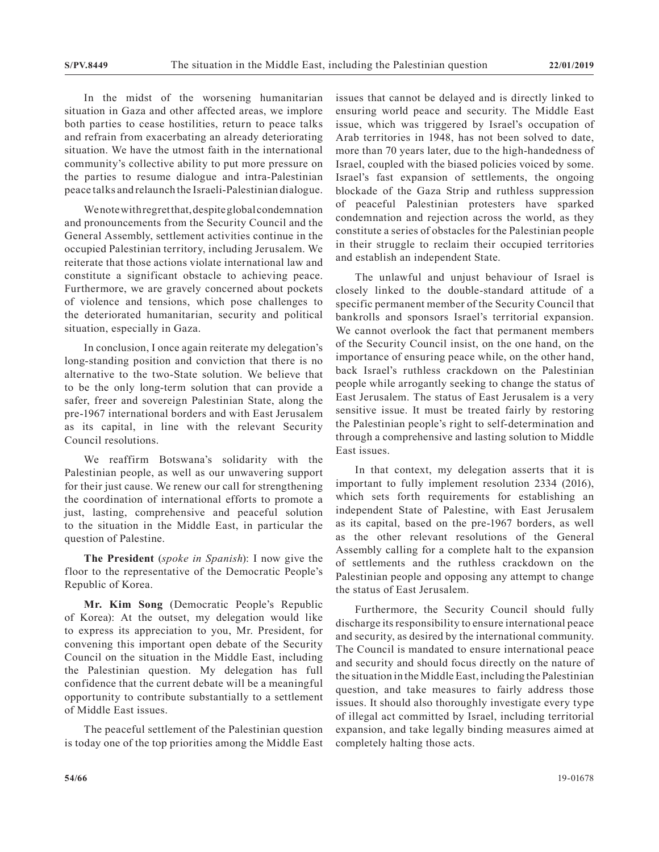In the midst of the worsening humanitarian situation in Gaza and other affected areas, we implore both parties to cease hostilities, return to peace talks and refrain from exacerbating an already deteriorating situation. We have the utmost faith in the international community's collective ability to put more pressure on the parties to resume dialogue and intra-Palestinian peace talks and relaunch the Israeli-Palestinian dialogue.

We note with regret that, despite global condemnation and pronouncements from the Security Council and the General Assembly, settlement activities continue in the occupied Palestinian territory, including Jerusalem. We reiterate that those actions violate international law and constitute a significant obstacle to achieving peace. Furthermore, we are gravely concerned about pockets of violence and tensions, which pose challenges to the deteriorated humanitarian, security and political situation, especially in Gaza.

In conclusion, I once again reiterate my delegation's long-standing position and conviction that there is no alternative to the two-State solution. We believe that to be the only long-term solution that can provide a safer, freer and sovereign Palestinian State, along the pre-1967 international borders and with East Jerusalem as its capital, in line with the relevant Security Council resolutions.

We reaffirm Botswana's solidarity with the Palestinian people, as well as our unwavering support for their just cause. We renew our call for strengthening the coordination of international efforts to promote a just, lasting, comprehensive and peaceful solution to the situation in the Middle East, in particular the question of Palestine.

**The President** (*spoke in Spanish*): I now give the floor to the representative of the Democratic People's Republic of Korea.

**Mr. Kim Song** (Democratic People's Republic of Korea): At the outset, my delegation would like to express its appreciation to you, Mr. President, for convening this important open debate of the Security Council on the situation in the Middle East, including the Palestinian question. My delegation has full confidence that the current debate will be a meaningful opportunity to contribute substantially to a settlement of Middle East issues.

The peaceful settlement of the Palestinian question is today one of the top priorities among the Middle East issues that cannot be delayed and is directly linked to ensuring world peace and security. The Middle East issue, which was triggered by Israel's occupation of Arab territories in 1948, has not been solved to date, more than 70 years later, due to the high-handedness of Israel, coupled with the biased policies voiced by some. Israel's fast expansion of settlements, the ongoing blockade of the Gaza Strip and ruthless suppression of peaceful Palestinian protesters have sparked condemnation and rejection across the world, as they constitute a series of obstacles for the Palestinian people in their struggle to reclaim their occupied territories and establish an independent State.

The unlawful and unjust behaviour of Israel is closely linked to the double-standard attitude of a specific permanent member of the Security Council that bankrolls and sponsors Israel's territorial expansion. We cannot overlook the fact that permanent members of the Security Council insist, on the one hand, on the importance of ensuring peace while, on the other hand, back Israel's ruthless crackdown on the Palestinian people while arrogantly seeking to change the status of East Jerusalem. The status of East Jerusalem is a very sensitive issue. It must be treated fairly by restoring the Palestinian people's right to self-determination and through a comprehensive and lasting solution to Middle East issues.

In that context, my delegation asserts that it is important to fully implement resolution 2334 (2016), which sets forth requirements for establishing an independent State of Palestine, with East Jerusalem as its capital, based on the pre-1967 borders, as well as the other relevant resolutions of the General Assembly calling for a complete halt to the expansion of settlements and the ruthless crackdown on the Palestinian people and opposing any attempt to change the status of East Jerusalem.

Furthermore, the Security Council should fully discharge its responsibility to ensure international peace and security, as desired by the international community. The Council is mandated to ensure international peace and security and should focus directly on the nature of the situation in the Middle East, including the Palestinian question, and take measures to fairly address those issues. It should also thoroughly investigate every type of illegal act committed by Israel, including territorial expansion, and take legally binding measures aimed at completely halting those acts.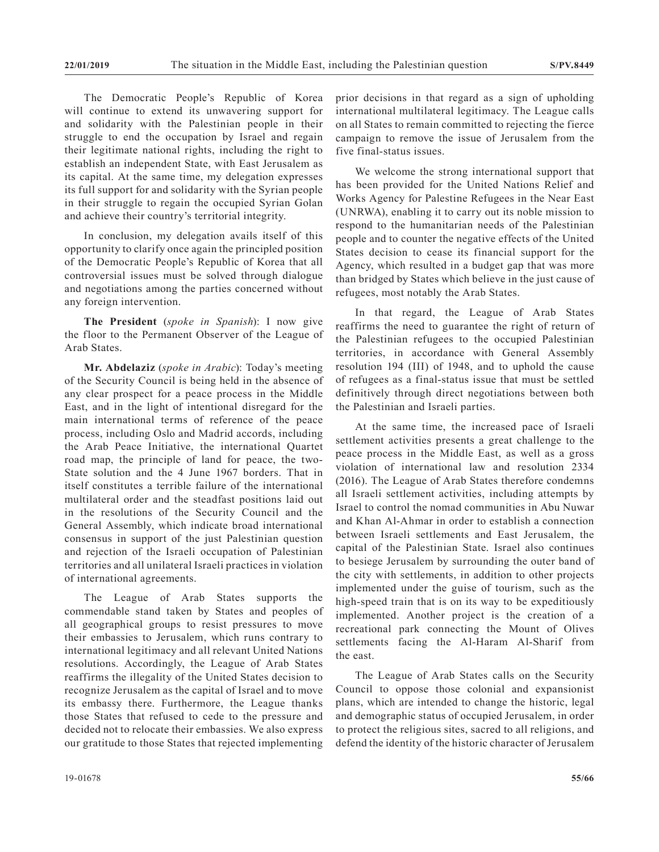The Democratic People's Republic of Korea will continue to extend its unwavering support for and solidarity with the Palestinian people in their struggle to end the occupation by Israel and regain their legitimate national rights, including the right to establish an independent State, with East Jerusalem as its capital. At the same time, my delegation expresses its full support for and solidarity with the Syrian people in their struggle to regain the occupied Syrian Golan and achieve their country's territorial integrity.

In conclusion, my delegation avails itself of this opportunity to clarify once again the principled position of the Democratic People's Republic of Korea that all controversial issues must be solved through dialogue and negotiations among the parties concerned without any foreign intervention.

**The President** (*spoke in Spanish*): I now give the floor to the Permanent Observer of the League of Arab States.

**Mr. Abdelaziz** (*spoke in Arabic*): Today's meeting of the Security Council is being held in the absence of any clear prospect for a peace process in the Middle East, and in the light of intentional disregard for the main international terms of reference of the peace process, including Oslo and Madrid accords, including the Arab Peace Initiative, the international Quartet road map, the principle of land for peace, the two-State solution and the 4 June 1967 borders. That in itself constitutes a terrible failure of the international multilateral order and the steadfast positions laid out in the resolutions of the Security Council and the General Assembly, which indicate broad international consensus in support of the just Palestinian question and rejection of the Israeli occupation of Palestinian territories and all unilateral Israeli practices in violation of international agreements.

The League of Arab States supports the commendable stand taken by States and peoples of all geographical groups to resist pressures to move their embassies to Jerusalem, which runs contrary to international legitimacy and all relevant United Nations resolutions. Accordingly, the League of Arab States reaffirms the illegality of the United States decision to recognize Jerusalem as the capital of Israel and to move its embassy there. Furthermore, the League thanks those States that refused to cede to the pressure and decided not to relocate their embassies. We also express our gratitude to those States that rejected implementing

prior decisions in that regard as a sign of upholding international multilateral legitimacy. The League calls on all States to remain committed to rejecting the fierce campaign to remove the issue of Jerusalem from the five final-status issues.

We welcome the strong international support that has been provided for the United Nations Relief and Works Agency for Palestine Refugees in the Near East (UNRWA), enabling it to carry out its noble mission to respond to the humanitarian needs of the Palestinian people and to counter the negative effects of the United States decision to cease its financial support for the Agency, which resulted in a budget gap that was more than bridged by States which believe in the just cause of refugees, most notably the Arab States.

In that regard, the League of Arab States reaffirms the need to guarantee the right of return of the Palestinian refugees to the occupied Palestinian territories, in accordance with General Assembly resolution 194 (III) of 1948, and to uphold the cause of refugees as a final-status issue that must be settled definitively through direct negotiations between both the Palestinian and Israeli parties.

At the same time, the increased pace of Israeli settlement activities presents a great challenge to the peace process in the Middle East, as well as a gross violation of international law and resolution 2334 (2016). The League of Arab States therefore condemns all Israeli settlement activities, including attempts by Israel to control the nomad communities in Abu Nuwar and Khan Al-Ahmar in order to establish a connection between Israeli settlements and East Jerusalem, the capital of the Palestinian State. Israel also continues to besiege Jerusalem by surrounding the outer band of the city with settlements, in addition to other projects implemented under the guise of tourism, such as the high-speed train that is on its way to be expeditiously implemented. Another project is the creation of a recreational park connecting the Mount of Olives settlements facing the Al-Haram Al-Sharif from the east.

The League of Arab States calls on the Security Council to oppose those colonial and expansionist plans, which are intended to change the historic, legal and demographic status of occupied Jerusalem, in order to protect the religious sites, sacred to all religions, and defend the identity of the historic character of Jerusalem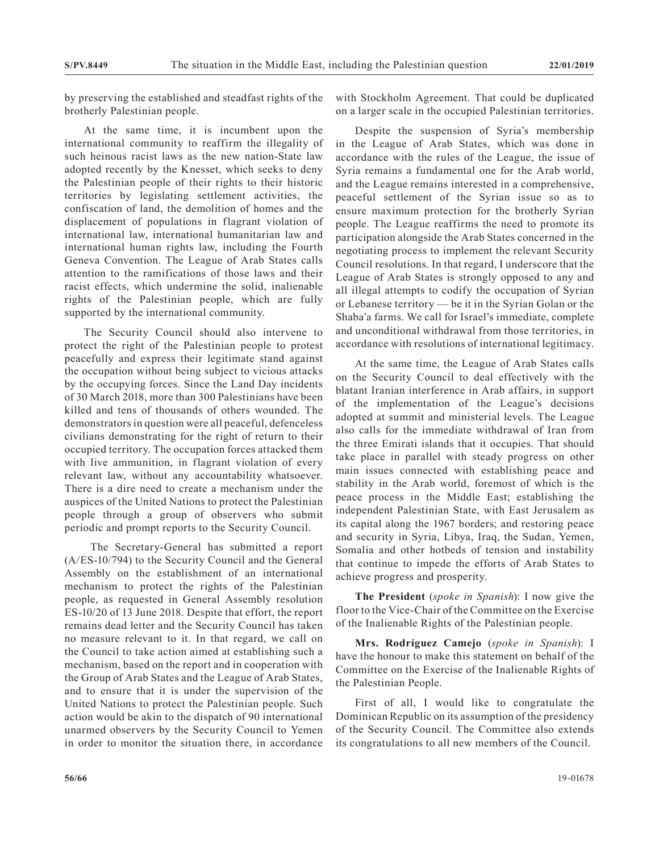by preserving the established and steadfast rights of the brotherly Palestinian people.

At the same time, it is incumbent upon the international community to reaffirm the illegality of such heinous racist laws as the new nation-State law adopted recently by the Knesset, which seeks to deny the Palestinian people of their rights to their historic territories by legislating settlement activities, the confiscation of land, the demolition of homes and the displacement of populations in flagrant violation of international law, international humanitarian law and international human rights law, including the Fourth Geneva Convention. The League of Arab States calls attention to the ramifications of those laws and their racist effects, which undermine the solid, inalienable rights of the Palestinian people, which are fully supported by the international community.

The Security Council should also intervene to protect the right of the Palestinian people to protest peacefully and express their legitimate stand against the occupation without being subject to vicious attacks by the occupying forces. Since the Land Day incidents of 30 March 2018, more than 300 Palestinians have been killed and tens of thousands of others wounded. The demonstrators in question were all peaceful, defenceless civilians demonstrating for the right of return to their occupied territory. The occupation forces attacked them with live ammunition, in flagrant violation of every relevant law, without any accountability whatsoever. There is a dire need to create a mechanism under the auspices of the United Nations to protect the Palestinian people through a group of observers who submit periodic and prompt reports to the Security Council.

 The Secretary-General has submitted a report (A/ES-10/794) to the Security Council and the General Assembly on the establishment of an international mechanism to protect the rights of the Palestinian people, as requested in General Assembly resolution ES-10/20 of 13 June 2018. Despite that effort, the report remains dead letter and the Security Council has taken no measure relevant to it. In that regard, we call on the Council to take action aimed at establishing such a mechanism, based on the report and in cooperation with the Group of Arab States and the League of Arab States, and to ensure that it is under the supervision of the United Nations to protect the Palestinian people. Such action would be akin to the dispatch of 90 international unarmed observers by the Security Council to Yemen in order to monitor the situation there, in accordance

with Stockholm Agreement. That could be duplicated on a larger scale in the occupied Palestinian territories.

Despite the suspension of Syria's membership in the League of Arab States, which was done in accordance with the rules of the League, the issue of Syria remains a fundamental one for the Arab world, and the League remains interested in a comprehensive, peaceful settlement of the Syrian issue so as to ensure maximum protection for the brotherly Syrian people. The League reaffirms the need to promote its participation alongside the Arab States concerned in the negotiating process to implement the relevant Security Council resolutions. In that regard, I underscore that the League of Arab States is strongly opposed to any and all illegal attempts to codify the occupation of Syrian or Lebanese territory — be it in the Syrian Golan or the Shaba'a farms. We call for Israel's immediate, complete and unconditional withdrawal from those territories, in accordance with resolutions of international legitimacy.

At the same time, the League of Arab States calls on the Security Council to deal effectively with the blatant Iranian interference in Arab affairs, in support of the implementation of the League's decisions adopted at summit and ministerial levels. The League also calls for the immediate withdrawal of Iran from the three Emirati islands that it occupies. That should take place in parallel with steady progress on other main issues connected with establishing peace and stability in the Arab world, foremost of which is the peace process in the Middle East; establishing the independent Palestinian State, with East Jerusalem as its capital along the 1967 borders; and restoring peace and security in Syria, Libya, Iraq, the Sudan, Yemen, Somalia and other hotbeds of tension and instability that continue to impede the efforts of Arab States to achieve progress and prosperity.

**The President** (*spoke in Spanish*): I now give the floor to the Vice-Chair of the Committee on the Exercise of the Inalienable Rights of the Palestinian people.

**Mrs. Rodríguez Camejo** (*spoke in Spanish*): I have the honour to make this statement on behalf of the Committee on the Exercise of the Inalienable Rights of the Palestinian People.

First of all, I would like to congratulate the Dominican Republic on its assumption of the presidency of the Security Council. The Committee also extends its congratulations to all new members of the Council.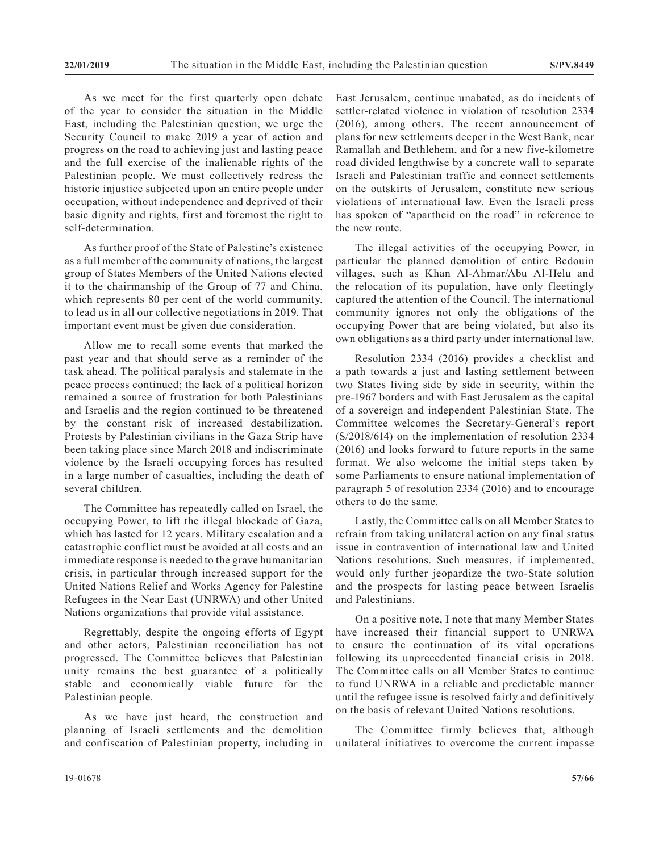As we meet for the first quarterly open debate of the year to consider the situation in the Middle East, including the Palestinian question, we urge the Security Council to make 2019 a year of action and progress on the road to achieving just and lasting peace and the full exercise of the inalienable rights of the Palestinian people. We must collectively redress the historic injustice subjected upon an entire people under occupation, without independence and deprived of their basic dignity and rights, first and foremost the right to self-determination.

As further proof of the State of Palestine's existence as a full member of the community of nations, the largest group of States Members of the United Nations elected it to the chairmanship of the Group of 77 and China, which represents 80 per cent of the world community, to lead us in all our collective negotiations in 2019. That important event must be given due consideration.

Allow me to recall some events that marked the past year and that should serve as a reminder of the task ahead. The political paralysis and stalemate in the peace process continued; the lack of a political horizon remained a source of frustration for both Palestinians and Israelis and the region continued to be threatened by the constant risk of increased destabilization. Protests by Palestinian civilians in the Gaza Strip have been taking place since March 2018 and indiscriminate violence by the Israeli occupying forces has resulted in a large number of casualties, including the death of several children.

The Committee has repeatedly called on Israel, the occupying Power, to lift the illegal blockade of Gaza, which has lasted for 12 years. Military escalation and a catastrophic conflict must be avoided at all costs and an immediate response is needed to the grave humanitarian crisis, in particular through increased support for the United Nations Relief and Works Agency for Palestine Refugees in the Near East (UNRWA) and other United Nations organizations that provide vital assistance.

Regrettably, despite the ongoing efforts of Egypt and other actors, Palestinian reconciliation has not progressed. The Committee believes that Palestinian unity remains the best guarantee of a politically stable and economically viable future for the Palestinian people.

As we have just heard, the construction and planning of Israeli settlements and the demolition and confiscation of Palestinian property, including in East Jerusalem, continue unabated, as do incidents of settler-related violence in violation of resolution 2334 (2016), among others. The recent announcement of plans for new settlements deeper in the West Bank, near Ramallah and Bethlehem, and for a new five-kilometre road divided lengthwise by a concrete wall to separate Israeli and Palestinian traffic and connect settlements on the outskirts of Jerusalem, constitute new serious violations of international law. Even the Israeli press has spoken of "apartheid on the road" in reference to the new route.

The illegal activities of the occupying Power, in particular the planned demolition of entire Bedouin villages, such as Khan Al-Ahmar/Abu Al-Helu and the relocation of its population, have only fleetingly captured the attention of the Council. The international community ignores not only the obligations of the occupying Power that are being violated, but also its own obligations as a third party under international law.

Resolution 2334 (2016) provides a checklist and a path towards a just and lasting settlement between two States living side by side in security, within the pre-1967 borders and with East Jerusalem as the capital of a sovereign and independent Palestinian State. The Committee welcomes the Secretary-General's report (S/2018/614) on the implementation of resolution 2334 (2016) and looks forward to future reports in the same format. We also welcome the initial steps taken by some Parliaments to ensure national implementation of paragraph 5 of resolution 2334 (2016) and to encourage others to do the same.

Lastly, the Committee calls on all Member States to refrain from taking unilateral action on any final status issue in contravention of international law and United Nations resolutions. Such measures, if implemented, would only further jeopardize the two-State solution and the prospects for lasting peace between Israelis and Palestinians.

On a positive note, I note that many Member States have increased their financial support to UNRWA to ensure the continuation of its vital operations following its unprecedented financial crisis in 2018. The Committee calls on all Member States to continue to fund UNRWA in a reliable and predictable manner until the refugee issue is resolved fairly and definitively on the basis of relevant United Nations resolutions.

The Committee firmly believes that, although unilateral initiatives to overcome the current impasse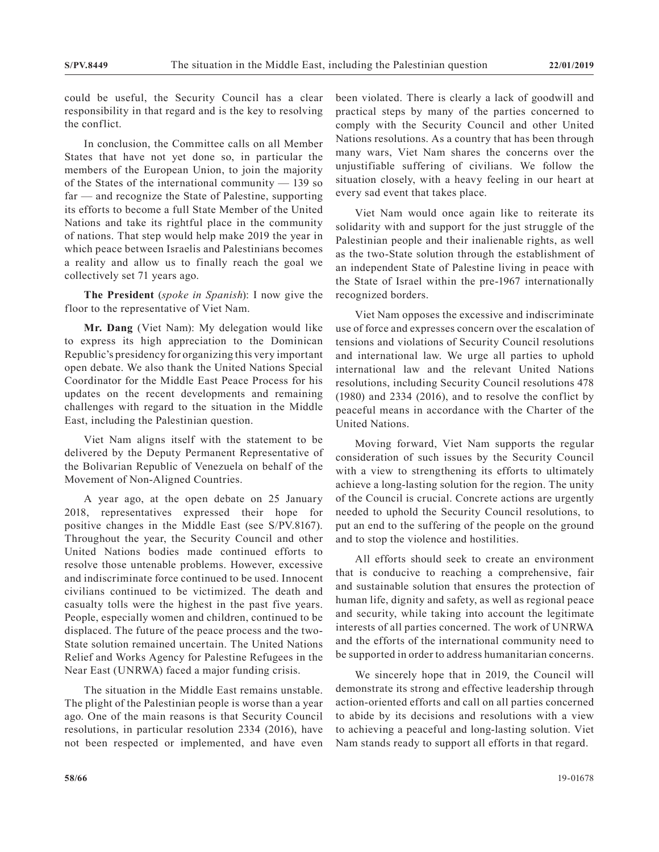could be useful, the Security Council has a clear responsibility in that regard and is the key to resolving the conflict.

In conclusion, the Committee calls on all Member States that have not yet done so, in particular the members of the European Union, to join the majority of the States of the international community — 139 so far — and recognize the State of Palestine, supporting its efforts to become a full State Member of the United Nations and take its rightful place in the community of nations. That step would help make 2019 the year in which peace between Israelis and Palestinians becomes a reality and allow us to finally reach the goal we collectively set 71 years ago.

**The President** (*spoke in Spanish*): I now give the floor to the representative of Viet Nam.

**Mr. Dang** (Viet Nam): My delegation would like to express its high appreciation to the Dominican Republic's presidency for organizing this very important open debate. We also thank the United Nations Special Coordinator for the Middle East Peace Process for his updates on the recent developments and remaining challenges with regard to the situation in the Middle East, including the Palestinian question.

Viet Nam aligns itself with the statement to be delivered by the Deputy Permanent Representative of the Bolivarian Republic of Venezuela on behalf of the Movement of Non-Aligned Countries.

A year ago, at the open debate on 25 January 2018, representatives expressed their hope for positive changes in the Middle East (see S/PV.8167). Throughout the year, the Security Council and other United Nations bodies made continued efforts to resolve those untenable problems. However, excessive and indiscriminate force continued to be used. Innocent civilians continued to be victimized. The death and casualty tolls were the highest in the past five years. People, especially women and children, continued to be displaced. The future of the peace process and the two-State solution remained uncertain. The United Nations Relief and Works Agency for Palestine Refugees in the Near East (UNRWA) faced a major funding crisis.

The situation in the Middle East remains unstable. The plight of the Palestinian people is worse than a year ago. One of the main reasons is that Security Council resolutions, in particular resolution 2334 (2016), have not been respected or implemented, and have even been violated. There is clearly a lack of goodwill and practical steps by many of the parties concerned to comply with the Security Council and other United Nations resolutions. As a country that has been through many wars, Viet Nam shares the concerns over the unjustifiable suffering of civilians. We follow the situation closely, with a heavy feeling in our heart at every sad event that takes place.

Viet Nam would once again like to reiterate its solidarity with and support for the just struggle of the Palestinian people and their inalienable rights, as well as the two-State solution through the establishment of an independent State of Palestine living in peace with the State of Israel within the pre-1967 internationally recognized borders.

Viet Nam opposes the excessive and indiscriminate use of force and expresses concern over the escalation of tensions and violations of Security Council resolutions and international law. We urge all parties to uphold international law and the relevant United Nations resolutions, including Security Council resolutions 478 (1980) and 2334 (2016), and to resolve the conflict by peaceful means in accordance with the Charter of the United Nations.

Moving forward, Viet Nam supports the regular consideration of such issues by the Security Council with a view to strengthening its efforts to ultimately achieve a long-lasting solution for the region. The unity of the Council is crucial. Concrete actions are urgently needed to uphold the Security Council resolutions, to put an end to the suffering of the people on the ground and to stop the violence and hostilities.

All efforts should seek to create an environment that is conducive to reaching a comprehensive, fair and sustainable solution that ensures the protection of human life, dignity and safety, as well as regional peace and security, while taking into account the legitimate interests of all parties concerned. The work of UNRWA and the efforts of the international community need to be supported in order to address humanitarian concerns.

We sincerely hope that in 2019, the Council will demonstrate its strong and effective leadership through action-oriented efforts and call on all parties concerned to abide by its decisions and resolutions with a view to achieving a peaceful and long-lasting solution. Viet Nam stands ready to support all efforts in that regard.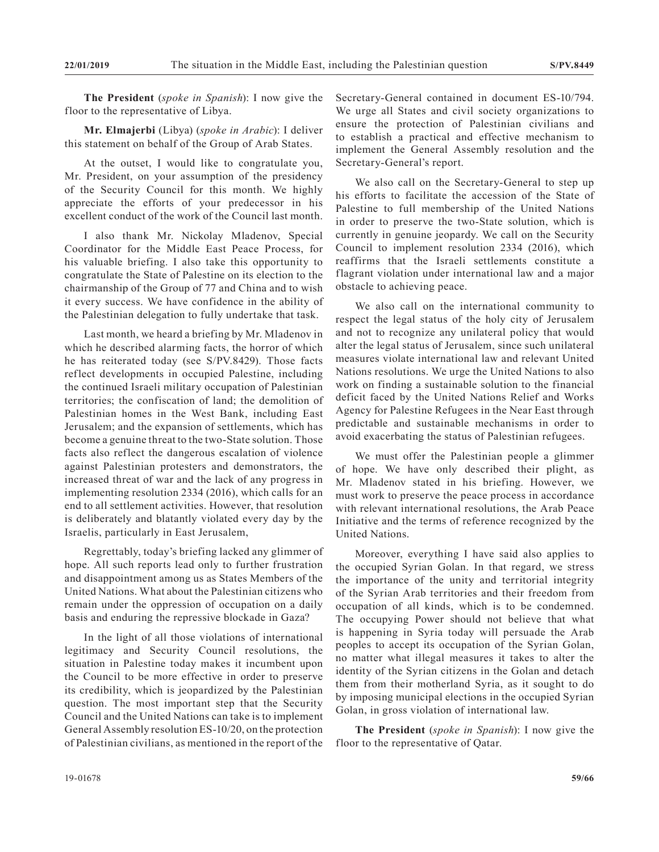**The President** (*spoke in Spanish*): I now give the floor to the representative of Libya.

**Mr. Elmajerbi** (Libya) (*spoke in Arabic*): I deliver this statement on behalf of the Group of Arab States.

At the outset, I would like to congratulate you, Mr. President, on your assumption of the presidency of the Security Council for this month. We highly appreciate the efforts of your predecessor in his excellent conduct of the work of the Council last month.

I also thank Mr. Nickolay Mladenov, Special Coordinator for the Middle East Peace Process, for his valuable briefing. I also take this opportunity to congratulate the State of Palestine on its election to the chairmanship of the Group of 77 and China and to wish it every success. We have confidence in the ability of the Palestinian delegation to fully undertake that task.

Last month, we heard a briefing by Mr. Mladenov in which he described alarming facts, the horror of which he has reiterated today (see S/PV.8429). Those facts reflect developments in occupied Palestine, including the continued Israeli military occupation of Palestinian territories; the confiscation of land; the demolition of Palestinian homes in the West Bank, including East Jerusalem; and the expansion of settlements, which has become a genuine threat to the two-State solution. Those facts also reflect the dangerous escalation of violence against Palestinian protesters and demonstrators, the increased threat of war and the lack of any progress in implementing resolution 2334 (2016), which calls for an end to all settlement activities. However, that resolution is deliberately and blatantly violated every day by the Israelis, particularly in East Jerusalem,

Regrettably, today's briefing lacked any glimmer of hope. All such reports lead only to further frustration and disappointment among us as States Members of the United Nations. What about the Palestinian citizens who remain under the oppression of occupation on a daily basis and enduring the repressive blockade in Gaza?

In the light of all those violations of international legitimacy and Security Council resolutions, the situation in Palestine today makes it incumbent upon the Council to be more effective in order to preserve its credibility, which is jeopardized by the Palestinian question. The most important step that the Security Council and the United Nations can take is to implement General Assembly resolution ES-10/20, on the protection of Palestinian civilians, as mentioned in the report of the Secretary-General contained in document ES-10/794. We urge all States and civil society organizations to ensure the protection of Palestinian civilians and to establish a practical and effective mechanism to implement the General Assembly resolution and the Secretary-General's report.

We also call on the Secretary-General to step up his efforts to facilitate the accession of the State of Palestine to full membership of the United Nations in order to preserve the two-State solution, which is currently in genuine jeopardy. We call on the Security Council to implement resolution 2334 (2016), which reaffirms that the Israeli settlements constitute a flagrant violation under international law and a major obstacle to achieving peace.

We also call on the international community to respect the legal status of the holy city of Jerusalem and not to recognize any unilateral policy that would alter the legal status of Jerusalem, since such unilateral measures violate international law and relevant United Nations resolutions. We urge the United Nations to also work on finding a sustainable solution to the financial deficit faced by the United Nations Relief and Works Agency for Palestine Refugees in the Near East through predictable and sustainable mechanisms in order to avoid exacerbating the status of Palestinian refugees.

We must offer the Palestinian people a glimmer of hope. We have only described their plight, as Mr. Mladenov stated in his briefing. However, we must work to preserve the peace process in accordance with relevant international resolutions, the Arab Peace Initiative and the terms of reference recognized by the United Nations.

Moreover, everything I have said also applies to the occupied Syrian Golan. In that regard, we stress the importance of the unity and territorial integrity of the Syrian Arab territories and their freedom from occupation of all kinds, which is to be condemned. The occupying Power should not believe that what is happening in Syria today will persuade the Arab peoples to accept its occupation of the Syrian Golan, no matter what illegal measures it takes to alter the identity of the Syrian citizens in the Golan and detach them from their motherland Syria, as it sought to do by imposing municipal elections in the occupied Syrian Golan, in gross violation of international law.

**The President** (*spoke in Spanish*): I now give the floor to the representative of Qatar.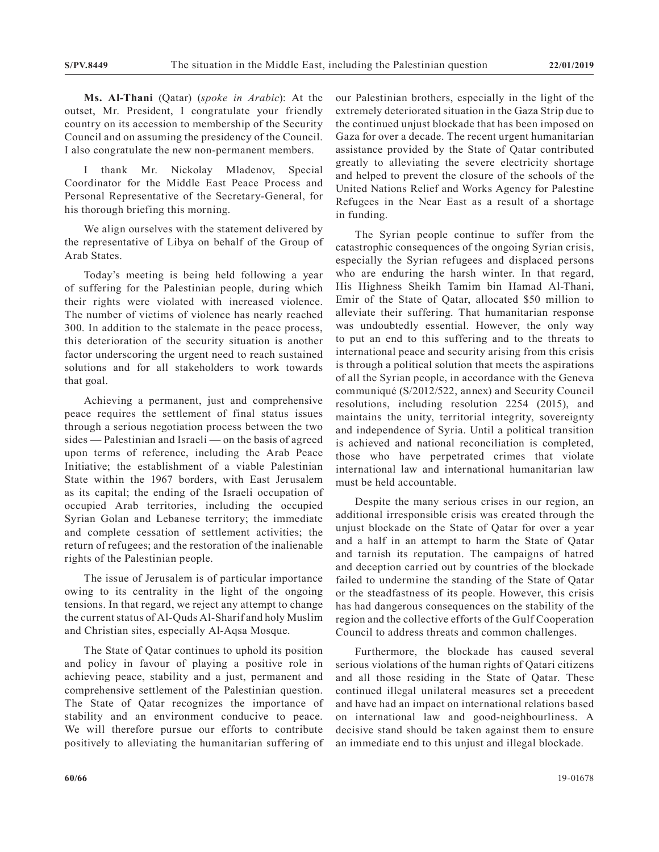**Ms. Al-Thani** (Qatar) (*spoke in Arabic*): At the outset, Mr. President, I congratulate your friendly country on its accession to membership of the Security Council and on assuming the presidency of the Council. I also congratulate the new non-permanent members.

thank Mr. Nickolay Mladenov, Special Coordinator for the Middle East Peace Process and Personal Representative of the Secretary-General, for his thorough briefing this morning.

We align ourselves with the statement delivered by the representative of Libya on behalf of the Group of Arab States.

Today's meeting is being held following a year of suffering for the Palestinian people, during which their rights were violated with increased violence. The number of victims of violence has nearly reached 300. In addition to the stalemate in the peace process, this deterioration of the security situation is another factor underscoring the urgent need to reach sustained solutions and for all stakeholders to work towards that goal.

Achieving a permanent, just and comprehensive peace requires the settlement of final status issues through a serious negotiation process between the two sides — Palestinian and Israeli — on the basis of agreed upon terms of reference, including the Arab Peace Initiative; the establishment of a viable Palestinian State within the 1967 borders, with East Jerusalem as its capital; the ending of the Israeli occupation of occupied Arab territories, including the occupied Syrian Golan and Lebanese territory; the immediate and complete cessation of settlement activities; the return of refugees; and the restoration of the inalienable rights of the Palestinian people.

The issue of Jerusalem is of particular importance owing to its centrality in the light of the ongoing tensions. In that regard, we reject any attempt to change the current status of Al-Quds Al-Sharif and holy Muslim and Christian sites, especially Al-Aqsa Mosque.

The State of Qatar continues to uphold its position and policy in favour of playing a positive role in achieving peace, stability and a just, permanent and comprehensive settlement of the Palestinian question. The State of Qatar recognizes the importance of stability and an environment conducive to peace. We will therefore pursue our efforts to contribute positively to alleviating the humanitarian suffering of our Palestinian brothers, especially in the light of the extremely deteriorated situation in the Gaza Strip due to the continued unjust blockade that has been imposed on Gaza for over a decade. The recent urgent humanitarian assistance provided by the State of Qatar contributed greatly to alleviating the severe electricity shortage and helped to prevent the closure of the schools of the United Nations Relief and Works Agency for Palestine Refugees in the Near East as a result of a shortage in funding.

The Syrian people continue to suffer from the catastrophic consequences of the ongoing Syrian crisis, especially the Syrian refugees and displaced persons who are enduring the harsh winter. In that regard, His Highness Sheikh Tamim bin Hamad Al-Thani, Emir of the State of Qatar, allocated \$50 million to alleviate their suffering. That humanitarian response was undoubtedly essential. However, the only way to put an end to this suffering and to the threats to international peace and security arising from this crisis is through a political solution that meets the aspirations of all the Syrian people, in accordance with the Geneva communiqué (S/2012/522, annex) and Security Council resolutions, including resolution 2254 (2015), and maintains the unity, territorial integrity, sovereignty and independence of Syria. Until a political transition is achieved and national reconciliation is completed, those who have perpetrated crimes that violate international law and international humanitarian law must be held accountable.

Despite the many serious crises in our region, an additional irresponsible crisis was created through the unjust blockade on the State of Qatar for over a year and a half in an attempt to harm the State of Qatar and tarnish its reputation. The campaigns of hatred and deception carried out by countries of the blockade failed to undermine the standing of the State of Qatar or the steadfastness of its people. However, this crisis has had dangerous consequences on the stability of the region and the collective efforts of the Gulf Cooperation Council to address threats and common challenges.

Furthermore, the blockade has caused several serious violations of the human rights of Qatari citizens and all those residing in the State of Qatar. These continued illegal unilateral measures set a precedent and have had an impact on international relations based on international law and good-neighbourliness. A decisive stand should be taken against them to ensure an immediate end to this unjust and illegal blockade.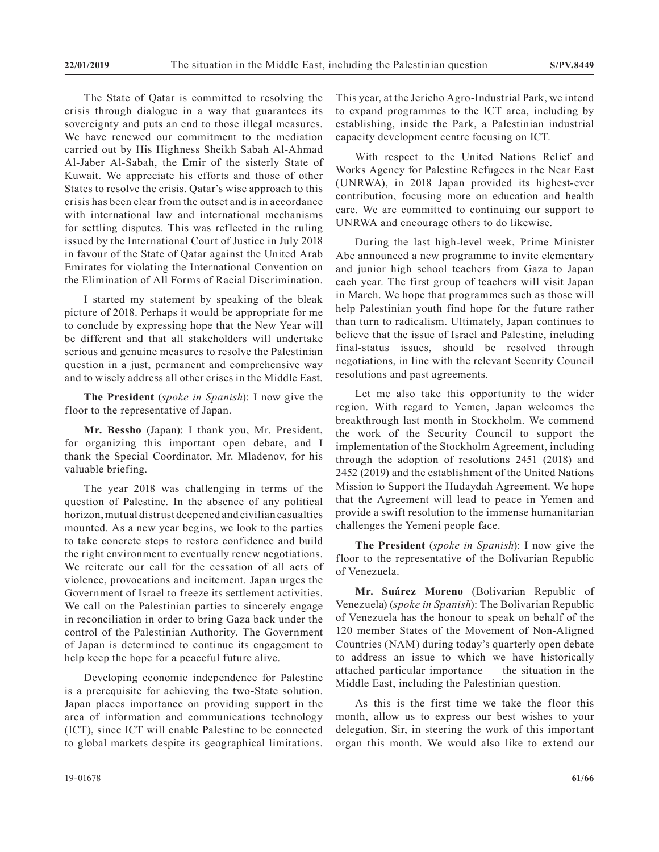The State of Qatar is committed to resolving the crisis through dialogue in a way that guarantees its sovereignty and puts an end to those illegal measures. We have renewed our commitment to the mediation carried out by His Highness Sheikh Sabah Al-Ahmad Al-Jaber Al-Sabah, the Emir of the sisterly State of Kuwait. We appreciate his efforts and those of other States to resolve the crisis. Qatar's wise approach to this crisis has been clear from the outset and is in accordance with international law and international mechanisms for settling disputes. This was reflected in the ruling issued by the International Court of Justice in July 2018 in favour of the State of Qatar against the United Arab Emirates for violating the International Convention on the Elimination of All Forms of Racial Discrimination.

I started my statement by speaking of the bleak picture of 2018. Perhaps it would be appropriate for me to conclude by expressing hope that the New Year will be different and that all stakeholders will undertake serious and genuine measures to resolve the Palestinian question in a just, permanent and comprehensive way and to wisely address all other crises in the Middle East.

**The President** (*spoke in Spanish*): I now give the floor to the representative of Japan.

**Mr. Bessho** (Japan): I thank you, Mr. President, for organizing this important open debate, and I thank the Special Coordinator, Mr. Mladenov, for his valuable briefing.

The year 2018 was challenging in terms of the question of Palestine. In the absence of any political horizon, mutual distrust deepened and civilian casualties mounted. As a new year begins, we look to the parties to take concrete steps to restore confidence and build the right environment to eventually renew negotiations. We reiterate our call for the cessation of all acts of violence, provocations and incitement. Japan urges the Government of Israel to freeze its settlement activities. We call on the Palestinian parties to sincerely engage in reconciliation in order to bring Gaza back under the control of the Palestinian Authority. The Government of Japan is determined to continue its engagement to help keep the hope for a peaceful future alive.

Developing economic independence for Palestine is a prerequisite for achieving the two-State solution. Japan places importance on providing support in the area of information and communications technology (ICT), since ICT will enable Palestine to be connected to global markets despite its geographical limitations.

This year, at the Jericho Agro-Industrial Park, we intend to expand programmes to the ICT area, including by establishing, inside the Park, a Palestinian industrial capacity development centre focusing on ICT.

With respect to the United Nations Relief and Works Agency for Palestine Refugees in the Near East (UNRWA), in 2018 Japan provided its highest-ever contribution, focusing more on education and health care. We are committed to continuing our support to UNRWA and encourage others to do likewise.

During the last high-level week, Prime Minister Abe announced a new programme to invite elementary and junior high school teachers from Gaza to Japan each year. The first group of teachers will visit Japan in March. We hope that programmes such as those will help Palestinian youth find hope for the future rather than turn to radicalism. Ultimately, Japan continues to believe that the issue of Israel and Palestine, including final-status issues, should be resolved through negotiations, in line with the relevant Security Council resolutions and past agreements.

Let me also take this opportunity to the wider region. With regard to Yemen, Japan welcomes the breakthrough last month in Stockholm. We commend the work of the Security Council to support the implementation of the Stockholm Agreement, including through the adoption of resolutions 2451 (2018) and 2452 (2019) and the establishment of the United Nations Mission to Support the Hudaydah Agreement. We hope that the Agreement will lead to peace in Yemen and provide a swift resolution to the immense humanitarian challenges the Yemeni people face.

**The President** (*spoke in Spanish*): I now give the floor to the representative of the Bolivarian Republic of Venezuela.

**Mr. Suárez Moreno** (Bolivarian Republic of Venezuela) (*spoke in Spanish*): The Bolivarian Republic of Venezuela has the honour to speak on behalf of the 120 member States of the Movement of Non-Aligned Countries (NAM) during today's quarterly open debate to address an issue to which we have historically attached particular importance — the situation in the Middle East, including the Palestinian question.

As this is the first time we take the floor this month, allow us to express our best wishes to your delegation, Sir, in steering the work of this important organ this month. We would also like to extend our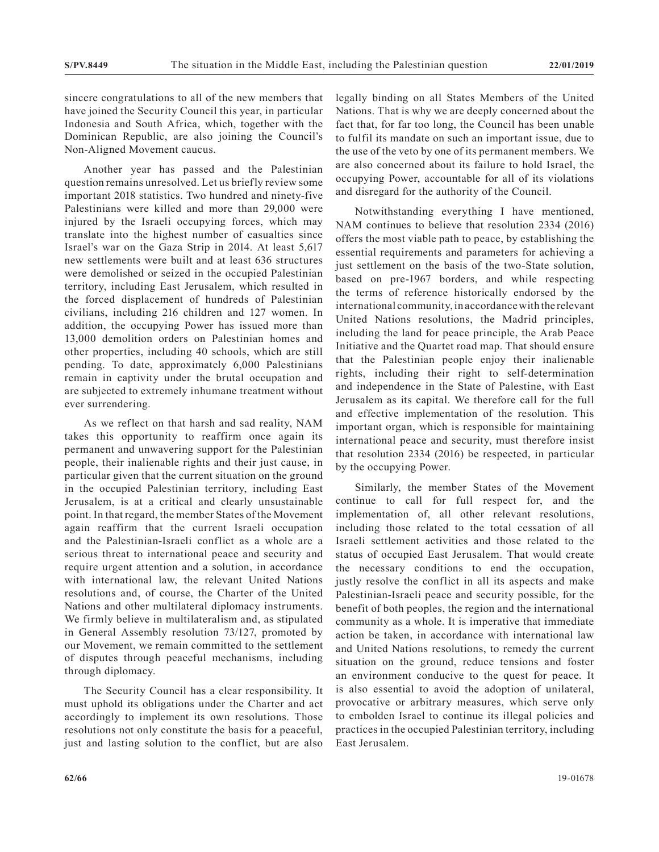sincere congratulations to all of the new members that have joined the Security Council this year, in particular Indonesia and South Africa, which, together with the Dominican Republic, are also joining the Council's Non-Aligned Movement caucus.

Another year has passed and the Palestinian question remains unresolved. Let us briefly review some important 2018 statistics. Two hundred and ninety-five Palestinians were killed and more than 29,000 were injured by the Israeli occupying forces, which may translate into the highest number of casualties since Israel's war on the Gaza Strip in 2014. At least 5,617 new settlements were built and at least 636 structures were demolished or seized in the occupied Palestinian territory, including East Jerusalem, which resulted in the forced displacement of hundreds of Palestinian civilians, including 216 children and 127 women. In addition, the occupying Power has issued more than 13,000 demolition orders on Palestinian homes and other properties, including 40 schools, which are still pending. To date, approximately 6,000 Palestinians remain in captivity under the brutal occupation and are subjected to extremely inhumane treatment without ever surrendering.

As we reflect on that harsh and sad reality, NAM takes this opportunity to reaffirm once again its permanent and unwavering support for the Palestinian people, their inalienable rights and their just cause, in particular given that the current situation on the ground in the occupied Palestinian territory, including East Jerusalem, is at a critical and clearly unsustainable point. In that regard, the member States of the Movement again reaffirm that the current Israeli occupation and the Palestinian-Israeli conflict as a whole are a serious threat to international peace and security and require urgent attention and a solution, in accordance with international law, the relevant United Nations resolutions and, of course, the Charter of the United Nations and other multilateral diplomacy instruments. We firmly believe in multilateralism and, as stipulated in General Assembly resolution 73/127, promoted by our Movement, we remain committed to the settlement of disputes through peaceful mechanisms, including through diplomacy.

The Security Council has a clear responsibility. It must uphold its obligations under the Charter and act accordingly to implement its own resolutions. Those resolutions not only constitute the basis for a peaceful, just and lasting solution to the conflict, but are also

legally binding on all States Members of the United Nations. That is why we are deeply concerned about the fact that, for far too long, the Council has been unable to fulfil its mandate on such an important issue, due to the use of the veto by one of its permanent members. We are also concerned about its failure to hold Israel, the occupying Power, accountable for all of its violations and disregard for the authority of the Council.

Notwithstanding everything I have mentioned, NAM continues to believe that resolution 2334 (2016) offers the most viable path to peace, by establishing the essential requirements and parameters for achieving a just settlement on the basis of the two-State solution, based on pre-1967 borders, and while respecting the terms of reference historically endorsed by the international community, in accordance with the relevant United Nations resolutions, the Madrid principles, including the land for peace principle, the Arab Peace Initiative and the Quartet road map. That should ensure that the Palestinian people enjoy their inalienable rights, including their right to self-determination and independence in the State of Palestine, with East Jerusalem as its capital. We therefore call for the full and effective implementation of the resolution. This important organ, which is responsible for maintaining international peace and security, must therefore insist that resolution 2334 (2016) be respected, in particular by the occupying Power.

Similarly, the member States of the Movement continue to call for full respect for, and the implementation of, all other relevant resolutions, including those related to the total cessation of all Israeli settlement activities and those related to the status of occupied East Jerusalem. That would create the necessary conditions to end the occupation, justly resolve the conflict in all its aspects and make Palestinian-Israeli peace and security possible, for the benefit of both peoples, the region and the international community as a whole. It is imperative that immediate action be taken, in accordance with international law and United Nations resolutions, to remedy the current situation on the ground, reduce tensions and foster an environment conducive to the quest for peace. It is also essential to avoid the adoption of unilateral, provocative or arbitrary measures, which serve only to embolden Israel to continue its illegal policies and practices in the occupied Palestinian territory, including East Jerusalem.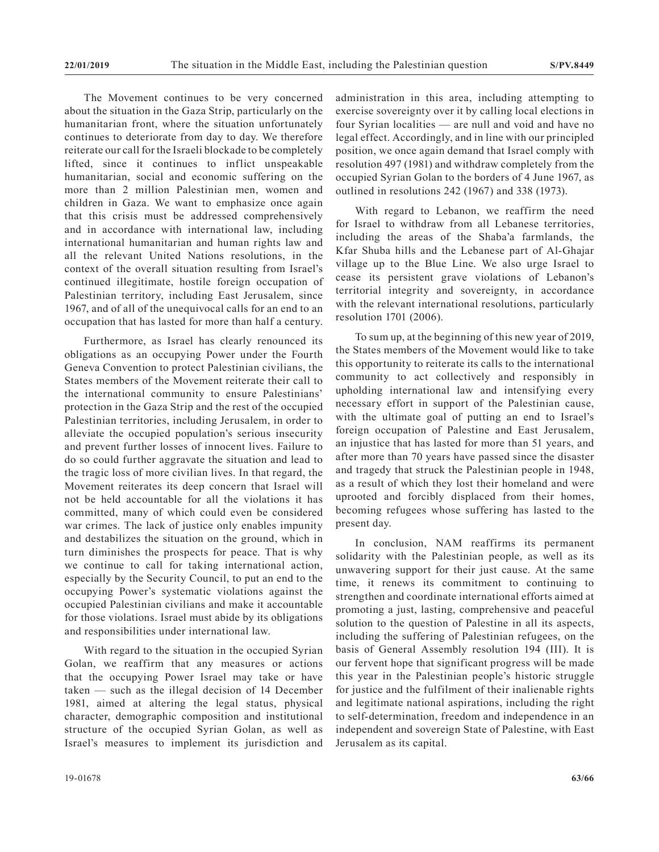The Movement continues to be very concerned about the situation in the Gaza Strip, particularly on the humanitarian front, where the situation unfortunately continues to deteriorate from day to day. We therefore reiterate our call for the Israeli blockade to be completely lifted, since it continues to inflict unspeakable humanitarian, social and economic suffering on the more than 2 million Palestinian men, women and children in Gaza. We want to emphasize once again that this crisis must be addressed comprehensively and in accordance with international law, including international humanitarian and human rights law and all the relevant United Nations resolutions, in the context of the overall situation resulting from Israel's continued illegitimate, hostile foreign occupation of Palestinian territory, including East Jerusalem, since 1967, and of all of the unequivocal calls for an end to an occupation that has lasted for more than half a century.

Furthermore, as Israel has clearly renounced its obligations as an occupying Power under the Fourth Geneva Convention to protect Palestinian civilians, the States members of the Movement reiterate their call to the international community to ensure Palestinians' protection in the Gaza Strip and the rest of the occupied Palestinian territories, including Jerusalem, in order to alleviate the occupied population's serious insecurity and prevent further losses of innocent lives. Failure to do so could further aggravate the situation and lead to the tragic loss of more civilian lives. In that regard, the Movement reiterates its deep concern that Israel will not be held accountable for all the violations it has committed, many of which could even be considered war crimes. The lack of justice only enables impunity and destabilizes the situation on the ground, which in turn diminishes the prospects for peace. That is why we continue to call for taking international action, especially by the Security Council, to put an end to the occupying Power's systematic violations against the occupied Palestinian civilians and make it accountable for those violations. Israel must abide by its obligations and responsibilities under international law.

With regard to the situation in the occupied Syrian Golan, we reaffirm that any measures or actions that the occupying Power Israel may take or have taken — such as the illegal decision of 14 December 1981, aimed at altering the legal status, physical character, demographic composition and institutional structure of the occupied Syrian Golan, as well as Israel's measures to implement its jurisdiction and administration in this area, including attempting to exercise sovereignty over it by calling local elections in four Syrian localities — are null and void and have no legal effect. Accordingly, and in line with our principled position, we once again demand that Israel comply with resolution 497 (1981) and withdraw completely from the occupied Syrian Golan to the borders of 4 June 1967, as outlined in resolutions 242 (1967) and 338 (1973).

With regard to Lebanon, we reaffirm the need for Israel to withdraw from all Lebanese territories, including the areas of the Shaba'a farmlands, the Kfar Shuba hills and the Lebanese part of Al-Ghajar village up to the Blue Line. We also urge Israel to cease its persistent grave violations of Lebanon's territorial integrity and sovereignty, in accordance with the relevant international resolutions, particularly resolution 1701 (2006).

To sum up, at the beginning of this new year of 2019, the States members of the Movement would like to take this opportunity to reiterate its calls to the international community to act collectively and responsibly in upholding international law and intensifying every necessary effort in support of the Palestinian cause, with the ultimate goal of putting an end to Israel's foreign occupation of Palestine and East Jerusalem, an injustice that has lasted for more than 51 years, and after more than 70 years have passed since the disaster and tragedy that struck the Palestinian people in 1948, as a result of which they lost their homeland and were uprooted and forcibly displaced from their homes, becoming refugees whose suffering has lasted to the present day.

In conclusion, NAM reaffirms its permanent solidarity with the Palestinian people, as well as its unwavering support for their just cause. At the same time, it renews its commitment to continuing to strengthen and coordinate international efforts aimed at promoting a just, lasting, comprehensive and peaceful solution to the question of Palestine in all its aspects, including the suffering of Palestinian refugees, on the basis of General Assembly resolution 194 (III). It is our fervent hope that significant progress will be made this year in the Palestinian people's historic struggle for justice and the fulfilment of their inalienable rights and legitimate national aspirations, including the right to self-determination, freedom and independence in an independent and sovereign State of Palestine, with East Jerusalem as its capital.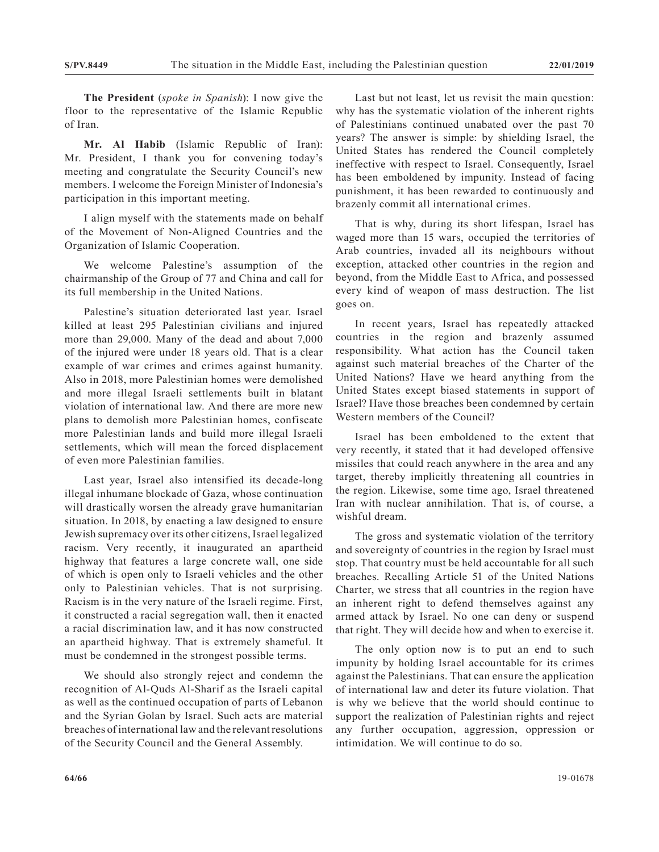**The President** (*spoke in Spanish*): I now give the floor to the representative of the Islamic Republic of Iran.

**Mr. Al Habib** (Islamic Republic of Iran): Mr. President, I thank you for convening today's meeting and congratulate the Security Council's new members. I welcome the Foreign Minister of Indonesia's participation in this important meeting.

I align myself with the statements made on behalf of the Movement of Non-Aligned Countries and the Organization of Islamic Cooperation.

We welcome Palestine's assumption of the chairmanship of the Group of 77 and China and call for its full membership in the United Nations.

Palestine's situation deteriorated last year. Israel killed at least 295 Palestinian civilians and injured more than 29,000. Many of the dead and about 7,000 of the injured were under 18 years old. That is a clear example of war crimes and crimes against humanity. Also in 2018, more Palestinian homes were demolished and more illegal Israeli settlements built in blatant violation of international law. And there are more new plans to demolish more Palestinian homes, confiscate more Palestinian lands and build more illegal Israeli settlements, which will mean the forced displacement of even more Palestinian families.

Last year, Israel also intensified its decade-long illegal inhumane blockade of Gaza, whose continuation will drastically worsen the already grave humanitarian situation. In 2018, by enacting a law designed to ensure Jewish supremacy over its other citizens, Israel legalized racism. Very recently, it inaugurated an apartheid highway that features a large concrete wall, one side of which is open only to Israeli vehicles and the other only to Palestinian vehicles. That is not surprising. Racism is in the very nature of the Israeli regime. First, it constructed a racial segregation wall, then it enacted a racial discrimination law, and it has now constructed an apartheid highway. That is extremely shameful. It must be condemned in the strongest possible terms.

We should also strongly reject and condemn the recognition of Al-Quds Al-Sharif as the Israeli capital as well as the continued occupation of parts of Lebanon and the Syrian Golan by Israel. Such acts are material breaches of international law and the relevant resolutions of the Security Council and the General Assembly.

Last but not least, let us revisit the main question: why has the systematic violation of the inherent rights of Palestinians continued unabated over the past 70 years? The answer is simple: by shielding Israel, the United States has rendered the Council completely ineffective with respect to Israel. Consequently, Israel has been emboldened by impunity. Instead of facing punishment, it has been rewarded to continuously and brazenly commit all international crimes.

That is why, during its short lifespan, Israel has waged more than 15 wars, occupied the territories of Arab countries, invaded all its neighbours without exception, attacked other countries in the region and beyond, from the Middle East to Africa, and possessed every kind of weapon of mass destruction. The list goes on.

In recent years, Israel has repeatedly attacked countries in the region and brazenly assumed responsibility. What action has the Council taken against such material breaches of the Charter of the United Nations? Have we heard anything from the United States except biased statements in support of Israel? Have those breaches been condemned by certain Western members of the Council?

Israel has been emboldened to the extent that very recently, it stated that it had developed offensive missiles that could reach anywhere in the area and any target, thereby implicitly threatening all countries in the region. Likewise, some time ago, Israel threatened Iran with nuclear annihilation. That is, of course, a wishful dream.

The gross and systematic violation of the territory and sovereignty of countries in the region by Israel must stop. That country must be held accountable for all such breaches. Recalling Article 51 of the United Nations Charter, we stress that all countries in the region have an inherent right to defend themselves against any armed attack by Israel. No one can deny or suspend that right. They will decide how and when to exercise it.

The only option now is to put an end to such impunity by holding Israel accountable for its crimes against the Palestinians. That can ensure the application of international law and deter its future violation. That is why we believe that the world should continue to support the realization of Palestinian rights and reject any further occupation, aggression, oppression or intimidation. We will continue to do so.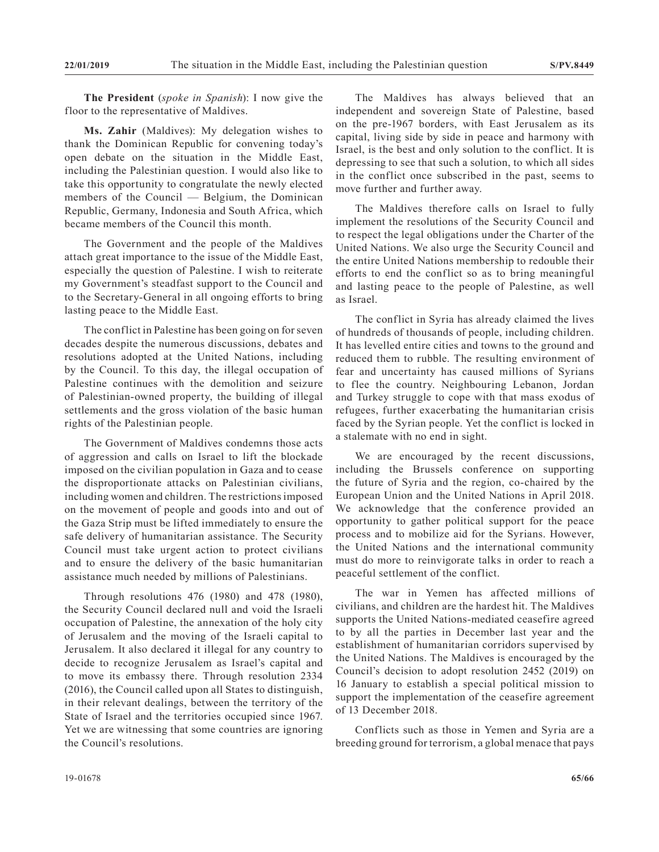**The President** (*spoke in Spanish*): I now give the floor to the representative of Maldives.

**Ms. Zahir** (Maldives): My delegation wishes to thank the Dominican Republic for convening today's open debate on the situation in the Middle East, including the Palestinian question. I would also like to take this opportunity to congratulate the newly elected members of the Council — Belgium, the Dominican Republic, Germany, Indonesia and South Africa, which became members of the Council this month.

The Government and the people of the Maldives attach great importance to the issue of the Middle East, especially the question of Palestine. I wish to reiterate my Government's steadfast support to the Council and to the Secretary-General in all ongoing efforts to bring lasting peace to the Middle East.

The conflict in Palestine has been going on for seven decades despite the numerous discussions, debates and resolutions adopted at the United Nations, including by the Council. To this day, the illegal occupation of Palestine continues with the demolition and seizure of Palestinian-owned property, the building of illegal settlements and the gross violation of the basic human rights of the Palestinian people.

The Government of Maldives condemns those acts of aggression and calls on Israel to lift the blockade imposed on the civilian population in Gaza and to cease the disproportionate attacks on Palestinian civilians, including women and children. The restrictions imposed on the movement of people and goods into and out of the Gaza Strip must be lifted immediately to ensure the safe delivery of humanitarian assistance. The Security Council must take urgent action to protect civilians and to ensure the delivery of the basic humanitarian assistance much needed by millions of Palestinians.

Through resolutions 476 (1980) and 478 (1980), the Security Council declared null and void the Israeli occupation of Palestine, the annexation of the holy city of Jerusalem and the moving of the Israeli capital to Jerusalem. It also declared it illegal for any country to decide to recognize Jerusalem as Israel's capital and to move its embassy there. Through resolution 2334 (2016), the Council called upon all States to distinguish, in their relevant dealings, between the territory of the State of Israel and the territories occupied since 1967. Yet we are witnessing that some countries are ignoring the Council's resolutions.

The Maldives has always believed that an independent and sovereign State of Palestine, based on the pre-1967 borders, with East Jerusalem as its capital, living side by side in peace and harmony with Israel, is the best and only solution to the conflict. It is depressing to see that such a solution, to which all sides in the conflict once subscribed in the past, seems to move further and further away.

The Maldives therefore calls on Israel to fully implement the resolutions of the Security Council and to respect the legal obligations under the Charter of the United Nations. We also urge the Security Council and the entire United Nations membership to redouble their efforts to end the conflict so as to bring meaningful and lasting peace to the people of Palestine, as well as Israel.

The conflict in Syria has already claimed the lives of hundreds of thousands of people, including children. It has levelled entire cities and towns to the ground and reduced them to rubble. The resulting environment of fear and uncertainty has caused millions of Syrians to flee the country. Neighbouring Lebanon, Jordan and Turkey struggle to cope with that mass exodus of refugees, further exacerbating the humanitarian crisis faced by the Syrian people. Yet the conflict is locked in a stalemate with no end in sight.

We are encouraged by the recent discussions, including the Brussels conference on supporting the future of Syria and the region, co-chaired by the European Union and the United Nations in April 2018. We acknowledge that the conference provided an opportunity to gather political support for the peace process and to mobilize aid for the Syrians. However, the United Nations and the international community must do more to reinvigorate talks in order to reach a peaceful settlement of the conflict.

The war in Yemen has affected millions of civilians, and children are the hardest hit. The Maldives supports the United Nations-mediated ceasefire agreed to by all the parties in December last year and the establishment of humanitarian corridors supervised by the United Nations. The Maldives is encouraged by the Council's decision to adopt resolution 2452 (2019) on 16 January to establish a special political mission to support the implementation of the ceasefire agreement of 13 December 2018.

Conflicts such as those in Yemen and Syria are a breeding ground for terrorism, a global menace that pays